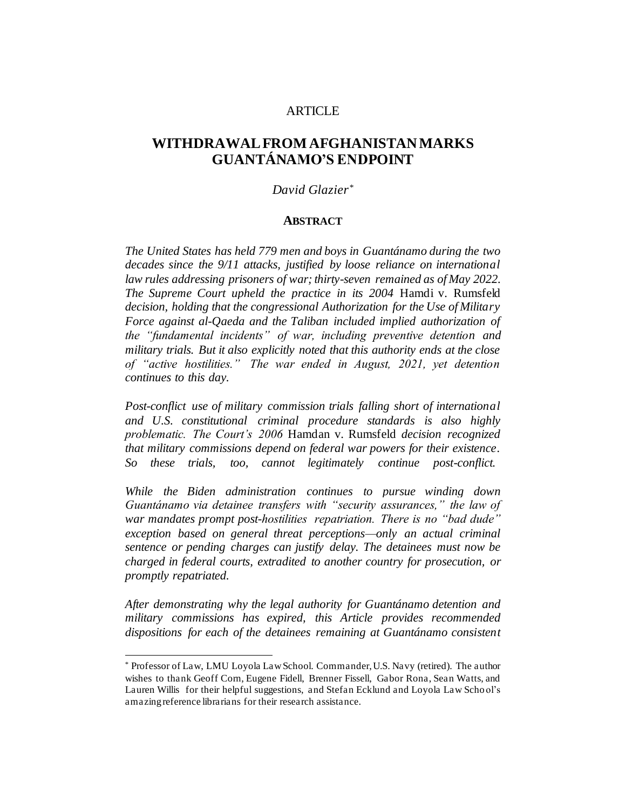# **ARTICLE**

# **WITHDRAWAL FROM AFGHANISTANMARKS GUANTÁNAMO'S ENDPOINT**

# *David Glazier\**

#### **ABSTRACT**

*The United States has held 779 men and boys in Guantánamo during the two decades since the 9/11 attacks, justified by loose reliance on international law rules addressing prisoners of war; thirty-seven remained as of May 2022. The Supreme Court upheld the practice in its 2004* Hamdi v. Rumsfeld *decision, holding that the congressional Authorization for the Use of Military Force against al-Qaeda and the Taliban included implied authorization of the "fundamental incidents" of war, including preventive detention and military trials. But it also explicitly noted that this authority ends at the close of "active hostilities." The war ended in August, 2021, yet detention continues to this day.*

*Post-conflict use of military commission trials falling short of international and U.S. constitutional criminal procedure standards is also highly problematic. The Court's 2006* Hamdan v. Rumsfeld *decision recognized that military commissions depend on federal war powers for their existence. So these trials, too, cannot legitimately continue post-conflict.*

*While the Biden administration continues to pursue winding down Guantánamo via detainee transfers with "security assurances," the law of war mandates prompt post-hostilities repatriation. There is no "bad dude" exception based on general threat perceptions—only an actual criminal sentence or pending charges can justify delay. The detainees must now be charged in federal courts, extradited to another country for prosecution, or promptly repatriated.* 

*After demonstrating why the legal authority for Guantánamo detention and military commissions has expired, this Article provides recommended dispositions for each of the detainees remaining at Guantánamo consistent* 

<sup>\*</sup> Professor of Law, LMU Loyola Law School. Commander, U.S. Navy (retired). The author wishes to thank Geoff Corn, Eugene Fidell, Brenner Fissell, Gabor Rona, Sean Watts, and Lauren Willis for their helpful suggestions, and Stefan Ecklund and Loyola Law Scho ol's amazing reference librarians for their research assistance.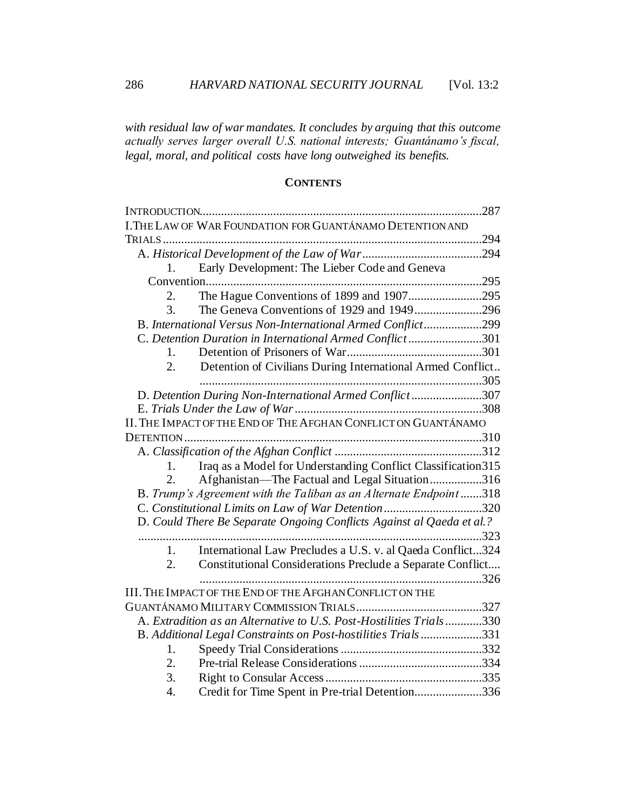*with residual law of war mandates. It concludes by arguing that this outcome actually serves larger overall U.S. national interests; Guantánamo's fiscal, legal, moral, and political costs have long outweighed its benefits.*

# **CONTENTS**

|                                                                       | INTRODUCTION                                                      | .287 |  |
|-----------------------------------------------------------------------|-------------------------------------------------------------------|------|--|
|                                                                       | I.THE LAW OF WAR FOUNDATION FOR GUANTÁNAMO DETENTION AND          |      |  |
|                                                                       |                                                                   |      |  |
|                                                                       |                                                                   |      |  |
| $1_{\cdot}$                                                           | Early Development: The Lieber Code and Geneva                     |      |  |
|                                                                       |                                                                   |      |  |
| 2.                                                                    | The Hague Conventions of 1899 and 1907295                         |      |  |
| 3.                                                                    |                                                                   |      |  |
|                                                                       | B. International Versus Non-International Armed Conflict299       |      |  |
| C. Detention Duration in International Armed Conflict301              |                                                                   |      |  |
| 1.                                                                    |                                                                   |      |  |
| 2.                                                                    | Detention of Civilians During International Armed Conflict        |      |  |
|                                                                       |                                                                   |      |  |
|                                                                       | D. Detention During Non-International Armed Conflict307           |      |  |
|                                                                       |                                                                   |      |  |
| II. THE IMPACT OF THE END OF THE AFGHAN CONFLICT ON GUANTÁNAMO        |                                                                   |      |  |
|                                                                       |                                                                   |      |  |
|                                                                       |                                                                   |      |  |
| 1.                                                                    | Iraq as a Model for Understanding Conflict Classification 315     |      |  |
| 2.                                                                    | Afghanistan-The Factual and Legal Situation316                    |      |  |
|                                                                       | B. Trump's Agreement with the Taliban as an Alternate Endpoint318 |      |  |
| C. Constitutional Limits on Law of War Detention320                   |                                                                   |      |  |
| D. Could There Be Separate Ongoing Conflicts Against al Qaeda et al.? |                                                                   |      |  |
|                                                                       |                                                                   | .323 |  |
| 1.                                                                    | International Law Precludes a U.S. v. al Qaeda Conflict324        |      |  |
| 2.                                                                    | Constitutional Considerations Preclude a Separate Conflict        |      |  |
|                                                                       |                                                                   |      |  |
|                                                                       | III. THE IMPACT OF THE END OF THE AFGHAN CONFLICT ON THE          |      |  |
|                                                                       |                                                                   |      |  |
| A. Extradition as an Alternative to U.S. Post-Hostilities Trials330   |                                                                   |      |  |
| B. Additional Legal Constraints on Post-hostilities Trials331         |                                                                   |      |  |
| 1.                                                                    |                                                                   |      |  |
| 2.                                                                    |                                                                   |      |  |
| 3.                                                                    |                                                                   |      |  |
| 4.                                                                    | Credit for Time Spent in Pre-trial Detention336                   |      |  |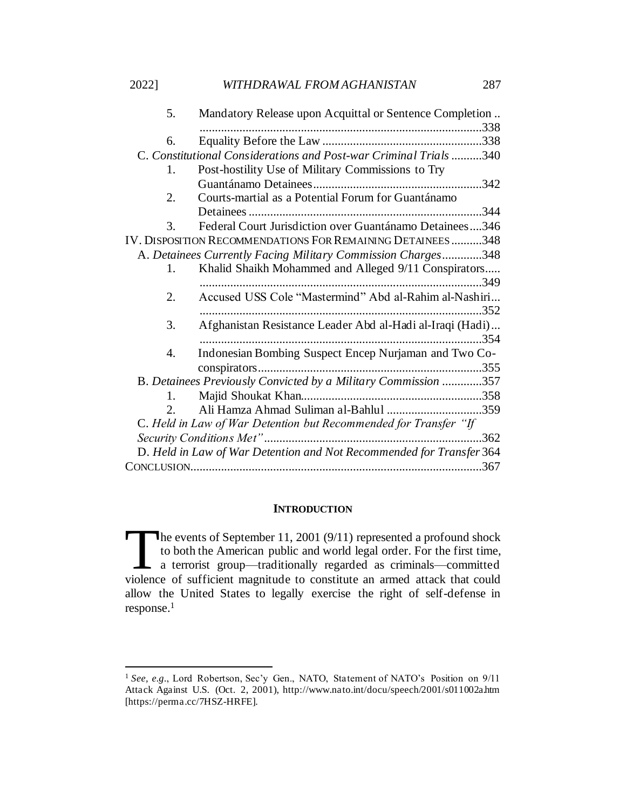| 5.                                                                   | Mandatory Release upon Acquittal or Sentence Completion    |  |
|----------------------------------------------------------------------|------------------------------------------------------------|--|
|                                                                      |                                                            |  |
| 6.                                                                   |                                                            |  |
| C. Constitutional Considerations and Post-war Criminal Trials340     |                                                            |  |
| 1.                                                                   | Post-hostility Use of Military Commissions to Try          |  |
|                                                                      |                                                            |  |
| 2.                                                                   | Courts-martial as a Potential Forum for Guantánamo         |  |
|                                                                      | .344                                                       |  |
| 3.                                                                   | Federal Court Jurisdiction over Guantánamo Detainees346    |  |
|                                                                      | IV. DISPOSITION RECOMMENDATIONS FOR REMAINING DETAINEES348 |  |
| A. Detainees Currently Facing Military Commission Charges348         |                                                            |  |
| 1.                                                                   | Khalid Shaikh Mohammed and Alleged 9/11 Conspirators       |  |
|                                                                      |                                                            |  |
| $\overline{2}$ .                                                     | Accused USS Cole "Mastermind" Abd al-Rahim al-Nashiri      |  |
|                                                                      |                                                            |  |
| 3.                                                                   | Afghanistan Resistance Leader Abd al-Hadi al-Iraqi (Hadi)  |  |
|                                                                      | .354                                                       |  |
| 4.                                                                   | Indonesian Bombing Suspect Encep Nurjaman and Two Co-      |  |
|                                                                      |                                                            |  |
| B. Detainees Previously Convicted by a Military Commission 357       |                                                            |  |
| $1_{-}$                                                              |                                                            |  |
| $2^{+}$                                                              | Ali Hamza Ahmad Suliman al-Bahlul 359                      |  |
| C. Held in Law of War Detention but Recommended for Transfer "If     |                                                            |  |
|                                                                      |                                                            |  |
| D. Held in Law of War Detention and Not Recommended for Transfer 364 |                                                            |  |
|                                                                      |                                                            |  |

### **INTRODUCTION**

<span id="page-2-0"></span>The events of September 11, 2001 (9/11) represented a profound shock to both the American public and world legal order. For the first time, to both the American public and world legal order. For the first time, a terrorist group—traditionally regarded as criminals—committed The events of September 11, 2001 (9/11) represented a profound shock to both the American public and world legal order. For the first time, a terrorist group—traditionally regarded as criminals—committed violence of suffic allow the United States to legally exercise the right of self-defense in response. 1

<sup>1</sup> *See, e.g.*, Lord Robertson, Sec'y Gen., NATO, Statement of NATO's Position on 9/11 Attack Against U.S. (Oct. 2, 2001), http://www.nato.int/docu/speech/2001/s011002a.htm [https://perma.cc/7HSZ-HRFE].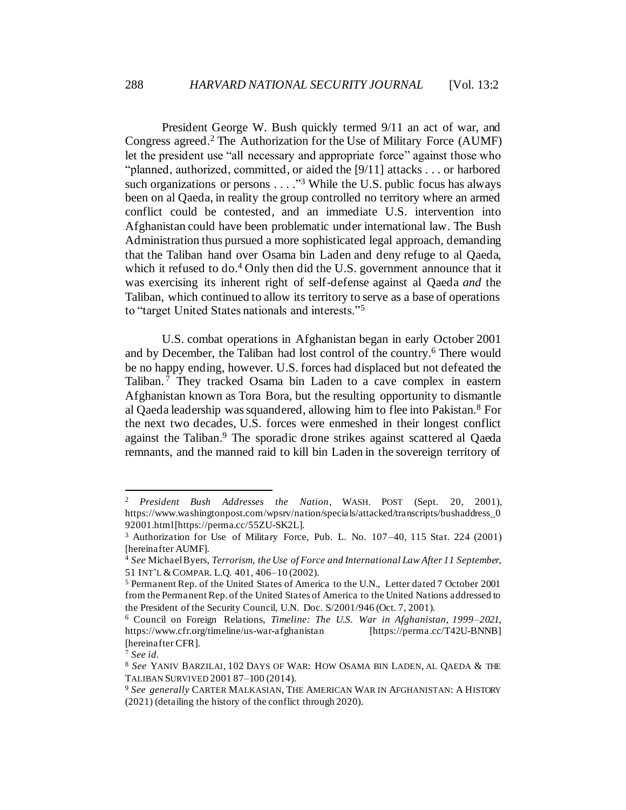<span id="page-3-1"></span>President George W. Bush quickly termed 9/11 an act of war, and Congress agreed.<sup>2</sup> The Authorization for the Use of Military Force (AUMF) let the president use "all necessary and appropriate force" against those who "planned, authorized, committed, or aided the [9/11] attacks . . . or harbored such organizations or persons  $\dots$ ."<sup>3</sup> While the U.S. public focus has always been on al Qaeda, in reality the group controlled no territory where an armed conflict could be contested, and an immediate U.S. intervention into Afghanistan could have been problematic under international law. The Bush Administration thus pursued a more sophisticated legal approach, demanding that the Taliban hand over Osama bin Laden and deny refuge to al Qaeda, which it refused to do.<sup>4</sup> Only then did the U.S. government announce that it was exercising its inherent right of self-defense against al Qaeda *and* the Taliban, which continued to allow its territory to serve as a base of operations to "target United States nationals and interests."<sup>5</sup>

<span id="page-3-0"></span>U.S. combat operations in Afghanistan began in early October 2001 and by December, the Taliban had lost control of the country. <sup>6</sup> There would be no happy ending, however. U.S. forces had displaced but not defeated the Taliban.<sup>7</sup> They tracked Osama bin Laden to a cave complex in eastern Afghanistan known as Tora Bora, but the resulting opportunity to dismantle al Qaeda leadership was squandered, allowing him to flee into Pakistan.<sup>8</sup> For the next two decades, U.S. forces were enmeshed in their longest conflict against the Taliban. <sup>9</sup> The sporadic drone strikes against scattered al Qaeda remnants, and the manned raid to kill bin Laden in the sovereign territory of

<sup>2</sup> *President Bush Addresses the Nation*, WASH. POST (Sept. 20, 2001), https://www.washingtonpost.com/wpsrv/nation/specials/attacked/transcripts/bushaddress\_0 92001.html [https://perma.cc/55ZU-SK2L].

<sup>3</sup> Authorization for Use of Military Force, Pub. L. No. 107–40, 115 Stat. 224 (2001) [hereinafter AUMF].

<sup>4</sup> *See* Michael Byers, *Terrorism, the Use of Force and International Law After 11 September*, 51 INT'L &COMPAR. L.Q. 401, 406–10 (2002).

<sup>5</sup> Permanent Rep. of the United States of America to the U.N., Letter dated 7 October 2001 from the Permanent Rep. of the United States of America to the United Nations addressed to the President of the Security Council, U.N. Doc. S/2001/946 (Oct. 7, 2001).

<sup>6</sup> Council on Foreign Relations, *Timeline: The U.S. War in Afghanistan, 1999–2021*, https://www.cfr.org/timeline/us-war-afghanistan [https://perma.cc/T42U-BNNB] [hereinafter CFR].

<sup>7</sup> *See id.*

<sup>8</sup> *See* YANIV BARZILAI, 102 DAYS OF WAR: HOW OSAMA BIN LADEN, AL QAEDA & THE TALIBAN SURVIVED 2001 87–100 (2014).

<sup>9</sup> *See generally* CARTER MALKASIAN, THE AMERICAN WAR IN AFGHANISTAN: A HISTORY (2021) (detailing the history of the conflict through 2020).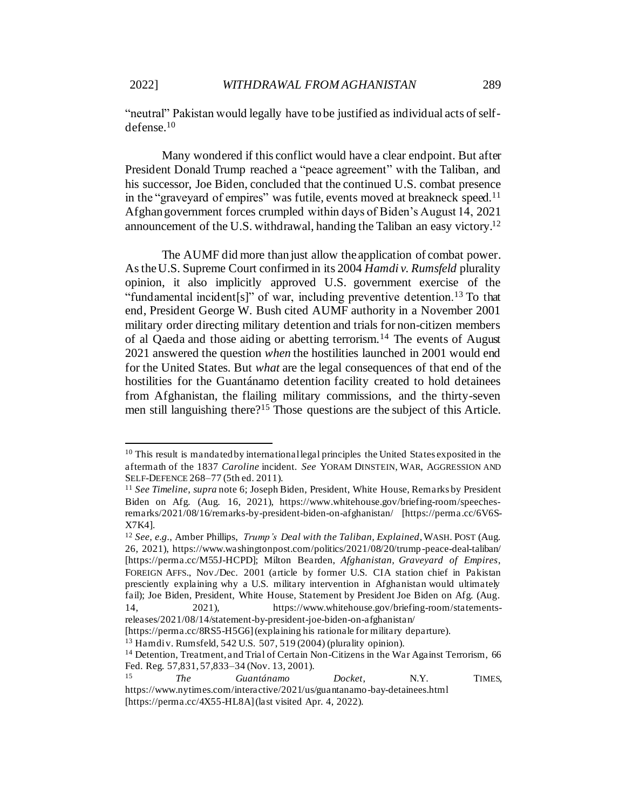<span id="page-4-0"></span>"neutral" Pakistan would legally have to be justified as individual acts of selfdefense.<sup>10</sup>

Many wondered if this conflict would have a clear endpoint. But after President Donald Trump reached a "peace agreement" with the Taliban, and his successor, Joe Biden, concluded that the continued U.S. combat presence in the "graveyard of empires" was futile, events moved at breakneck speed.<sup>11</sup> Afghan government forces crumpled within days of Biden's August 14, 2021 announcement of the U.S. withdrawal, handing the Taliban an easy victory.<sup>12</sup>

The AUMF did more than just allow the application of combat power. Asthe U.S. Supreme Court confirmed in its 2004 *Hamdi v. Rumsfeld* plurality opinion, it also implicitly approved U.S. government exercise of the "fundamental incident[s]" of war, including preventive detention.<sup>13</sup> To that end, President George W. Bush cited AUMF authority in a November 2001 military order directing military detention and trials for non-citizen members of al Qaeda and those aiding or abetting terrorism.<sup>14</sup> The events of August 2021 answered the question *when* the hostilities launched in 2001 would end for the United States. But *what* are the legal consequences of that end of the hostilities for the Guantánamo detention facility created to hold detainees from Afghanistan, the flailing military commissions, and the thirty-seven men still languishing there?<sup>15</sup> Those questions are the subject of this Article.

<sup>&</sup>lt;sup>10</sup> This result is mandated by international legal principles the United States exposited in the aftermath of the 1837 *Caroline* incident. *See* YORAM DINSTEIN, WAR, AGGRESSION AND SELF-DEFENCE 268–77 (5th ed. 2011).

<sup>11</sup> *See Timeline*, *supra* not[e 6;](#page-3-0) Joseph Biden, President, White House, Remarks by President Biden on Afg. (Aug. 16, 2021), https://www.whitehouse.gov/briefing-room/speechesremarks/2021/08/16/remarks-by-president-biden-on-afghanistan/ [https://perma.cc/6V6S-X7K4].

<sup>12</sup> *See, e.g.*, Amber Phillips, *Trump's Deal with the Taliban, Explained*,WASH. POST (Aug. 26, 2021), https://www.washingtonpost.com/politics/2021/08/20/trump-peace-deal-taliban/ [https://perma.cc/M55J-HCPD]; Milton Bearden, *Afghanistan, Graveyard of Empires*, FOREIGN AFFS., Nov./Dec. 2001 (article by former U.S. CIA station chief in Pakistan presciently explaining why a U.S. military intervention in Afghanistan would ultimately fail); Joe Biden, President, White House, Statement by President Joe Biden on Afg. (Aug. 14, 2021), https://www.whitehouse.gov/briefing-room/statementsreleases/2021/08/14/statement-by-president-joe-biden-on-afghanistan/

<sup>[</sup>https://perma.cc/8RS5-H5G6] (explaining his rationale for military departure).

<sup>13</sup> Hamdi v. Rumsfeld, 542 U.S. 507, 519 (2004) (plurality opinion).

<sup>&</sup>lt;sup>14</sup> Detention, Treatment, and Trial of Certain Non-Citizens in the War Against Terrorism, 66 Fed. Reg. 57,831, 57,833–34 (Nov. 13, 2001).

<sup>15</sup> *The Guantánamo Docket*, N.Y. TIMES, https://www.nytimes.com/interactive/2021/us/guantanamo-bay-detainees.html [https://perma.cc/4X55-HL8A] (last visited Apr. 4, 2022).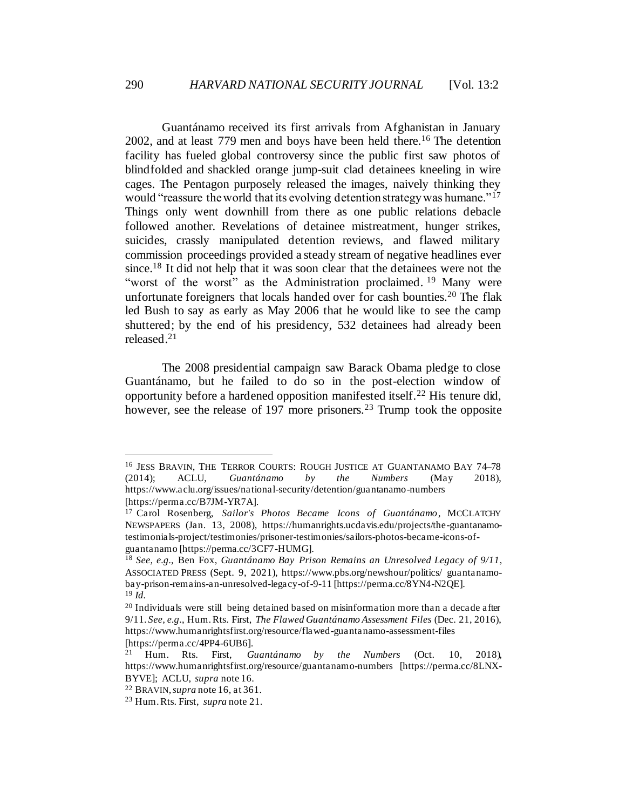<span id="page-5-0"></span>Guantánamo received its first arrivals from Afghanistan in January 2002, and at least 779 men and boys have been held there.<sup>16</sup> The detention facility has fueled global controversy since the public first saw photos of blindfolded and shackled orange jump-suit clad detainees kneeling in wire cages. The Pentagon purposely released the images, naively thinking they would "reassure the world that its evolving detention strategy was humane."<sup>17</sup> Things only went downhill from there as one public relations debacle followed another. Revelations of detainee mistreatment, hunger strikes, suicides, crassly manipulated detention reviews, and flawed military commission proceedings provided a steady stream of negative headlines ever since.<sup>18</sup> It did not help that it was soon clear that the detainees were not the "worst of the worst" as the Administration proclaimed.<sup>19</sup> Many were unfortunate foreigners that locals handed over for cash bounties.<sup>20</sup> The flak led Bush to say as early as May 2006 that he would like to see the camp shuttered; by the end of his presidency, 532 detainees had already been released.<sup>21</sup>

The 2008 presidential campaign saw Barack Obama pledge to close Guantánamo, but he failed to do so in the post-election window of opportunity before a hardened opposition manifested itself.<sup>22</sup> His tenure did, however, see the release of 197 more prisoners.<sup>23</sup> Trump took the opposite

<sup>16</sup> JESS BRAVIN, THE TERROR COURTS: ROUGH JUSTICE AT GUANTANAMO BAY 74–78 (2014); ACLU, *Guantánamo by the Numbers* (May 2018), https://www.aclu.org/issues/national-security/detention/guantanamo-numbers [https://perma.cc/B7JM-YR7A].

<sup>17</sup> Carol Rosenberg, *Sailor's Photos Became Icons of Guantánamo*, MCCLATCHY NEWSPAPERS (Jan. 13, 2008), https://humanrights.ucdavis.edu/projects/the-guantanamotestimonials-project/testimonies/prisoner-testimonies/sailors-photos-became-icons-ofguantanamo [https://perma.cc/3CF7-HUMG].

<sup>18</sup> *See, e.g.*, Ben Fox, *Guantánamo Bay Prison Remains an Unresolved Legacy of 9/11*, ASSOCIATED PRESS (Sept. 9, 2021), https://www.pbs.org/newshour/politics/ guantanamobay-prison-remains-an-unresolved-legacy-of-9-11 [https://perma.cc/8YN4-N2QE]. <sup>19</sup> *Id.*

 $20$  Individuals were still being detained based on misinformation more than a decade after 9/11. *See, e.g.*, Hum. Rts. First, *The Flawed Guantánamo Assessment Files* (Dec. 21, 2016), https://www.humanrightsfirst.org/resource/flawed-guantanamo-assessment-files [https://perma.cc/4PP4-6UB6].

<sup>21</sup> Hum. Rts. First, *Guantánamo by the Numbers* (Oct. 10, 2018), https://www.humanrightsfirst.org/resource/guantanamo-numbers [https://perma.cc/8LNX-BYVE]; ACLU, *supra* not[e 16.](#page-5-0)

<sup>22</sup> BRAVIN,*supra* not[e 16,](#page-5-0) at 361.

<sup>23</sup> Hum. Rts. First, *supra* note 21.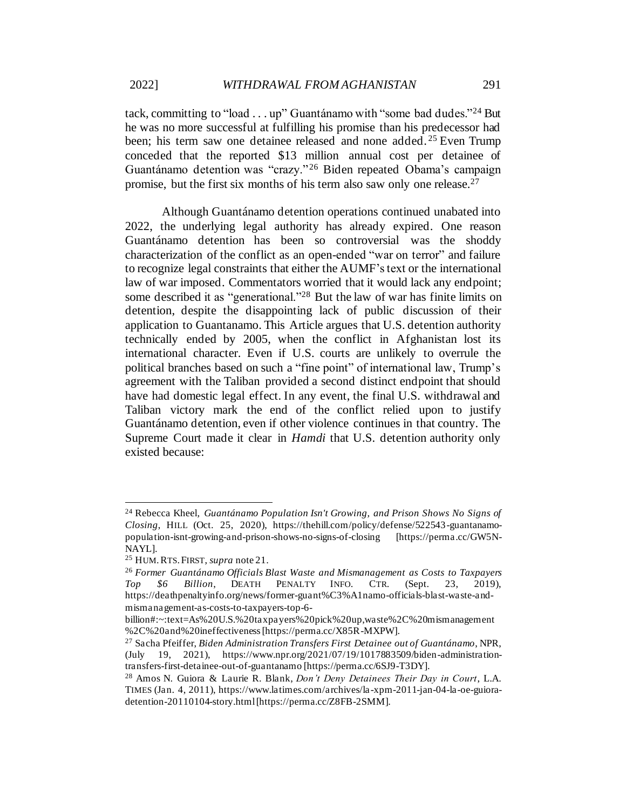tack, committing to "load . . . up" Guantánamo with "some bad dudes."<sup>24</sup> But he was no more successful at fulfilling his promise than his predecessor had been; his term saw one detainee released and none added.<sup>25</sup> Even Trump conceded that the reported \$13 million annual cost per detainee of Guantánamo detention was "crazy." <sup>26</sup> Biden repeated Obama's campaign promise, but the first six months of his term also saw only one release.<sup>27</sup>

Although Guantánamo detention operations continued unabated into 2022, the underlying legal authority has already expired. One reason Guantánamo detention has been so controversial was the shoddy characterization of the conflict as an open-ended "war on terror" and failure to recognize legal constraints that either the AUMF's text or the international law of war imposed. Commentators worried that it would lack any endpoint; some described it as "generational."<sup>28</sup> But the law of war has finite limits on detention, despite the disappointing lack of public discussion of their application to Guantanamo. This Article argues that U.S. detention authority technically ended by 2005, when the conflict in Afghanistan lost its international character. Even if U.S. courts are unlikely to overrule the political branches based on such a "fine point" of international law, Trump's agreement with the Taliban provided a second distinct endpoint that should have had domestic legal effect. In any event, the final U.S. withdrawal and Taliban victory mark the end of the conflict relied upon to justify Guantánamo detention, even if other violence continues in that country. The Supreme Court made it clear in *Hamdi* that U.S. detention authority only existed because:

<sup>24</sup> Rebecca Kheel*, Guantánamo Population Isn't Growing, and Prison Shows No Signs of Closing*, HILL (Oct. 25, 2020), https://thehill.com/policy/defense/522543-guantanamopopulation-isnt-growing-and-prison-shows-no-signs-of-closing [https://perma.cc/GW5N-NAYL].

<sup>25</sup> HUM.RTS.FIRST, *supra* note 21.

<sup>26</sup> *Former Guantánamo Officials Blast Waste and Mismanagement as Costs to Taxpayers Top \$6 Billion*, DEATH PENALTY INFO. CTR. (Sept. 23, 2019), https://deathpenaltyinfo.org/news/former-guant%C3%A1namo-officials-blast-waste-andmismanagement-as-costs-to-taxpayers-top-6-

billion#:~:text=As%20U.S.%20taxpayers%20pick%20up,waste%2C%20mismanagement %2C%20and%20ineffectiveness [https://perma.cc/X85R-MXPW].

<sup>27</sup> Sacha Pfeiffer, *Biden Administration Transfers First Detainee out of Guantánamo*, NPR, (July 19, 2021), https://www.npr.org/2021/07/19/1017883509/biden-administrationtransfers-first-detainee-out-of-guantanamo [https://perma.cc/6SJ9-T3DY].

<sup>28</sup> Amos N. Guiora & Laurie R. Blank, *Don't Deny Detainees Their Day in Court*, L.A. TIMES (Jan. 4, 2011), https://www.latimes.com/archives/la -xpm-2011-jan-04-la-oe-guioradetention-20110104-story.html [https://perma.cc/Z8FB-2SMM].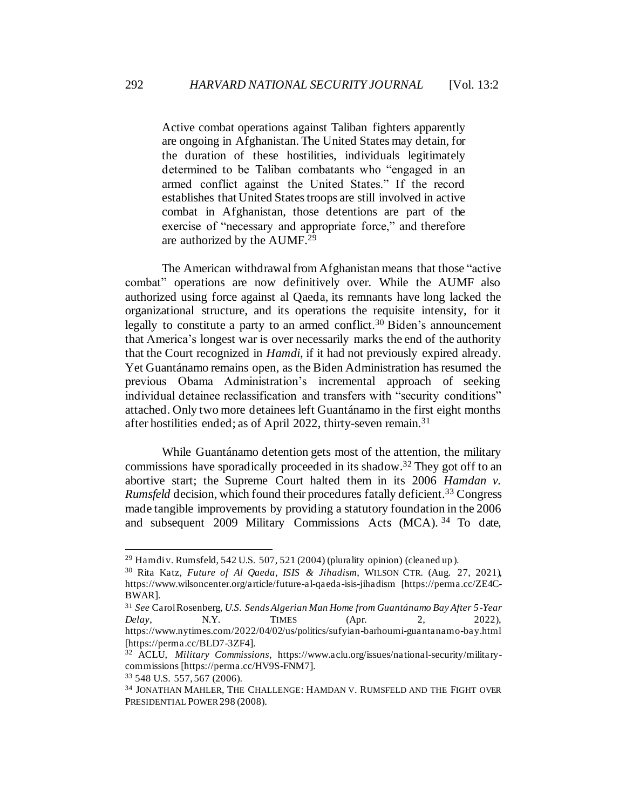Active combat operations against Taliban fighters apparently are ongoing in Afghanistan. The United States may detain, for the duration of these hostilities, individuals legitimately determined to be Taliban combatants who "engaged in an armed conflict against the United States." If the record establishes that United States troops are still involved in active combat in Afghanistan, those detentions are part of the exercise of "necessary and appropriate force," and therefore are authorized by the AUMF.<sup>29</sup>

The American withdrawal from Afghanistan means that those "active combat" operations are now definitively over. While the AUMF also authorized using force against al Qaeda, its remnants have long lacked the organizational structure, and its operations the requisite intensity, for it legally to constitute a party to an armed conflict.<sup>30</sup> Biden's announcement that America's longest war is over necessarily marks the end of the authority that the Court recognized in *Hamdi*, if it had not previously expired already. Yet Guantánamo remains open, as the Biden Administration has resumed the previous Obama Administration's incremental approach of seeking individual detainee reclassification and transfers with "security conditions" attached. Only two more detainees left Guantánamo in the first eight months after hostilities ended; as of April 2022, thirty-seven remain.<sup>31</sup>

While Guantánamo detention gets most of the attention, the military commissions have sporadically proceeded in its shadow.<sup>32</sup> They got off to an abortive start; the Supreme Court halted them in its 2006 *Hamdan v. Rumsfeld* decision, which found their procedures fatally deficient. <sup>33</sup> Congress made tangible improvements by providing a statutory foundation in the 2006 and subsequent 2009 Military Commissions Acts (MCA). 34 To date,

<sup>&</sup>lt;sup>29</sup> Hamdi v. Rumsfeld, 542 U.S. 507, 521 (2004) (plurality opinion) (cleaned up).

<sup>30</sup> Rita Katz, *Future of Al Qaeda, ISIS & Jihadism*, WILSON CTR. (Aug. 27, 2021), https://www.wilsoncenter.org/article/future-al-qaeda-isis-jihadism [https://perma.cc/ZE4C-BWAR].

<sup>31</sup> *See* Carol Rosenberg, *U.S. Sends Algerian Man Home from Guantánamo Bay After 5-Year Delay*, **N.Y.** TIMES (Apr. 2, 2022), https://www.nytimes.com/2022/04/02/us/politics/sufyian-barhoumi-guantanamo-bay.html [https://perma.cc/BLD7-3ZF4].

<sup>32</sup> ACLU, *Military Commissions*, https://www.aclu.org/issues/national-security/militarycommissions [https://perma.cc/HV9S-FNM7].

<sup>33</sup> 548 U.S. 557, 567 (2006).

<sup>34</sup> JONATHAN MAHLER, THE CHALLENGE: HAMDAN V. RUMSFELD AND THE FIGHT OVER PRESIDENTIAL POWER 298 (2008).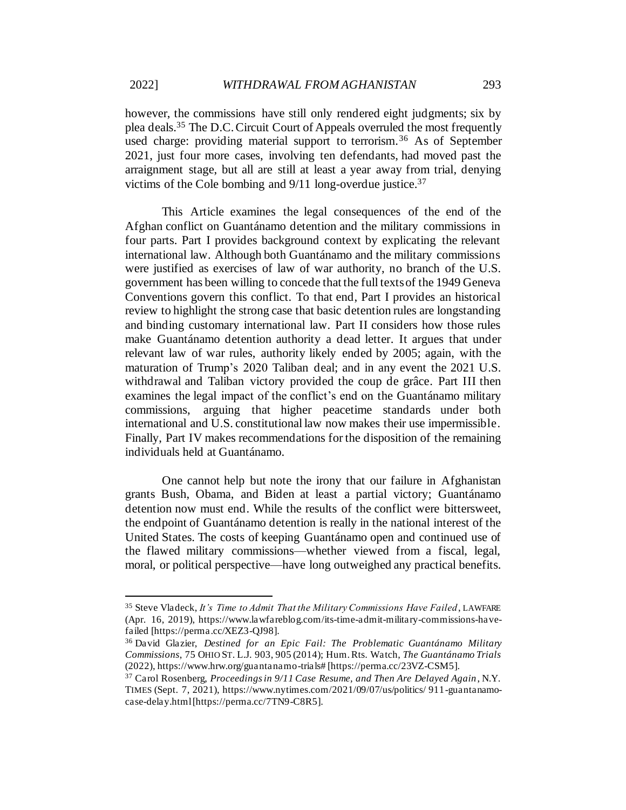however, the commissions have still only rendered eight judgments; six by plea deals. <sup>35</sup> The D.C. Circuit Court of Appeals overruled the most frequently used charge: providing material support to terrorism.<sup>36</sup> As of September 2021, just four more cases, involving ten defendants, had moved past the arraignment stage, but all are still at least a year away from trial, denying victims of the Cole bombing and 9/11 long-overdue justice.<sup>37</sup>

This Article examines the legal consequences of the end of the Afghan conflict on Guantánamo detention and the military commissions in four parts. Part I provides background context by explicating the relevant international law. Although both Guantánamo and the military commissions were justified as exercises of law of war authority, no branch of the U.S. government has been willing to concede that the full texts of the 1949 Geneva Conventions govern this conflict. To that end, Part I provides an historical review to highlight the strong case that basic detention rules are longstanding and binding customary international law. Part II considers how those rules make Guantánamo detention authority a dead letter. It argues that under relevant law of war rules, authority likely ended by 2005; again, with the maturation of Trump's 2020 Taliban deal; and in any event the 2021 U.S. withdrawal and Taliban victory provided the coup de grâce. Part III then examines the legal impact of the conflict's end on the Guantánamo military commissions, arguing that higher peacetime standards under both international and U.S. constitutional law now makes their use impermissible. Finally, Part IV makes recommendations for the disposition of the remaining individuals held at Guantánamo.

One cannot help but note the irony that our failure in Afghanistan grants Bush, Obama, and Biden at least a partial victory; Guantánamo detention now must end. While the results of the conflict were bittersweet, the endpoint of Guantánamo detention is really in the national interest of the United States. The costs of keeping Guantánamo open and continued use of the flawed military commissions—whether viewed from a fiscal, legal, moral, or political perspective—have long outweighed any practical benefits.

<sup>35</sup> Steve Vladeck, *It's Time to Admit That the Military Commissions Have Failed*, LAWFARE (Apr. 16, 2019), https://www.lawfareblog.com/its-time-admit-military-commissions-havefailed [https://perma.cc/XEZ3-QJ98].

<sup>36</sup> David Glazier, *Destined for an Epic Fail: The Problematic Guantánamo Military Commissions*, 75 OHIO ST. L.J. 903, 905 (2014); Hum. Rts. Watch, *The Guantánamo Trials* (2022), https://www.hrw.org/guantanamo-trials# [https://perma.cc/23VZ-CSM5].

<sup>37</sup> Carol Rosenberg, *Proceedings in 9/11 Case Resume, and Then Are Delayed Again*, N.Y. TIMES (Sept. 7, 2021), https://www.nytimes.com/2021/09/07/us/politics/ 911-guantanamocase-delay.html [https://perma.cc/7TN9-C8R5].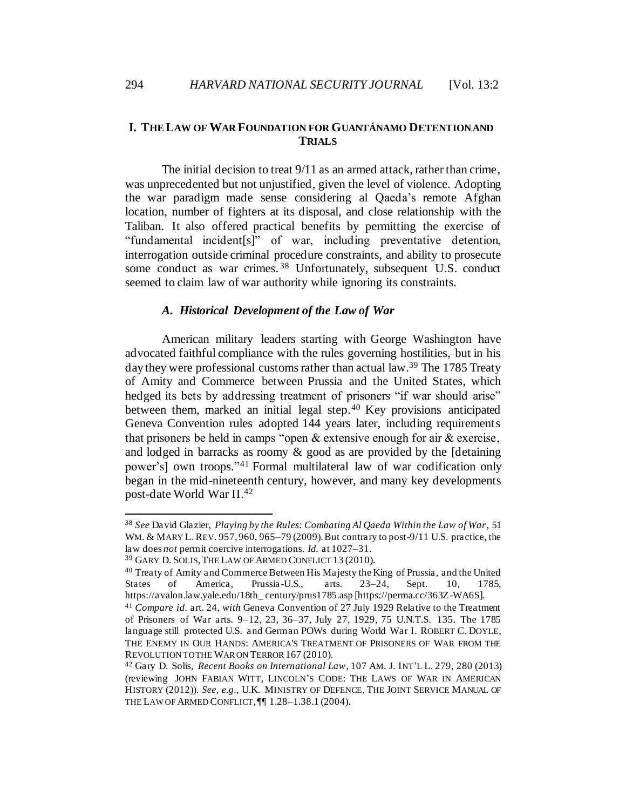# <span id="page-9-0"></span>**I. THE LAW OF WAR FOUNDATION FOR GUANTÁNAMO DETENTION AND TRIALS**

The initial decision to treat 9/11 as an armed attack, rather than crime, was unprecedented but not unjustified, given the level of violence. Adopting the war paradigm made sense considering al Qaeda's remote Afghan location, number of fighters at its disposal, and close relationship with the Taliban. It also offered practical benefits by permitting the exercise of "fundamental incident[s]" of war, including preventative detention, interrogation outside criminal procedure constraints, and ability to prosecute some conduct as war crimes.<sup>38</sup> Unfortunately, subsequent U.S. conduct seemed to claim law of war authority while ignoring its constraints.

#### <span id="page-9-4"></span><span id="page-9-3"></span>*A. Historical Development of the Law of War*

<span id="page-9-1"></span>American military leaders starting with George Washington have advocated faithful compliance with the rules governing hostilities, but in his day they were professional customs rather than actual law.<sup>39</sup> The 1785 Treaty of Amity and Commerce between Prussia and the United States, which hedged its bets by addressing treatment of prisoners "if war should arise" between them, marked an initial legal step. <sup>40</sup> Key provisions anticipated Geneva Convention rules adopted 144 years later, including requirements that prisoners be held in camps "open & extensive enough for air & exercise, and lodged in barracks as roomy & good as are provided by the [detaining power's] own troops."<sup>41</sup> Formal multilateral law of war codification only began in the mid-nineteenth century, however, and many key developments post-date World War II.<sup>42</sup>

<span id="page-9-2"></span><sup>38</sup> *See* David Glazier, *Playing by the Rules: Combating Al Qaeda Within the Law of War*, 51 WM. & MARY L. REV. 957, 960, 965–79 (2009). But contrary to post-9/11 U.S. practice, the law does *not* permit coercive interrogations. *Id.* at 1027–31.

<sup>39</sup> GARY D. SOLIS,THE LAW OF ARMED CONFLICT 13 (2010).

<sup>&</sup>lt;sup>40</sup> Treaty of Amity and Commerce Between His Majesty the King of Prussia, and the United States of America, Prussia - U.S., arts. 23–24, Sept. 10, 1785, https://avalon.law.yale.edu/18th\_ century/prus1785.asp [https://perma.cc/363Z-WA6S].

<sup>41</sup> *Compare id.* art. 24, *with* Geneva Convention of 27 July 1929 Relative to the Treatment of Prisoners of War arts. 9–12, 23, 36–37, July 27, 1929, 75 U.N.T.S. 135. The 1785 language still protected U.S. and German POWs during World War I. ROBERT C. DOYLE, THE ENEMY IN OUR HANDS: AMERICA'S TREATMENT OF PRISONERS OF WAR FROM THE REVOLUTION TO THE WAR ON TERROR 167 (2010).

<sup>42</sup> Gary D. Solis, *Recent Books on International Law*, 107 AM. J. INT'L L. 279, 280 (2013) (reviewing JOHN FABIAN WITT, LINCOLN'S CODE: THE LAWS OF WAR IN AMERICAN HISTORY (2012)). *See, e.g.*, U.K. MINISTRY OF DEFENCE, THE JOINT SERVICE MANUAL OF THE LAW OF ARMED CONFLICT, ¶¶ 1.28–1.38.1 (2004).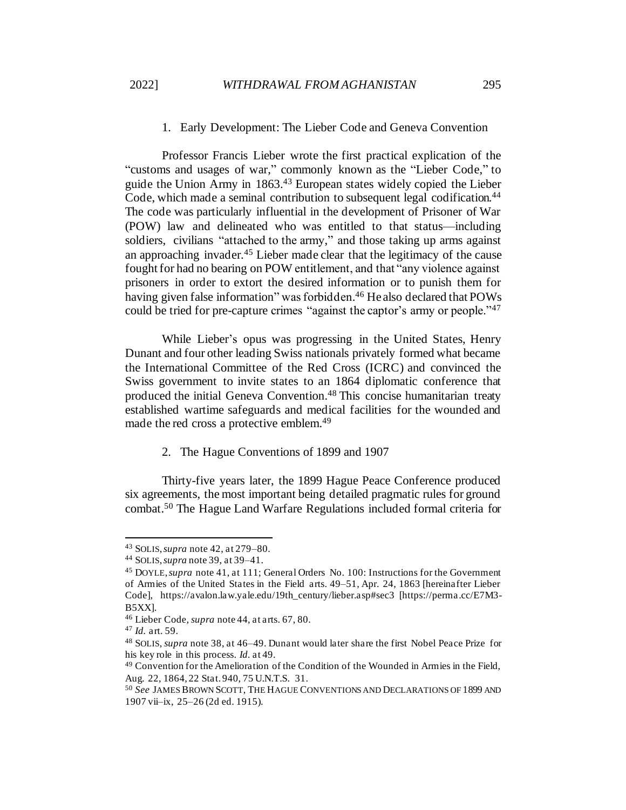## 1. Early Development: The Lieber Code and Geneva Convention

<span id="page-10-0"></span>Professor Francis Lieber wrote the first practical explication of the "customs and usages of war," commonly known as the "Lieber Code," to guide the Union Army in 1863. <sup>43</sup> European states widely copied the Lieber Code, which made a seminal contribution to subsequent legal codification. 44 The code was particularly influential in the development of Prisoner of War (POW) law and delineated who was entitled to that status—including soldiers, civilians "attached to the army," and those taking up arms against an approaching invader.<sup>45</sup> Lieber made clear that the legitimacy of the cause fought for had no bearing on POW entitlement, and that "any violence against prisoners in order to extort the desired information or to punish them for having given false information" was forbidden.<sup>46</sup> He also declared that POWs could be tried for pre-capture crimes "against the captor's army or people."<sup>47</sup>

While Lieber's opus was progressing in the United States, Henry Dunant and four other leading Swiss nationals privately formed what became the International Committee of the Red Cross (ICRC) and convinced the Swiss government to invite states to an 1864 diplomatic conference that produced the initial Geneva Convention. <sup>48</sup> This concise humanitarian treaty established wartime safeguards and medical facilities for the wounded and made the red cross a protective emblem.<sup>49</sup>

2. The Hague Conventions of 1899 and 1907

<span id="page-10-2"></span><span id="page-10-1"></span>Thirty-five years later, the 1899 Hague Peace Conference produced six agreements, the most important being detailed pragmatic rules for ground combat.<sup>50</sup> The Hague Land Warfare Regulations included formal criteria for

<sup>43</sup> SOLIS, *supra* note 42, at 279–80.

<sup>44</sup> SOLIS,*supra* note 39, at 39–41.

<sup>45</sup> DOYLE,*supra* note 41, at 111; General Orders No. 100: Instructions for the Government of Armies of the United States in the Field arts. 49–51, Apr. 24, 1863 [hereinafter Lieber Code], https://avalon.law.yale.edu/19th\_century/lieber.asp#sec3 [https://perma.cc/E7M3- B5XX].

<sup>46</sup> Lieber Code*, supra* note 44, at arts. 67, 80.

<sup>47</sup> *Id.* art. 59.

<sup>48</sup> SOLIS, *supra* note 38, at 46–49. Dunant would later share the first Nobel Peace Prize for his key role in this process. *Id.* at 49.

<sup>49</sup> Convention for the Amelioration of the Condition of the Wounded in Armies in the Field, Aug. 22, 1864, 22 Stat. 940, 75 U.N.T.S. 31.

<sup>50</sup> *See* JAMES BROWN SCOTT, THE HAGUE CONVENTIONS AND DECLARATIONS OF 1899 AND 1907 vii–ix, 25–26 (2d ed. 1915).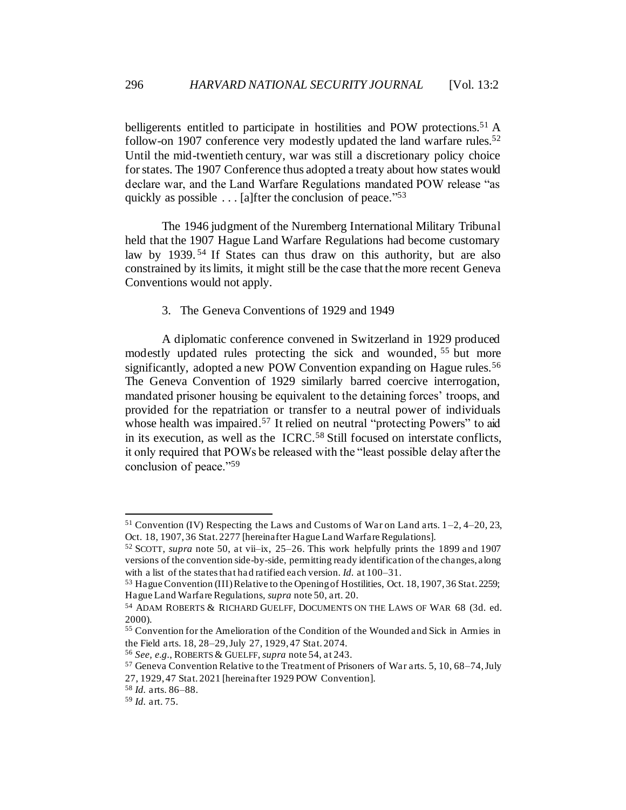<span id="page-11-2"></span>belligerents entitled to participate in hostilities and POW protections.<sup>51</sup> A follow-on 1907 conference very modestly updated the land warfare rules.<sup>52</sup> Until the mid-twentieth century, war was still a discretionary policy choice for states. The 1907 Conference thus adopted a treaty about how states would declare war, and the Land Warfare Regulations mandated POW release "as quickly as possible . . . [a]fter the conclusion of peace."<sup>53</sup>

The 1946 judgment of the Nuremberg International Military Tribunal held that the 1907 Hague Land Warfare Regulations had become customary law by 1939.<sup>54</sup> If States can thus draw on this authority, but are also constrained by its limits, it might still be the case that the more recent Geneva Conventions would not apply.

<span id="page-11-3"></span><span id="page-11-1"></span>3. The Geneva Conventions of 1929 and 1949

<span id="page-11-0"></span>A diplomatic conference convened in Switzerland in 1929 produced modestly updated rules protecting the sick and wounded, <sup>55</sup> but more significantly, adopted a new POW Convention expanding on Hague rules.<sup>56</sup> The Geneva Convention of 1929 similarly barred coercive interrogation, mandated prisoner housing be equivalent to the detaining forces' troops, and provided for the repatriation or transfer to a neutral power of individuals whose health was impaired.<sup>57</sup> It relied on neutral "protecting Powers" to aid in its execution, as well as the ICRC.<sup>58</sup> Still focused on interstate conflicts, it only required that POWs be released with the "least possible delay after the conclusion of peace."<sup>59</sup>

 $51$  Convention (IV) Respecting the Laws and Customs of War on Land arts.  $1-2$ ,  $4-20$ ,  $23$ , Oct. 18, 1907, 36 Stat. 2277 [hereinafter Hague Land Warfare Regulations].

<sup>52</sup> SCOTT, *supra* not[e 50,](#page-10-2) at vii–ix, 25–26. This work helpfully prints the 1899 and 1907 versions of the convention side-by-side, permitting ready identification of the changes, along with a list of the states that ha d ratified each version. *Id.* at 100–31.

<sup>53</sup> Hague Convention (III) Relative to the Opening of Hostilities, Oct. 18, 1907, 36 Stat. 2259; Hague Land Warfare Regulations, *supra* note 50, art. 20.

<sup>54</sup> ADAM ROBERTS & RICHARD GUELFF, DOCUMENTS ON THE LAWS OF WAR 68 (3d. ed. 2000).

<sup>55</sup> Convention for the Amelioration of the Condition of the Wounded and Sick in Armies in the Field arts. 18, 28–29, July 27, 1929, 47 Stat. 2074.

<sup>56</sup> *See, e.g.*, ROBERTS & GUELFF, *supra* note 54, at 243.

<sup>57</sup> Geneva Convention Relative to the Treatment of Prisoners of War arts. 5, 10, 68–74, July 27, 1929, 47 Stat. 2021 [hereinafter 1929 POW Convention].

<sup>58</sup> *Id.* arts. 86–88.

<sup>59</sup> *Id.* art. 75.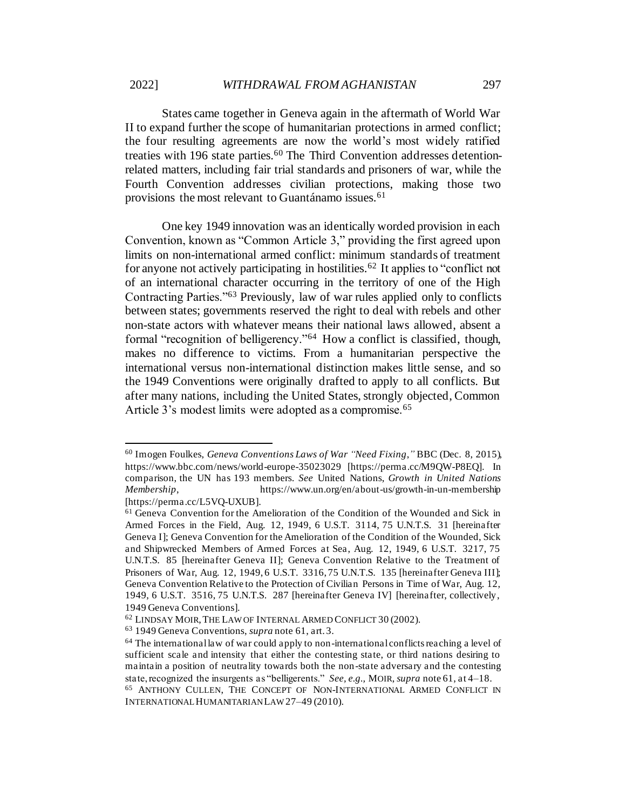States came together in Geneva again in the aftermath of World War II to expand further the scope of humanitarian protections in armed conflict; the four resulting agreements are now the world's most widely ratified treaties with 196 state parties.<sup>60</sup> The Third Convention addresses detentionrelated matters, including fair trial standards and prisoners of war, while the Fourth Convention addresses civilian protections, making those two provisions the most relevant to Guantánamo issues.<sup>61</sup>

<span id="page-12-1"></span><span id="page-12-0"></span>One key 1949 innovation was an identically worded provision in each Convention, known as "Common Article 3," providing the first agreed upon limits on non-international armed conflict: minimum standards of treatment for anyone not actively participating in hostilities.<sup>62</sup> It applies to "conflict not of an international character occurring in the territory of one of the High Contracting Parties."<sup>63</sup> Previously, law of war rules applied only to conflicts between states; governments reserved the right to deal with rebels and other non-state actors with whatever means their national laws allowed, absent a formal "recognition of belligerency."<sup>64</sup> How a conflict is classified, though, makes no difference to victims. From a humanitarian perspective the international versus non-international distinction makes little sense, and so the 1949 Conventions were originally drafted to apply to all conflicts. But after many nations, including the United States, strongly objected, Common Article 3's modest limits were adopted as a compromise.<sup>65</sup>

<span id="page-12-2"></span><sup>60</sup> Imogen Foulkes, *Geneva Conventions Laws of War "Need Fixing*,*"* BBC (Dec. 8, 2015), https://www.bbc.com/news/world-europe-35023029 [https://perma.cc/M9QW-P8EQ]. In comparison, the UN has 193 members. *See* United Nations, *Growth in United Nations Membership*, https://www.un.org/en/about-us/growth-in-un-membership [https://perma.cc/L5VQ-UXUB].

<sup>61</sup> Geneva Convention for the Amelioration of the Condition of the Wounded and Sick in Armed Forces in the Field, Aug. 12, 1949, 6 U.S.T. 3114, 75 U.N.T.S. 31 [hereinafter Geneva I]; Geneva Convention for the Amelioration of the Condition of the Wounded, Sick and Shipwrecked Members of Armed Forces at Sea, Aug. 12, 1949, 6 U.S.T. 3217, 75 U.N.T.S. 85 [hereinafter Geneva II]; Geneva Convention Relative to the Treatment of Prisoners of War, Aug. 12, 1949, 6 U.S.T. 3316, 75 U.N.T.S. 135 [hereinafter Geneva III]; Geneva Convention Relative to the Protection of Civilian Persons in Time of War, Aug. 12, 1949, 6 U.S.T. 3516, 75 U.N.T.S. 287 [hereinafter Geneva IV] [hereinafter, collectively, 1949 Geneva Conventions].

<sup>62</sup> LINDSAY MOIR,THE LAW OF INTERNAL ARMED CONFLICT 30 (2002).

<sup>63</sup> 1949 Geneva Conventions, *supra* not[e 61,](#page-12-0) art. 3.

 $64$  The international law of war could apply to non-international conflicts reaching a level of sufficient scale and intensity that either the contesting state, or third nations desiring to maintain a position of neutrality towards both the non-state adversary and the contesting state, recognized the insurgents as "belligerents." *See, e.g.,* MOIR, *supra* note 61, at 4–18.

<sup>65</sup> ANTHONY CULLEN, THE CONCEPT OF NON-INTERNATIONAL ARMED CONFLICT IN INTERNATIONAL HUMANITARIAN LAW27–49 (2010).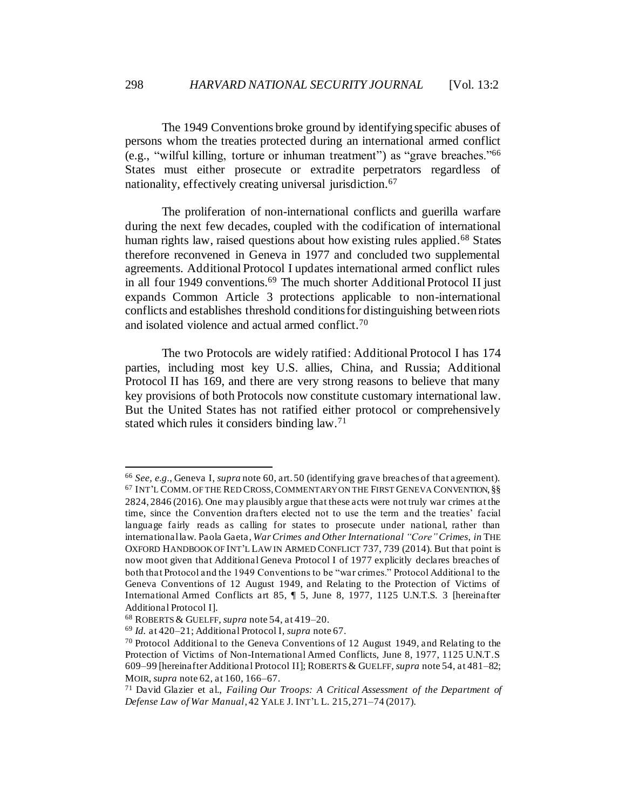The 1949 Conventions broke ground by identifying specific abuses of persons whom the treaties protected during an international armed conflict (e.g., "wilful killing, torture or inhuman treatment") as "grave breaches."<sup>66</sup> States must either prosecute or extradite perpetrators regardless of nationality, effectively creating universal jurisdiction.<sup>67</sup>

<span id="page-13-0"></span>The proliferation of non-international conflicts and guerilla warfare during the next few decades, coupled with the codification of international human rights law, raised questions about how existing rules applied.<sup>68</sup> States therefore reconvened in Geneva in 1977 and concluded two supplemental agreements. Additional Protocol I updates international armed conflict rules in all four 1949 conventions.<sup>69</sup> The much shorter Additional Protocol II just expands Common Article 3 protections applicable to non-international conflicts and establishes threshold conditions for distinguishing between riots and isolated violence and actual armed conflict.<sup>70</sup>

<span id="page-13-1"></span>The two Protocols are widely ratified: Additional Protocol I has 174 parties, including most key U.S. allies, China, and Russia; Additional Protocol II has 169, and there are very strong reasons to believe that many key provisions of both Protocols now constitute customary international law. But the United States has not ratified either protocol or comprehensively stated which rules it considers binding law.<sup>71</sup>

<sup>66</sup> *See, e.g.*, Geneva I, *supra* note 60, art. 50 (identifying grave breaches of that agreement).  $^{67}$  INT'L COMM. OF THE RED CROSS, COMMENTARY ON THE FIRST GENEVA CONVENTION,  $\S\S$ 2824, 2846 (2016). One may plausibly argue that these acts were not truly war crimes at the time, since the Convention drafters elected not to use the term and the treaties' facial language fairly reads as calling for states to prosecute under national, rather than international law. Paola Gaeta, *War Crimes and Other International "Core"Crimes*, *in* THE OXFORD HANDBOOK OF INT'L LAW IN ARMED CONFLICT 737, 739 (2014). But that point is now moot given that Additional Geneva Protocol I of 1977 explicitly declares breaches of both that Protocol and the 1949 Conventions to be "war crimes." Protocol Additional to the Geneva Conventions of 12 August 1949, and Relating to the Protection of Victims of International Armed Conflicts art 85, ¶ 5, June 8, 1977, 1125 U.N.T.S. 3 [hereinafter Additional Protocol I].

<sup>68</sup> ROBERTS & GUELFF, *supra* not[e 54](#page-11-1), at 419–20.

<sup>69</sup> *Id.* at 420–21; Additional Protocol I, *supra* not[e 67.](#page-13-0)

 $70$  Protocol Additional to the Geneva Conventions of 12 August 1949, and Relating to the Protection of Victims of Non-International Armed Conflicts, June 8, 1977, 1125 U.N.T.S 609–99 [hereinafter Additional Protocol II]; ROBERTS & GUELFF, *supra* not[e 54,](#page-11-1) at 481–82; MOIR, *supra* not[e 62,](#page-12-1) at 160, 166–67.

<sup>71</sup> David Glazier et al., *Failing Our Troops: A Critical Assessment of the Department of Defense Law of War Manual*, 42 YALE J. INT'L L. 215, 271–74 (2017).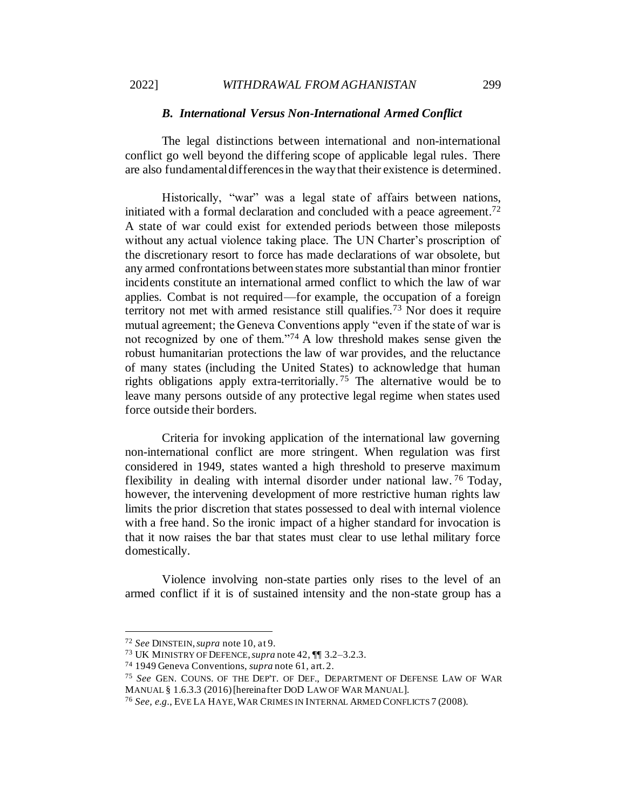#### *B. International Versus Non-International Armed Conflict*

<span id="page-14-0"></span>The legal distinctions between international and non-international conflict go well beyond the differing scope of applicable legal rules. There are also fundamental differences in the way that their existence is determined.

Historically, "war" was a legal state of affairs between nations, initiated with a formal declaration and concluded with a peace agreement.<sup>72</sup> A state of war could exist for extended periods between those mileposts without any actual violence taking place. The UN Charter's proscription of the discretionary resort to force has made declarations of war obsolete, but any armed confrontations between states more substantial than minor frontier incidents constitute an international armed conflict to which the law of war applies. Combat is not required—for example, the occupation of a foreign territory not met with armed resistance still qualifies.<sup>73</sup> Nor does it require mutual agreement; the Geneva Conventions apply "even if the state of war is not recognized by one of them."<sup>74</sup> A low threshold makes sense given the robust humanitarian protections the law of war provides, and the reluctance of many states (including the United States) to acknowledge that human rights obligations apply extra-territorially. <sup>75</sup> The alternative would be to leave many persons outside of any protective legal regime when states used force outside their borders.

Criteria for invoking application of the international law governing non-international conflict are more stringent. When regulation was first considered in 1949, states wanted a high threshold to preserve maximum flexibility in dealing with internal disorder under national law. <sup>76</sup> Today, however, the intervening development of more restrictive human rights law limits the prior discretion that states possessed to deal with internal violence with a free hand. So the ironic impact of a higher standard for invocation is that it now raises the bar that states must clear to use lethal military force domestically.

Violence involving non-state parties only rises to the level of an armed conflict if it is of sustained intensity and the non-state group has a

<sup>72</sup> *See* DINSTEIN,*supra* not[e 10,](#page-4-0) at 9.

<sup>73</sup> UK MINISTRY OF DEFENCE,*supra* not[e 42,](#page-9-2) ¶¶ 3.2–3.2.3.

<sup>74</sup> 1949 Geneva Conventions, *supra* not[e 61,](#page-12-0) art. 2.

<sup>75</sup> *See* GEN. COUNS. OF THE DEP'T. OF DEF., DEPARTMENT OF DEFENSE LAW OF WAR MANUAL § 1.6.3.3 (2016) [hereinafter DOD LAW OF WAR MANUAL].

<sup>76</sup> *See, e.g.*, EVE LA HAYE,WAR CRIMES IN INTERNAL ARMED CONFLICTS 7 (2008).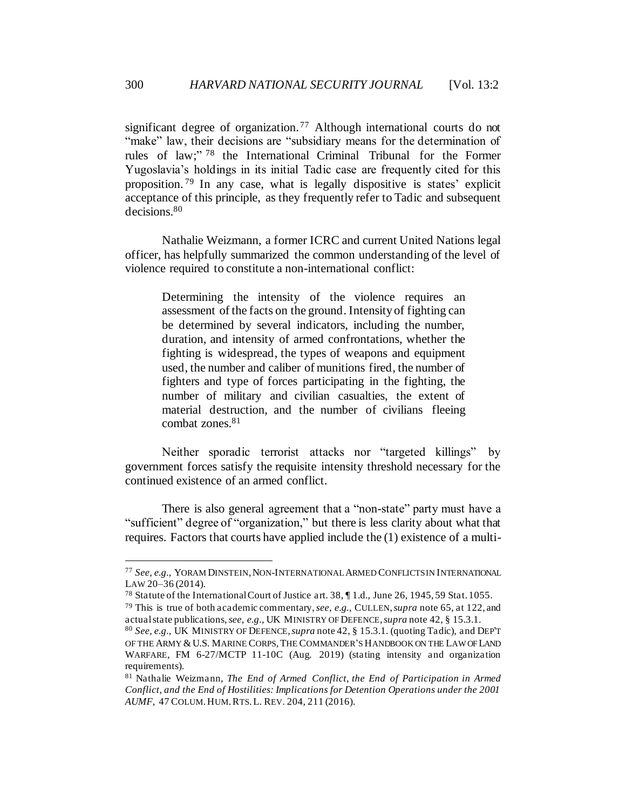significant degree of organization.<sup>77</sup> Although international courts do not "make" law, their decisions are "subsidiary means for the determination of rules of law;"<sup>78</sup> the International Criminal Tribunal for the Former Yugoslavia's holdings in its initial Tadic case are frequently cited for this proposition. <sup>79</sup> In any case, what is legally dispositive is states' explicit acceptance of this principle, as they frequently refer to Tadic and subsequent decisions.<sup>80</sup>

Nathalie Weizmann, a former ICRC and current United Nations legal officer, has helpfully summarized the common understanding of the level of violence required to constitute a non-international conflict:

Determining the intensity of the violence requires an assessment of the facts on the ground. Intensity of fighting can be determined by several indicators, including the number, duration, and intensity of armed confrontations, whether the fighting is widespread, the types of weapons and equipment used, the number and caliber of munitions fired, the number of fighters and type of forces participating in the fighting, the number of military and civilian casualties, the extent of material destruction, and the number of civilians fleeing combat zones.<sup>81</sup>

Neither sporadic terrorist attacks nor "targeted killings" by government forces satisfy the requisite intensity threshold necessary for the continued existence of an armed conflict.

There is also general agreement that a "non-state" party must have a "sufficient" degree of "organization," but there is less clarity about what that requires. Factors that courts have applied include the (1) existence of a multi-

<sup>77</sup> *See, e.g.*, YORAM DINSTEIN,NON-INTERNATIONAL ARMED CONFLICTS IN INTERNATIONAL LAW 20–36 (2014).

<sup>78</sup> Statute of the International Court of Justice art. 38, ¶ 1.d., June 26, 1945, 59 Stat. 1055.

<sup>79</sup> This is true of both academic commentary, *see, e.g.*, CULLEN, *supra* not[e 65,](#page-12-2) at 122, and actual state publications, *see, e.g.*, UK MINISTRY OF DEFENCE, *supra* not[e 42,](#page-9-2) § 15.3.1.

<sup>80</sup> *See, e.g.*, UK MINISTRY OF DEFENCE, *supra* not[e 42,](#page-9-2) § 15.3.1. (quoting Tadic), and DEP'T OF THE ARMY & U.S. MARINE CORPS, THE COMMANDER'S HANDBOOK ON THE LAW OF LAND WARFARE, FM 6-27/MCTP 11-10C (Aug. 2019) (stating intensity and organization requirements).

<sup>81</sup> Nathalie Weizmann, *The End of Armed Conflict, the End of Participation in Armed Conflict, and the End of Hostilities: Implications for Detention Operations under the 2001 AUMF,* 47 COLUM.HUM.RTS.L. REV. 204, 211 (2016).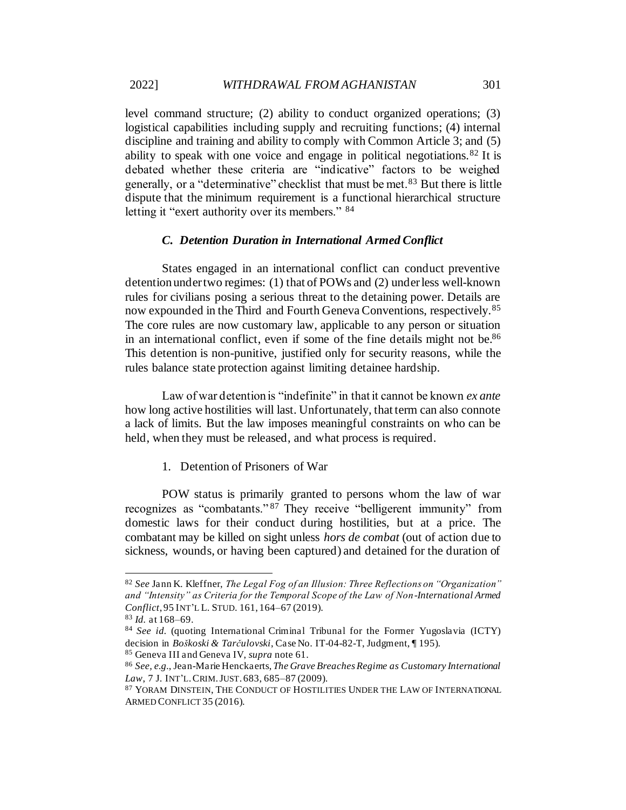level command structure; (2) ability to conduct organized operations; (3) logistical capabilities including supply and recruiting functions; (4) internal discipline and training and ability to comply with Common Article 3; and (5) ability to speak with one voice and engage in political negotiations.  $82$  It is debated whether these criteria are "indicative" factors to be weighed generally, or a "determinative" checklist that must be met.<sup>83</sup> But there is little dispute that the minimum requirement is a functional hierarchical structure letting it "exert authority over its members." 84

# *C. Detention Duration in International Armed Conflict*

<span id="page-16-0"></span>States engaged in an international conflict can conduct preventive detention under two regimes: (1) that of POWs and (2) under less well-known rules for civilians posing a serious threat to the detaining power. Details are now expounded in the Third and Fourth Geneva Conventions, respectively.<sup>85</sup> The core rules are now customary law, applicable to any person or situation in an international conflict, even if some of the fine details might not be.<sup>86</sup> This detention is non-punitive, justified only for security reasons, while the rules balance state protection against limiting detainee hardship.

Law of war detention is "indefinite" in that it cannot be known *ex ante* how long active hostilities will last. Unfortunately, that term can also connote a lack of limits. But the law imposes meaningful constraints on who can be held, when they must be released, and what process is required.

<span id="page-16-2"></span>1. Detention of Prisoners of War

<span id="page-16-1"></span>POW status is primarily granted to persons whom the law of war recognizes as "combatants." <sup>87</sup> They receive "belligerent immunity" from domestic laws for their conduct during hostilities, but at a price. The combatant may be killed on sight unless *hors de combat* (out of action due to sickness, wounds, or having been captured) and detained for the duration of

<sup>82</sup> *See* Jann K. Kleffner, *The Legal Fog of an Illusion: Three Reflections on "Organization" and "Intensity" as Criteria for the Temporal Scope of the Law of Non-International Armed Conflict*, 95 INT'L L. STUD. 161, 164–67 (2019).

<sup>83</sup> *Id.* at 168–69.

<sup>84</sup> *See id.* (quoting International Criminal Tribunal for the Former Yugoslavia (ICTY) decision in *Boškoski & Tarčulovski*, Case No. IT-04-82-T, Judgment, ¶ 195). <sup>85</sup> Geneva III and Geneva IV, *supra* not[e 61.](#page-12-0)

<sup>86</sup> *See, e.g.*, Jean-Marie Henckaerts, *The Grave Breaches Regime as Customary International Law*, 7 J. INT'L.CRIM.JUST. 683, 685–87 (2009).

<sup>87</sup> YORAM DINSTEIN, THE CONDUCT OF HOSTILITIES UNDER THE LAW OF INTERNATIONAL ARMED CONFLICT 35 (2016).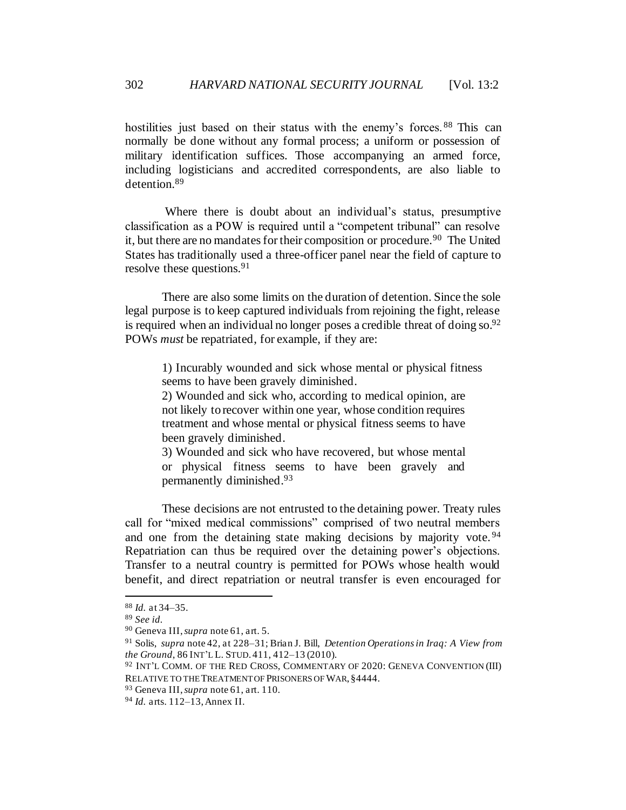hostilities just based on their status with the enemy's forces.<sup>88</sup> This can normally be done without any formal process; a uniform or possession of military identification suffices. Those accompanying an armed force, including logisticians and accredited correspondents, are also liable to detention.<sup>89</sup>

Where there is doubt about an individual's status, presumptive classification as a POW is required until a "competent tribunal" can resolve it, but there are no mandates for their composition or procedure.<sup>90</sup> The United States has traditionally used a three-officer panel near the field of capture to resolve these questions.<sup>91</sup>

<span id="page-17-1"></span>There are also some limits on the duration of detention. Since the sole legal purpose is to keep captured individuals from rejoining the fight, release is required when an individual no longer poses a credible threat of doing  $\delta$  so.<sup>92</sup> POWs *must* be repatriated, for example, if they are:

<span id="page-17-0"></span>1) Incurably wounded and sick whose mental or physical fitness seems to have been gravely diminished.

2) Wounded and sick who, according to medical opinion, are not likely to recover within one year, whose condition requires treatment and whose mental or physical fitness seems to have been gravely diminished.

3) Wounded and sick who have recovered, but whose mental or physical fitness seems to have been gravely and permanently diminished.<sup>93</sup>

These decisions are not entrusted to the detaining power. Treaty rules call for "mixed medical commissions" comprised of two neutral members and one from the detaining state making decisions by majority vote.<sup>94</sup> Repatriation can thus be required over the detaining power's objections. Transfer to a neutral country is permitted for POWs whose health would benefit, and direct repatriation or neutral transfer is even encouraged for

<sup>88</sup> *Id.* at 34–35.

<sup>89</sup> *See id.*

<sup>90</sup> Geneva III, *supra* not[e 61,](#page-12-0) art. 5.

<sup>91</sup> Solis, *supra* not[e 42,](#page-9-2) at 228–31; Brian J. Bill, *Detention Operations in Iraq: A View from the Ground*, 86 INT'L L. STUD. 411, 412–13 (2010).

<sup>92</sup> INT'L COMM. OF THE RED CROSS, COMMENTARY OF 2020: GENEVA CONVENTION (III) RELATIVE TO THE TREATMENT OF PRISONERS OF WAR, §4444.

<sup>93</sup> Geneva III, *supra* not[e 61,](#page-12-0) art. 110.

<sup>94</sup> *Id.* arts. 112–13, Annex II.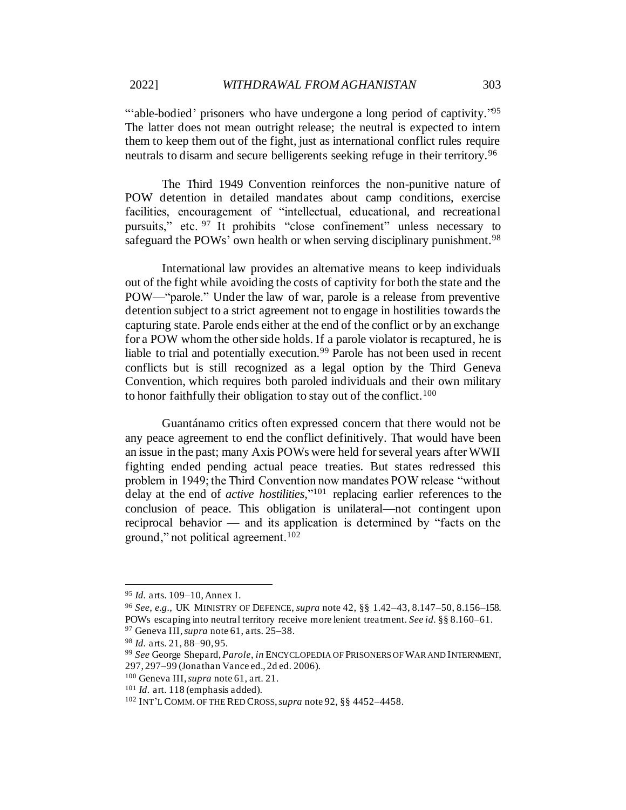"able-bodied' prisoners who have undergone a long period of captivity."<sup>95</sup> The latter does not mean outright release; the neutral is expected to intern them to keep them out of the fight, just as international conflict rules require neutrals to disarm and secure belligerents seeking refuge in their territory.<sup>96</sup>

The Third 1949 Convention reinforces the non-punitive nature of POW detention in detailed mandates about camp conditions, exercise facilities, encouragement of "intellectual, educational, and recreational pursuits," etc. <sup>97</sup> It prohibits "close confinement" unless necessary to safeguard the POWs' own health or when serving disciplinary punishment.<sup>98</sup>

International law provides an alternative means to keep individuals out of the fight while avoiding the costs of captivity for both the state and the POW—"parole." Under the law of war, parole is a release from preventive detention subject to a strict agreement not to engage in hostilities towards the capturing state. Parole ends either at the end of the conflict or by an exchange for a POW whom the other side holds. If a parole violator is recaptured, he is liable to trial and potentially execution.<sup>99</sup> Parole has not been used in recent conflicts but is still recognized as a legal option by the Third Geneva Convention, which requires both paroled individuals and their own military to honor faithfully their obligation to stay out of the conflict.<sup>100</sup>

Guantánamo critics often expressed concern that there would not be any peace agreement to end the conflict definitively. That would have been an issue in the past; many Axis POWs were held for several years after WWII fighting ended pending actual peace treaties. But states redressed this problem in 1949; the Third Convention now mandates POW release "without delay at the end of *active hostilities,*" <sup>101</sup> replacing earlier references to the conclusion of peace. This obligation is unilateral—not contingent upon reciprocal behavior — and its application is determined by "facts on the ground," not political agreement.<sup>102</sup>

<sup>95</sup> *Id.* arts. 109–10, Annex I.

<sup>96</sup> *See, e.g.*, UK MINISTRY OF DEFENCE, *supra* not[e 42](#page-9-2), §§ 1.42–43, 8.147–50, 8.156–158. POWs escaping into neutral territory receive more lenient treatment. *See id.* §§ 8.160–61. <sup>97</sup> Geneva III, *supra* not[e 61,](#page-12-0) arts. 25–38.

<sup>98</sup> *Id.* arts. 21, 88–90, 95.

<sup>99</sup> *See* George Shepard, *Parole*, *in* ENCYCLOPEDIA OF PRISONERS OF WAR AND INTERNMENT, 297, 297–99 (Jonathan Vance ed., 2d ed. 2006).

<sup>100</sup> Geneva III, *supra* not[e 61,](#page-12-0) art. 21.

<sup>101</sup> *Id.* art. 118 (emphasis added).

<sup>102</sup> INT'L COMM. OF THE RED CROSS, *supra* not[e 92](#page-17-0), §§ 4452–4458.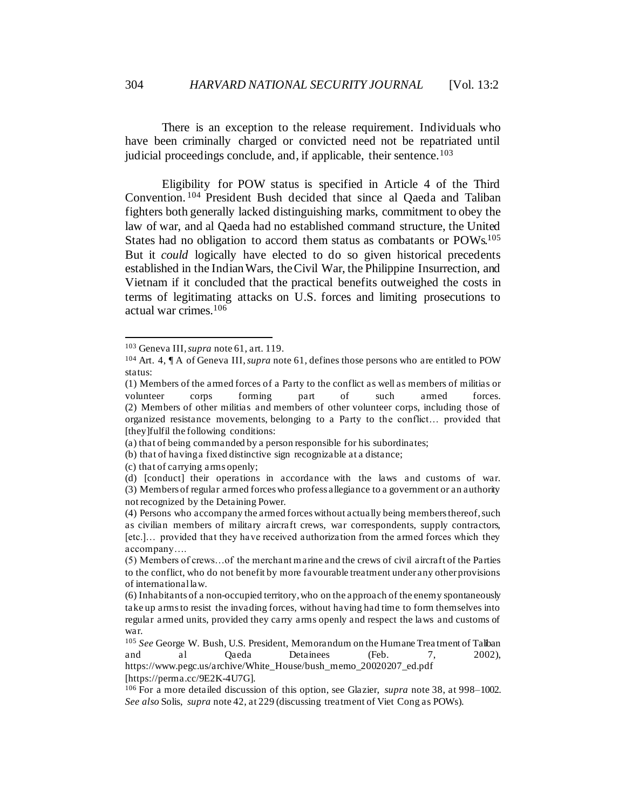There is an exception to the release requirement. Individuals who have been criminally charged or convicted need not be repatriated until judicial proceedings conclude, and, if applicable, their sentence.<sup>103</sup>

<span id="page-19-0"></span>Eligibility for POW status is specified in Article 4 of the Third Convention. <sup>104</sup> President Bush decided that since al Qaeda and Taliban fighters both generally lacked distinguishing marks, commitment to obey the law of war, and al Qaeda had no established command structure, the United States had no obligation to accord them status as combatants or POWs.<sup>105</sup> But it *could* logically have elected to do so given historical precedents established in the Indian Wars, the Civil War, the Philippine Insurrection, and Vietnam if it concluded that the practical benefits outweighed the costs in terms of legitimating attacks on U.S. forces and limiting prosecutions to actual war crimes.<sup>106</sup>

https://www.pegc.us/archive/White\_House/bush\_memo\_20020207\_ed.pdf

[https://perma.cc/9E2K-4U7G].

<sup>103</sup> Geneva III, *supra* not[e 61,](#page-12-0) art. 119.

<sup>104</sup> Art. 4, ¶ A of Geneva III, *supra* not[e 61](#page-12-0), defines those persons who are entitled to POW status:

<sup>(1)</sup> Members of the armed forces of a Party to the conflict as well as members of militias or volunteer corps forming part of such armed forces. (2) Members of other militias and members of other volunteer corps, including those of organized resistance movements, belonging to a Party to the conflict… provided that [they] fulfil the following conditions:

<sup>(</sup>a) that of being commanded by a person responsible for his subordinates;

<sup>(</sup>b) that of having a fixed distinctive sign recognizable at a distance;

<sup>(</sup>c) that of carrying arms openly;

<sup>(</sup>d) [conduct] their operations in accordance with the laws and customs of war. (3) Members of regular armed forces who profess allegiance to a government or an authority not recognized by the Detaining Power.

<sup>(4)</sup> Persons who accompany the armed forces without actually being members thereof, such as civilian members of military aircraft crews, war correspondents, supply contractors, [etc.]… provided that they have received authorization from the armed forces which they accompany….

<sup>(5)</sup> Members of crews…of the merchant marine and the crews of civil aircraft of the Parties to the conflict, who do not benefit by more favourable treatment under any other provisions of international law.

<sup>(6)</sup> Inhabitants of a non-occupied territory, who on the approach of the enemy spontaneously take up arms to resist the invading forces, without having had time to form themselves into regular armed units, provided they carry arms openly and respect the laws and customs of war.

<sup>105</sup> *See* George W. Bush, U.S. President, Memorandum on the Humane Trea tment of Taliban and al Qaeda Detainees (Feb. 7, 2002),

<sup>106</sup> For a more detailed discussion of this option, see Glazier, *supra* not[e 38](#page-9-3), at 998–1002. *See also* Solis, *supra* not[e 42,](#page-9-2) at 229 (discussing treatment of Viet Cong as POWs).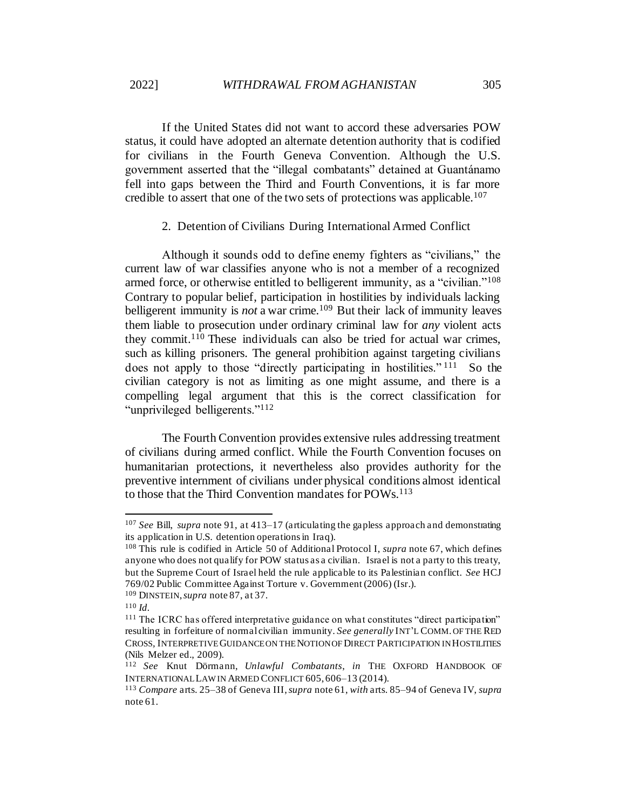If the United States did not want to accord these adversaries POW status, it could have adopted an alternate detention authority that is codified for civilians in the Fourth Geneva Convention. Although the U.S. government asserted that the "illegal combatants" detained at Guantánamo fell into gaps between the Third and Fourth Conventions, it is far more credible to assert that one of the two sets of protections was applicable.<sup>107</sup>

2. Detention of Civilians During International Armed Conflict

<span id="page-20-0"></span>Although it sounds odd to define enemy fighters as "civilians," the current law of war classifies anyone who is not a member of a recognized armed force, or otherwise entitled to belligerent immunity, as a "civilian."<sup>108</sup> Contrary to popular belief, participation in hostilities by individuals lacking belligerent immunity is *not* a war crime.<sup>109</sup> But their lack of immunity leaves them liable to prosecution under ordinary criminal law for *any* violent acts they commit.<sup>110</sup> These individuals can also be tried for actual war crimes, such as killing prisoners. The general prohibition against targeting civilians does not apply to those "directly participating in hostilities."<sup>111</sup> So the civilian category is not as limiting as one might assume, and there is a compelling legal argument that this is the correct classification for "unprivileged belligerents."<sup>112</sup>

<span id="page-20-1"></span>The Fourth Convention provides extensive rules addressing treatment of civilians during armed conflict. While the Fourth Convention focuses on humanitarian protections, it nevertheless also provides authority for the preventive internment of civilians under physical conditions almost identical to those that the Third Convention mandates for POWs.<sup>113</sup>

<sup>107</sup> *See* Bill, *supra* not[e 91,](#page-17-1) at 413–17 (articulating the gapless approach and demonstrating its application in U.S. detention operations in Iraq).

<sup>108</sup> This rule is codified in Article 50 of Additional Protocol I, *supra* not[e 67](#page-13-0), which defines anyone who does not qualify for POW status as a civilian. Israel is not a party to this treaty, but the Supreme Court of Israel held the rule applicable to its Palestinian conflict. *See* HCJ 769/02 Public Committee Against Torture v. Government (2006) (Isr.).

<sup>109</sup> DINSTEIN, *supra* not[e 87](#page-16-2), at 37.

<sup>110</sup> *Id.*

<sup>&</sup>lt;sup>111</sup> The ICRC has offered interpretative guidance on what constitutes "direct participation" resulting in forfeiture of normal civilian immunity. *See generally* INT'L COMM. OF THE RED CROSS*,* INTERPRETIVE GUIDANCE ON THE NOTION OF DIRECT PARTICIPATION IN HOSTILITIES (Nils Melzer ed., 2009).

<sup>112</sup> *See* Knut Dörmann, *Unlawful Combatants*, *in* THE OXFORD HANDBOOK OF INTERNATIONAL LAW IN ARMED CONFLICT 605, 606–13 (2014).

<sup>113</sup> *Compare* arts. 25–38 of Geneva III, *supra* not[e 61,](#page-12-0) *with* arts. 85–94 of Geneva IV, *supra* not[e 61.](#page-12-0)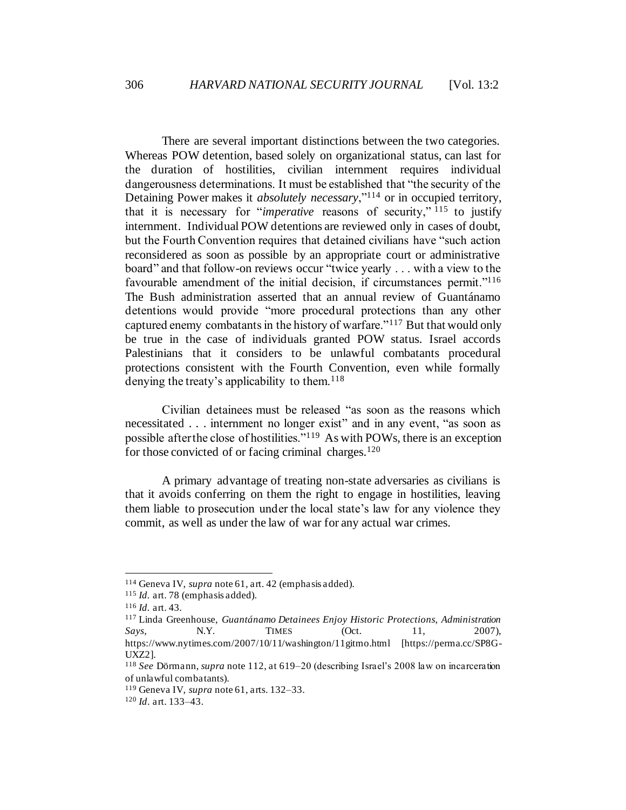There are several important distinctions between the two categories. Whereas POW detention, based solely on organizational status, can last for the duration of hostilities, civilian internment requires individual dangerousness determinations. It must be established that "the security of the Detaining Power makes it *absolutely necessary*,"<sup>114</sup> or in occupied territory, that it is necessary for "*imperative* reasons of security," <sup>115</sup> to justify internment. Individual POW detentions are reviewed only in cases of doubt, but the Fourth Convention requires that detained civilians have "such action reconsidered as soon as possible by an appropriate court or administrative board" and that follow-on reviews occur "twice yearly . . . with a view to the favourable amendment of the initial decision, if circumstances permit."<sup>116</sup> The Bush administration asserted that an annual review of Guantánamo detentions would provide "more procedural protections than any other captured enemy combatants in the history of warfare."<sup>117</sup> But that would only be true in the case of individuals granted POW status. Israel accords Palestinians that it considers to be unlawful combatants procedural protections consistent with the Fourth Convention, even while formally denying the treaty's applicability to them.<sup>118</sup>

Civilian detainees must be released "as soon as the reasons which necessitated . . . internment no longer exist" and in any event, "as soon as possible after the close of hostilities."<sup>119</sup> As with POWs, there is an exception for those convicted of or facing criminal charges. $120$ 

A primary advantage of treating non-state adversaries as civilians is that it avoids conferring on them the right to engage in hostilities, leaving them liable to prosecution under the local state's law for any violence they commit, as well as under the law of war for any actual war crimes.

<sup>114</sup> Geneva IV, *supra* not[e 61](#page-12-0), art. 42 (emphasis added).

<sup>115</sup> *Id.* art. 78 (emphasis added)*.*

<sup>116</sup> *Id.* art. 43*.*

<sup>117</sup> Linda Greenhouse, *Guantánamo Detainees Enjoy Historic Protections, Administration Says*, **N.Y.** TIMES (Oct. 11, 2007), https://www.nytimes.com/2007/10/11/washington/11gitmo.html [https://perma.cc/SP8G-UXZ2].

<sup>118</sup> *See* Dörmann, *supra* not[e 112](#page-20-1), at 619–20 (describing Israel's 2008 law on incarceration of unlawful combatants).

<sup>119</sup> Geneva IV, *supra* not[e 61](#page-12-0), arts. 132–33.

<sup>120</sup> *Id*. art. 133–43.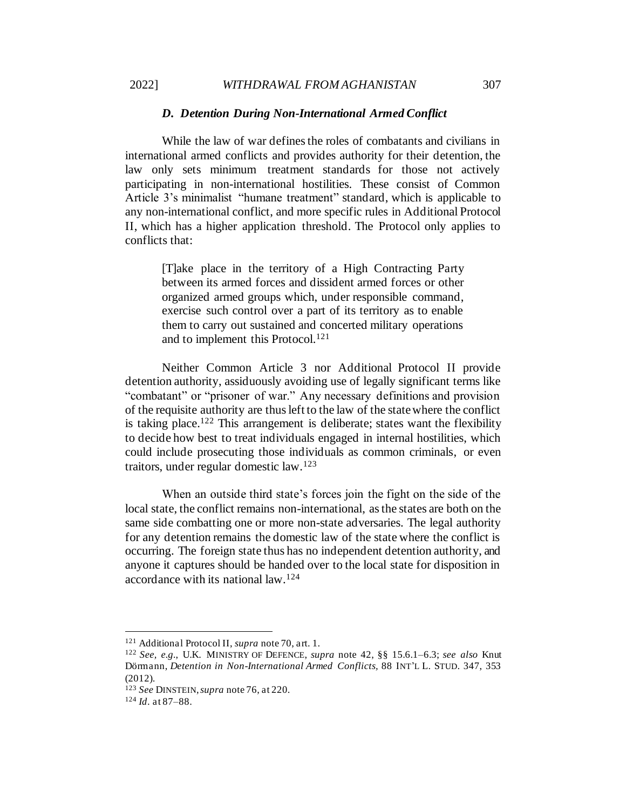#### *D. Detention During Non-International Armed Conflict*

<span id="page-22-0"></span>While the law of war defines the roles of combatants and civilians in international armed conflicts and provides authority for their detention, the law only sets minimum treatment standards for those not actively participating in non-international hostilities. These consist of Common Article 3's minimalist "humane treatment" standard, which is applicable to any non-international conflict, and more specific rules in Additional Protocol II, which has a higher application threshold. The Protocol only applies to conflicts that:

[T]ake place in the territory of a High Contracting Party between its armed forces and dissident armed forces or other organized armed groups which, under responsible command, exercise such control over a part of its territory as to enable them to carry out sustained and concerted military operations and to implement this Protocol.<sup>121</sup>

<span id="page-22-1"></span>Neither Common Article 3 nor Additional Protocol II provide detention authority, assiduously avoiding use of legally significant terms like "combatant" or "prisoner of war." Any necessary definitions and provision of the requisite authority are thus left to the law of the state where the conflict is taking place.<sup>122</sup> This arrangement is deliberate; states want the flexibility to decide how best to treat individuals engaged in internal hostilities, which could include prosecuting those individuals as common criminals, or even traitors, under regular domestic law.<sup>123</sup>

When an outside third state's forces join the fight on the side of the local state, the conflict remains non-international, as the states are both on the same side combatting one or more non-state adversaries. The legal authority for any detention remains the domestic law of the state where the conflict is occurring. The foreign state thus has no independent detention authority, and anyone it captures should be handed over to the local state for disposition in accordance with its national law.<sup>124</sup>

<sup>121</sup> Additional Protocol II, *supra* not[e 70](#page-13-1), art. 1.

<sup>122</sup> *See, e.g.*, U.K. MINISTRY OF DEFENCE, *supra* note [42](#page-9-2), §§ 15.6.1–6.3; *see also* Knut Dörmann, *Detention in Non-International Armed Conflicts,* 88 INT'L L. STUD. 347, 353 (2012).

<sup>123</sup> *See* DINSTEIN, *supra* note 76, at 220.

<sup>124</sup> *Id*. at 87–88.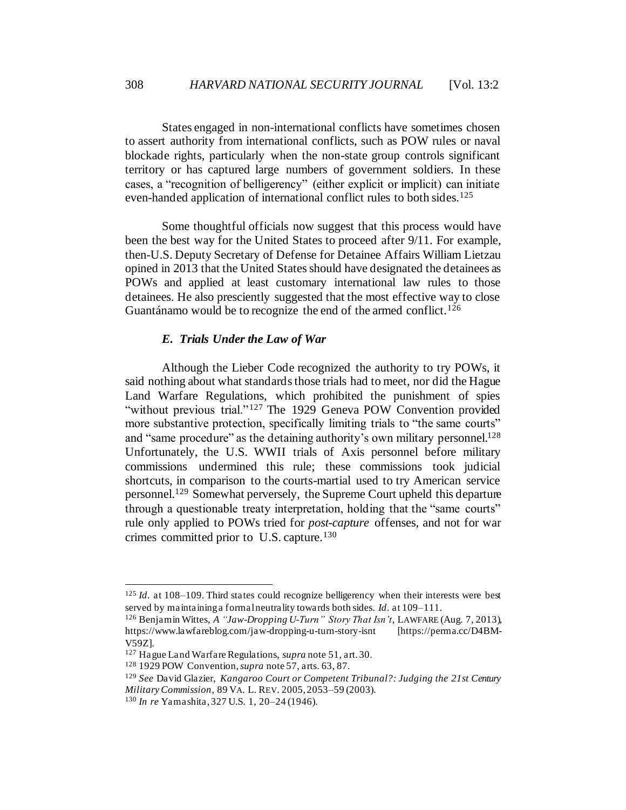States engaged in non-international conflicts have sometimes chosen to assert authority from international conflicts, such as POW rules or naval blockade rights, particularly when the non-state group controls significant territory or has captured large numbers of government soldiers. In these cases, a "recognition of belligerency" (either explicit or implicit) can initiate even-handed application of international conflict rules to both sides.<sup>125</sup>

Some thoughtful officials now suggest that this process would have been the best way for the United States to proceed after 9/11. For example, then-U.S. Deputy Secretary of Defense for Detainee Affairs William Lietzau opined in 2013 that the United States should have designated the detainees as POWs and applied at least customary international law rules to those detainees. He also presciently suggested that the most effective way to close Guantánamo would be to recognize the end of the armed conflict.<sup>126</sup>

#### *E. Trials Under the Law of War*

<span id="page-23-0"></span>Although the Lieber Code recognized the authority to try POWs, it said nothing about what standards those trials had to meet, nor did the Hague Land Warfare Regulations, which prohibited the punishment of spies "without previous trial."<sup>127</sup> The 1929 Geneva POW Convention provided more substantive protection, specifically limiting trials to "the same courts" and "same procedure" as the detaining authority's own military personnel.<sup>128</sup> Unfortunately, the U.S. WWII trials of Axis personnel before military commissions undermined this rule; these commissions took judicial shortcuts, in comparison to the courts-martial used to try American service personnel.<sup>129</sup> Somewhat perversely, the Supreme Court upheld this departure through a questionable treaty interpretation, holding that the "same courts" rule only applied to POWs tried for *post-capture* offenses, and not for war crimes committed prior to U.S. capture.<sup>130</sup>

<sup>125</sup> *Id*. at 108–109. Third states could recognize belligerency when their interests were best served by maintaining a formal neutrality towards both sides. *Id*. at 109–111.

<sup>126</sup> Benjamin Wittes, *A "Jaw-Dropping U-Turn" Story That Isn't*, LAWFARE (Aug. 7, 2013), https://www.lawfareblog.com/jaw-dropping-u-turn-story-isnt [https://perma.cc/D4BM-V59Z].

<sup>127</sup> Hague Land Warfare Regulations, *supra* not[e 51,](#page-11-2) art. 30.

<sup>128</sup> 1929 POW Convention, *supra* not[e 57,](#page-11-3) arts. 63, 87.

<sup>129</sup> *See* David Glazier, *Kangaroo Court or Competent Tribunal?: Judging the 21st Century Military Commission*, 89 VA. L. REV. 2005, 2053–59 (2003).

<sup>130</sup> *In re* Yamashita, 327 U.S. 1, 20–24 (1946).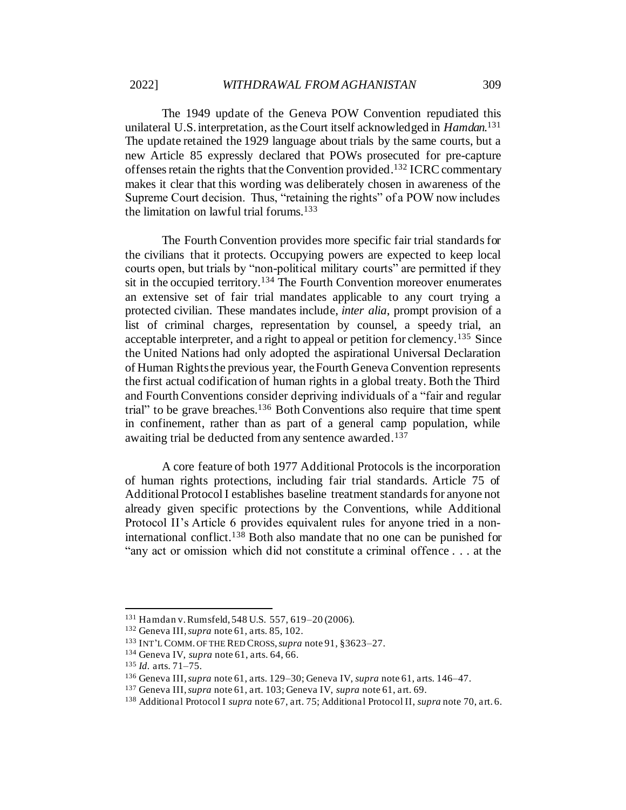The 1949 update of the Geneva POW Convention repudiated this unilateral U.S. interpretation, as the Court itself acknowledged in *Hamdan*. 131 The update retained the 1929 language about trials by the same courts, but a new Article 85 expressly declared that POWs prosecuted for pre-capture offenses retain the rights that the Convention provided.<sup>132</sup> ICRC commentary makes it clear that this wording was deliberately chosen in awareness of the Supreme Court decision. Thus, "retaining the rights" of a POW now includes the limitation on lawful trial forums.<sup>133</sup>

The Fourth Convention provides more specific fair trial standards for the civilians that it protects. Occupying powers are expected to keep local courts open, but trials by "non-political military courts" are permitted if they sit in the occupied territory.<sup>134</sup> The Fourth Convention moreover enumerates an extensive set of fair trial mandates applicable to any court trying a protected civilian. These mandates include, *inter alia*, prompt provision of a list of criminal charges, representation by counsel, a speedy trial, an acceptable interpreter, and a right to appeal or petition for clemency.<sup>135</sup> Since the United Nations had only adopted the aspirational Universal Declaration of Human Rights the previous year, the Fourth Geneva Convention represents the first actual codification of human rights in a global treaty. Both the Third and Fourth Conventions consider depriving individuals of a "fair and regular trial" to be grave breaches.<sup>136</sup> Both Conventions also require that time spent in confinement, rather than as part of a general camp population, while awaiting trial be deducted from any sentence awarded.<sup>137</sup>

A core feature of both 1977 Additional Protocols is the incorporation of human rights protections, including fair trial standards. Article 75 of Additional Protocol I establishes baseline treatment standards for anyone not already given specific protections by the Conventions, while Additional Protocol II's Article 6 provides equivalent rules for anyone tried in a noninternational conflict.<sup>138</sup> Both also mandate that no one can be punished for "any act or omission which did not constitute a criminal offence . . . at the

<sup>131</sup> Hamdan v. Rumsfeld, 548 U.S. 557, 619–20 (2006).

<sup>132</sup> Geneva III, *supra* not[e 61,](#page-12-0) arts. 85, 102.

<sup>133</sup> INT'L COMM. OF THE RED CROSS, *supra* note 91, §3623–27.

<sup>134</sup> Geneva IV, *supra* not[e 61](#page-12-0), arts. 64, 66.

<sup>135</sup> *Id.* arts. 71–75.

<sup>136</sup> Geneva III, *supra* not[e 61,](#page-12-0) arts. 129–30; Geneva IV, *supra* not[e 61](#page-12-0), arts. 146–47.

<sup>137</sup> Geneva III, *supra* not[e 61,](#page-12-0) art. 103; Geneva IV, *supra* not[e 61](#page-12-0), art. 69.

<sup>138</sup> Additional Protocol I *supra* not[e 67](#page-13-0), art. 75; Additional Protocol II, *supra* not[e 70](#page-13-1), art. 6.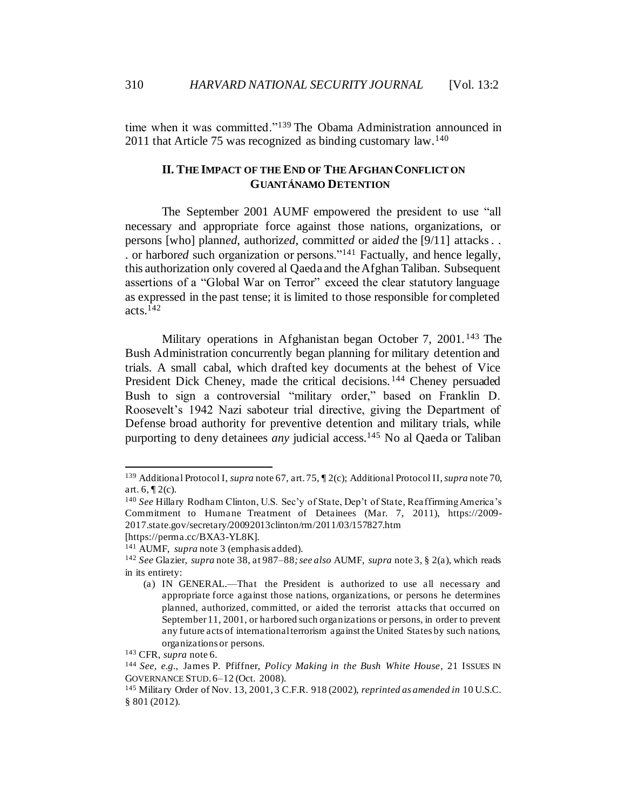310 *HARVARD NATIONAL SECURITY JOURNAL* [Vol. 13:2

time when it was committed."<sup>139</sup> The Obama Administration announced in 2011 that Article 75 was recognized as binding customary law.<sup>140</sup>

# <span id="page-25-0"></span>**II. THE IMPACT OF THE END OF THE AFGHAN CONFLICT ON GUANTÁNAMO DETENTION**

The September 2001 AUMF empowered the president to use "all necessary and appropriate force against those nations, organizations, or persons [who] plann*ed*, authoriz*ed*, committ*ed* or aid*ed* the [9/11] attacks. . . or harbor*ed* such organization or persons."<sup>141</sup> Factually, and hence legally, this authorization only covered al Qaeda and the Afghan Taliban. Subsequent assertions of a "Global War on Terror" exceed the clear statutory language as expressed in the past tense; it is limited to those responsible for completed acts.<sup>142</sup>

Military operations in Afghanistan began October 7, 2001. <sup>143</sup> The Bush Administration concurrently began planning for military detention and trials. A small cabal, which drafted key documents at the behest of Vice President Dick Cheney, made the critical decisions.<sup>144</sup> Cheney persuaded Bush to sign a controversial "military order," based on Franklin D. Roosevelt's 1942 Nazi saboteur trial directive, giving the Department of Defense broad authority for preventive detention and military trials, while purporting to deny detainees *any* judicial access.<sup>145</sup> No al Qaeda or Taliban

<sup>139</sup> Additional Protocol I, *supra* not[e 67](#page-13-0), art. 75, ¶ 2(c); Additional Protocol II, *supra* not[e 70,](#page-13-1) art.  $6, \P 2(c)$ .

<sup>140</sup> *See* Hillary Rodham Clinton, U.S. Sec'y of State, Dep't of State, Reaffirming America's Commitment to Humane Treatment of Detainees (Mar. 7, 2011), https://2009- 2017.state.gov/secretary/20092013clinton/rm/2011/03/157827.htm

<sup>[</sup>https://perma.cc/BXA3-YL8K].

<sup>141</sup> AUMF, *supra* not[e 3](#page-3-1) (emphasis added).

<sup>142</sup> *See* Glazier, *supra* not[e 38](#page-9-3), at 987–88*; see also* AUMF, *supra* not[e 3,](#page-3-1) § 2(a), which reads in its entirety:

<sup>(</sup>a) IN GENERAL.—That the President is authorized to use all necessary and appropriate force against those nations, organizations, or persons he determines planned, authorized, committed, or aided the terrorist attacks that occurred on September 11, 2001, or harbored such organizations or persons, in order to prevent any future acts of international terrorism against the United States by such nations, organizations or persons.

<sup>143</sup> CFR*, supra* not[e 6.](#page-3-0)

<sup>144</sup> *See, e.g.*, James P. Pfiffner, *Policy Making in the Bush White House*, 21 ISSUES IN GOVERNANCE STUD. 6–12 (Oct. 2008).

<sup>145</sup> Military Order of Nov. 13, 2001, 3 C.F.R. 918 (2002), *reprinted as amended in* 10 U.S.C. § 801 (2012).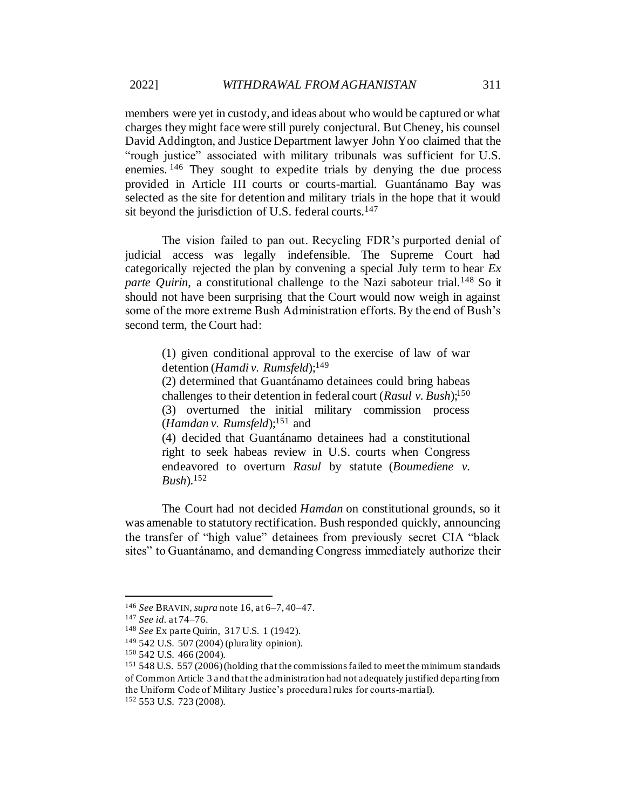members were yet in custody, and ideas about who would be captured or what charges they might face were still purely conjectural. But Cheney, his counsel David Addington, and Justice Department lawyer John Yoo claimed that the "rough justice" associated with military tribunals was sufficient for U.S. enemies. <sup>146</sup> They sought to expedite trials by denying the due process provided in Article III courts or courts-martial. Guantánamo Bay was selected as the site for detention and military trials in the hope that it would sit beyond the jurisdiction of U.S. federal courts.<sup>147</sup>

The vision failed to pan out. Recycling FDR's purported denial of judicial access was legally indefensible. The Supreme Court had categorically rejected the plan by convening a special July term to hear *Ex parte Ouirin*, a constitutional challenge to the Nazi saboteur trial.<sup>148</sup> So it should not have been surprising that the Court would now weigh in against some of the more extreme Bush Administration efforts. By the end of Bush's second term, the Court had:

(1) given conditional approval to the exercise of law of war detention (*Hamdi v. Rumsfeld*); 149

(2) determined that Guantánamo detainees could bring habeas challenges to their detention in federal court (*Rasul v. Bush*); 150 (3) overturned the initial military commission process (*Hamdan v. Rumsfeld*); <sup>151</sup> and

(4) decided that Guantánamo detainees had a constitutional right to seek habeas review in U.S. courts when Congress endeavored to overturn *Rasul* by statute (*Boumediene v. Bush*). 152

The Court had not decided *Hamdan* on constitutional grounds, so it was amenable to statutory rectification. Bush responded quickly, announcing the transfer of "high value" detainees from previously secret CIA "black sites" to Guantánamo, and demanding Congress immediately authorize their

<sup>146</sup> *See* BRAVIN, *supra* not[e 16](#page-5-0), at 6–7, 40–47.

<sup>147</sup> *See id.* at 74–76.

<sup>148</sup> *See* Ex parte Quirin, 317 U.S. 1 (1942).

<sup>149</sup> 542 U.S. 507 (2004) (plurality opinion).

<sup>150</sup> 542 U.S. 466 (2004).

<sup>&</sup>lt;sup>151</sup> 548 U.S. 557 (2006) (holding that the commissions failed to meet the minimum standards of Common Article 3 and that the administration had not adequately justified departing from the Uniform Code of Military Justice's procedural rules for courts-martial).

<sup>152</sup> 553 U.S. 723 (2008).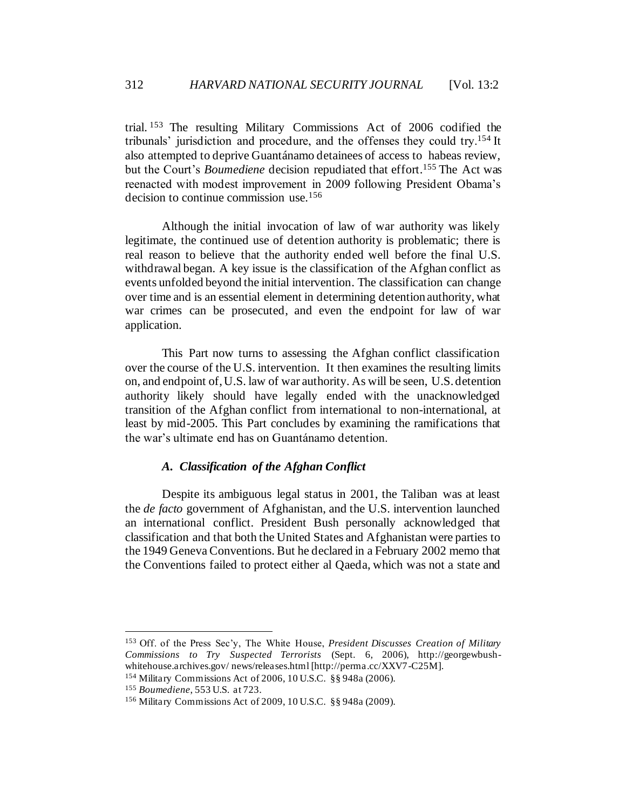trial. <sup>153</sup> The resulting Military Commissions Act of 2006 codified the tribunals' jurisdiction and procedure, and the offenses they could try.<sup>154</sup> It also attempted to deprive Guantánamo detainees of access to habeas review, but the Court's *Boumediene* decision repudiated that effort. <sup>155</sup> The Act was reenacted with modest improvement in 2009 following President Obama's decision to continue commission use.<sup>156</sup>

Although the initial invocation of law of war authority was likely legitimate, the continued use of detention authority is problematic; there is real reason to believe that the authority ended well before the final U.S. withdrawal began. A key issue is the classification of the Afghan conflict as events unfolded beyond the initial intervention. The classification can change over time and is an essential element in determining detention authority, what war crimes can be prosecuted, and even the endpoint for law of war application.

This Part now turns to assessing the Afghan conflict classification over the course of the U.S. intervention. It then examines the resulting limits on, and endpoint of, U.S. law of war authority. As will be seen, U.S. detention authority likely should have legally ended with the unacknowledged transition of the Afghan conflict from international to non-international, at least by mid-2005. This Part concludes by examining the ramifications that the war's ultimate end has on Guantánamo detention.

# *A. Classification of the Afghan Conflict*

<span id="page-27-0"></span>Despite its ambiguous legal status in 2001, the Taliban was at least the *de facto* government of Afghanistan, and the U.S. intervention launched an international conflict. President Bush personally acknowledged that classification and that both the United States and Afghanistan were parties to the 1949 Geneva Conventions. But he declared in a February 2002 memo that the Conventions failed to protect either al Qaeda, which was not a state and

<sup>153</sup> Off. of the Press Sec'y, The White House, *President Discusses Creation of Military Commissions to Try Suspected Terrorists* (Sept. 6, 2006), http://georgewbushwhitehouse.archives.gov/news/releases.html [http://perma.cc/XXV7-C25M].

<sup>154</sup> Military Commissions Act of 2006, 10 U.S.C. §§ 948a (2006).

<sup>155</sup> *Boumediene*, 553 U.S. at 723.

<sup>156</sup> Military Commissions Act of 2009, 10 U.S.C. §§ 948a (2009).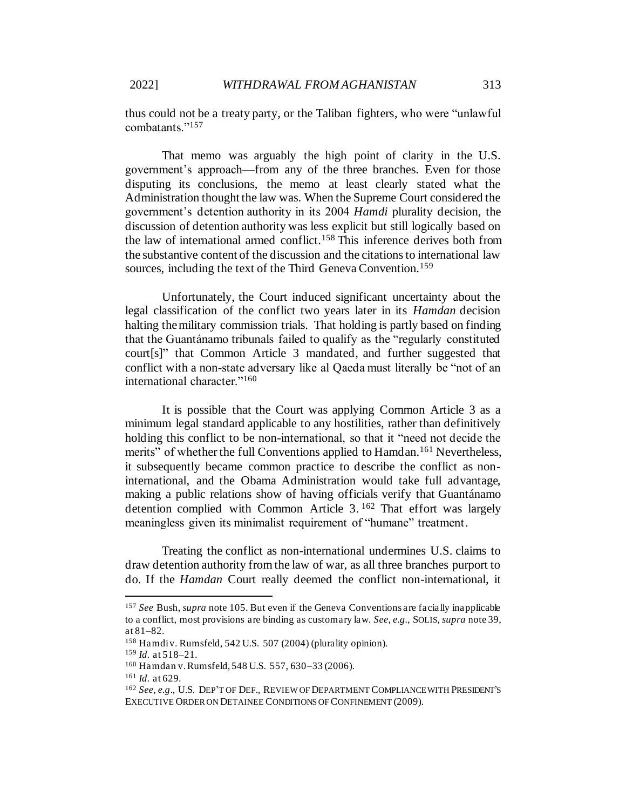thus could not be a treaty party, or the Taliban fighters, who were "unlawful combatants."<sup>157</sup>

That memo was arguably the high point of clarity in the U.S. government's approach—from any of the three branches. Even for those disputing its conclusions, the memo at least clearly stated what the Administration thought the law was. When the Supreme Court considered the government's detention authority in its 2004 *Hamdi* plurality decision, the discussion of detention authority was less explicit but still logically based on the law of international armed conflict.<sup>158</sup> This inference derives both from the substantive content of the discussion and the citations to international law sources, including the text of the Third Geneva Convention.<sup>159</sup>

Unfortunately, the Court induced significant uncertainty about the legal classification of the conflict two years later in its *Hamdan* decision halting the military commission trials. That holding is partly based on finding that the Guantánamo tribunals failed to qualify as the "regularly constituted court[s]" that Common Article 3 mandated, and further suggested that conflict with a non-state adversary like al Qaeda must literally be "not of an international character."<sup>160</sup>

It is possible that the Court was applying Common Article 3 as a minimum legal standard applicable to any hostilities, rather than definitively holding this conflict to be non-international, so that it "need not decide the merits" of whether the full Conventions applied to Hamdan.<sup>161</sup> Nevertheless, it subsequently became common practice to describe the conflict as noninternational, and the Obama Administration would take full advantage, making a public relations show of having officials verify that Guantánamo detention complied with Common Article 3. <sup>162</sup> That effort was largely meaningless given its minimalist requirement of "humane" treatment.

Treating the conflict as non-international undermines U.S. claims to draw detention authority from the law of war, as all three branches purport to do. If the *Hamdan* Court really deemed the conflict non-international, it

<sup>157</sup> *See* Bush, *supra* not[e 105](#page-19-0). But even if the Geneva Conventions are facially inapplicable to a conflict, most provisions are binding as customary law. *See, e.g.,* SOLIS, *supra* note [39,](#page-9-4) at 81–82.

 $158$  Hamdi v. Rumsfeld, 542 U.S. 507 (2004) (plurality opinion).

<sup>159</sup> *Id.* at 518–21.

<sup>160</sup> Hamdan v. Rumsfeld, 548 U.S. 557, 630–33 (2006).

<sup>161</sup> *Id.* at 629.

<sup>162</sup> *See, e.g*., U.S. DEP'T OF DEF., REVIEW OF DEPARTMENT COMPLIANCE WITH PRESIDENT'S EXECUTIVE ORDER ON DETAINEE CONDITIONS OF CONFINEMENT (2009).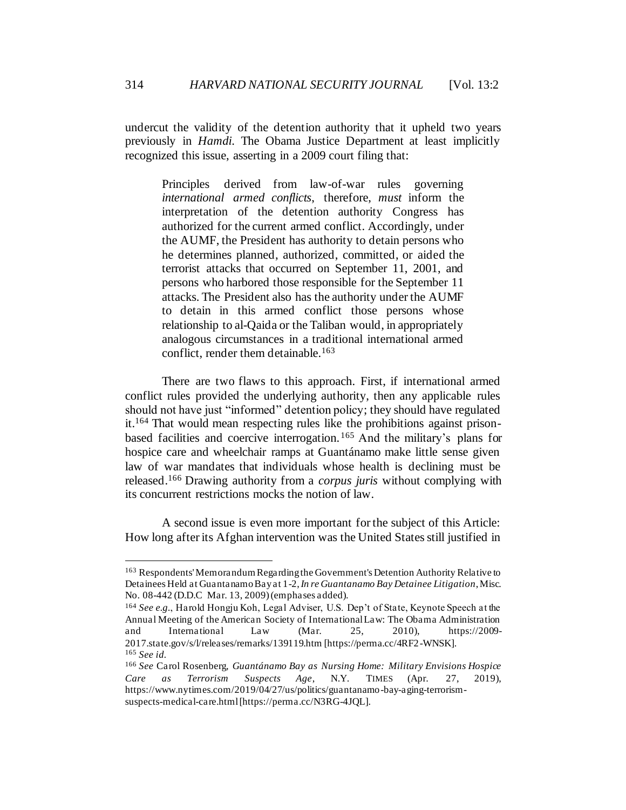undercut the validity of the detention authority that it upheld two years previously in *Hamdi*. The Obama Justice Department at least implicitly recognized this issue, asserting in a 2009 court filing that:

Principles derived from law-of-war rules governing *international armed conflicts*, therefore, *must* inform the interpretation of the detention authority Congress has authorized for the current armed conflict. Accordingly, under the AUMF, the President has authority to detain persons who he determines planned, authorized, committed, or aided the terrorist attacks that occurred on September 11, 2001, and persons who harbored those responsible for the September 11 attacks. The President also has the authority under the AUMF to detain in this armed conflict those persons whose relationship to al-Qaida or the Taliban would, in appropriately analogous circumstances in a traditional international armed conflict, render them detainable.<sup>163</sup>

There are two flaws to this approach. First, if international armed conflict rules provided the underlying authority, then any applicable rules should not have just "informed" detention policy; they should have regulated it.<sup>164</sup> That would mean respecting rules like the prohibitions against prisonbased facilities and coercive interrogation. <sup>165</sup> And the military's plans for hospice care and wheelchair ramps at Guantánamo make little sense given law of war mandates that individuals whose health is declining must be released.<sup>166</sup> Drawing authority from a *corpus juris* without complying with its concurrent restrictions mocks the notion of law.

A second issue is even more important for the subject of this Article: How long after its Afghan intervention was the United States still justified in

<sup>&</sup>lt;sup>163</sup> Respondents' Memorandum Regarding the Government's Detention Authority Relative to Detainees Held at Guantanamo Bay at 1-2, *In re Guantanamo Bay Detainee Litigation*, Misc. No. 08-442 (D.D.C Mar. 13, 2009) (emphases added).

<sup>164</sup> *See e.g.*, Harold Hongju Koh, Legal Adviser, U.S. Dep't of State, Keynote Speech at the Annual Meeting of the American Society of International Law: The Obama Administration and Interna tional Law (Mar. 25, 2010), https://2009- 2017.state.gov/s/l/releases/remarks/139119.htm [https://perma.cc/4RF2-WNSK]. <sup>165</sup> *See id.*

<sup>166</sup> *See* Carol Rosenberg, *Guantánamo Bay as Nursing Home: Military Envisions Hospice Care as Terrorism Suspects Age*, N.Y. TIMES (Apr. 27, 2019), https://www.nytimes.com/2019/04/27/us/politics/guantanamo-bay-aging-terrorismsuspects-medical-care.html [https://perma.cc/N3RG-4JQL].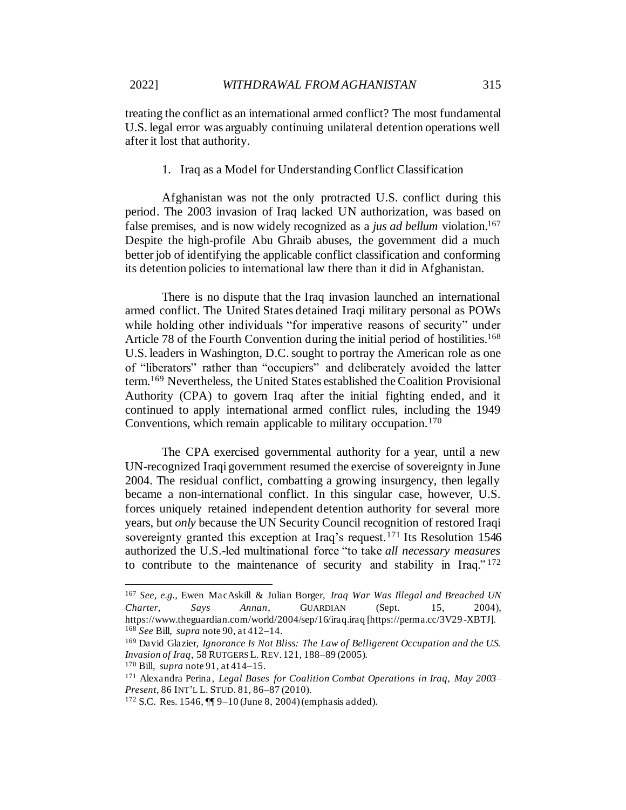1. Iraq as a Model for Understanding Conflict Classification

<span id="page-30-0"></span>Afghanistan was not the only protracted U.S. conflict during this period. The 2003 invasion of Iraq lacked UN authorization, was based on false premises, and is now widely recognized as a *jus ad bellum* violation.<sup>167</sup> Despite the high-profile Abu Ghraib abuses, the government did a much better job of identifying the applicable conflict classification and conforming its detention policies to international law there than it did in Afghanistan.

There is no dispute that the Iraq invasion launched an international armed conflict. The United States detained Iraqi military personal as POWs while holding other individuals "for imperative reasons of security" under Article 78 of the Fourth Convention during the initial period of hostilities.<sup>168</sup> U.S. leaders in Washington, D.C. sought to portray the American role as one of "liberators" rather than "occupiers" and deliberately avoided the latter term.<sup>169</sup> Nevertheless, the United States established the Coalition Provisional Authority (CPA) to govern Iraq after the initial fighting ended, and it continued to apply international armed conflict rules, including the 1949 Conventions, which remain applicable to military occupation.<sup>170</sup>

The CPA exercised governmental authority for a year, until a new UN-recognized Iraqi government resumed the exercise of sovereignty in June 2004. The residual conflict, combatting a growing insurgency, then legally became a non-international conflict. In this singular case, however, U.S. forces uniquely retained independent detention authority for several more years, but *only* because the UN Security Council recognition of restored Iraqi sovereignty granted this exception at Iraq's request.<sup>171</sup> Its Resolution 1546 authorized the U.S.-led multinational force "to take *all necessary measures* to contribute to the maintenance of security and stability in Iraq." <sup>172</sup>

<sup>167</sup> *See, e.g.*, Ewen MacAskill & Julian Borger, *Iraq War Was Illegal and Breached UN Charter, Says Annan*, GUARDIAN (Sept. 15, 2004), https://www.theguardian.com/world/2004/sep/16/iraq.iraq [https://perma.cc/3V29 -XBTJ]. <sup>168</sup> *See* Bill, *supra* note 90, at 412–14.

<sup>169</sup> David Glazier, *Ignorance Is Not Bliss: The Law of Belligerent Occupation and the U.S. Invasion of Iraq*, 58 RUTGERS L. REV. 121, 188–89 (2005).

<sup>170</sup> Bill, *supra* not[e 91,](#page-17-1) at 414–15.

<sup>171</sup> Alexandra Perina*, Legal Bases for Coalition Combat Operations in Iraq, May 2003– Present*, 86 INT'L L. STUD. 81, 86–87 (2010).

<sup>172</sup> S.C. Res. 1546, ¶¶ 9–10 (June 8, 2004) (emphasis added).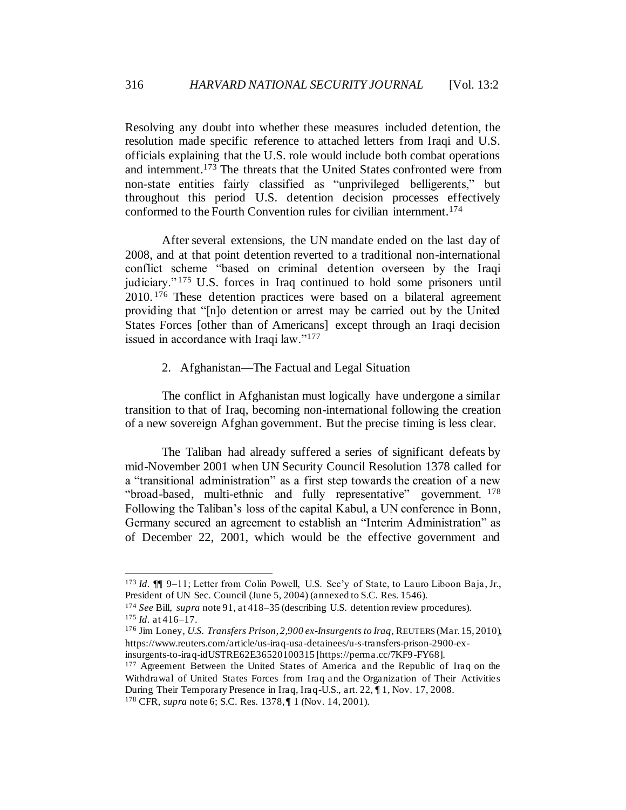Resolving any doubt into whether these measures included detention, the resolution made specific reference to attached letters from Iraqi and U.S. officials explaining that the U.S. role would include both combat operations and internment.<sup>173</sup> The threats that the United States confronted were from non-state entities fairly classified as "unprivileged belligerents," but throughout this period U.S. detention decision processes effectively conformed to the Fourth Convention rules for civilian internment.<sup>174</sup>

After several extensions, the UN mandate ended on the last day of 2008, and at that point detention reverted to a traditional non-international conflict scheme "based on criminal detention overseen by the Iraqi judiciary." <sup>175</sup> U.S. forces in Iraq continued to hold some prisoners until 2010. <sup>176</sup> These detention practices were based on a bilateral agreement providing that "[n]o detention or arrest may be carried out by the United States Forces [other than of Americans] except through an Iraqi decision issued in accordance with Iraqi law."<sup>177</sup>

#### 2. Afghanistan—The Factual and Legal Situation

<span id="page-31-0"></span>The conflict in Afghanistan must logically have undergone a similar transition to that of Iraq, becoming non-international following the creation of a new sovereign Afghan government. But the precise timing is less clear.

The Taliban had already suffered a series of significant defeats by mid-November 2001 when UN Security Council Resolution 1378 called for a "transitional administration" as a first step towards the creation of a new "broad-based, multi-ethnic and fully representative" government.  $178$ Following the Taliban's loss of the capital Kabul, a UN conference in Bonn, Germany secured an agreement to establish an "Interim Administration" as of December 22, 2001, which would be the effective government and

<sup>173</sup> *Id.* ¶¶ 9–11; Letter from Colin Powell, U.S. Sec'y of State, to Lauro Liboon Baja, Jr., President of UN Sec. Council (June 5, 2004) (annexed to S.C. Res. 1546).

<sup>174</sup> *See* Bill, *supra* not[e 91](#page-17-1), at 418–35 (describing U.S. detention review procedures). <sup>175</sup> *Id.* at 416–17.

<sup>176</sup> Jim Loney, *U.S. Transfers Prison, 2,900 ex-Insurgents to Iraq*, REUTERS (Mar. 15, 2010), https://www.reuters.com/article/us-iraq-usa-detainees/u-s-transfers-prison-2900-exinsurgents-to-iraq-idUSTRE62E36520100315 [https://perma.cc/7KF9-FY68].

<sup>&</sup>lt;sup>177</sup> Agreement Between the United States of America and the Republic of Iraq on the Withdrawal of United States Forces from Iraq and the Organization of Their Activities During Their Temporary Presence in Iraq, Iraq-U.S., art. 22, ¶ 1, Nov. 17, 2008. <sup>178</sup> CFR, *supra* not[e 6;](#page-3-0) S.C. Res. 1378, ¶ 1 (Nov. 14, 2001).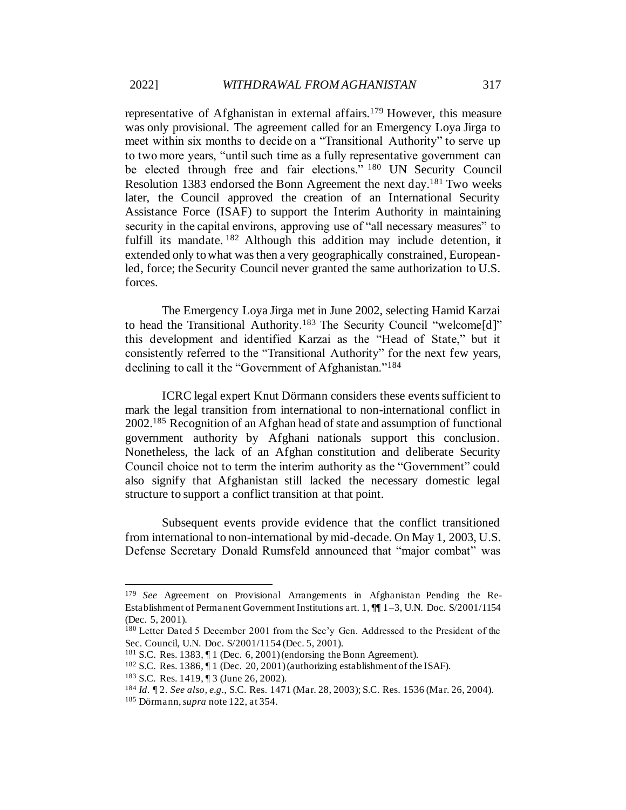representative of Afghanistan in external affairs.<sup>179</sup> However, this measure was only provisional. The agreement called for an Emergency Loya Jirga to meet within six months to decide on a "Transitional Authority" to serve up to two more years, "until such time as a fully representative government can be elected through free and fair elections."<sup>180</sup> UN Security Council Resolution 1383 endorsed the Bonn Agreement the next day.<sup>181</sup> Two weeks later, the Council approved the creation of an International Security Assistance Force (ISAF) to support the Interim Authority in maintaining security in the capital environs, approving use of "all necessary measures" to fulfill its mandate.<sup>182</sup> Although this addition may include detention, it extended only to what was then a very geographically constrained, Europeanled, force; the Security Council never granted the same authorization to U.S. forces.

The Emergency Loya Jirga met in June 2002, selecting Hamid Karzai to head the Transitional Authority.<sup>183</sup> The Security Council "welcome[d]" this development and identified Karzai as the "Head of State," but it consistently referred to the "Transitional Authority" for the next few years, declining to call it the "Government of Afghanistan."<sup>184</sup>

ICRC legal expert Knut Dörmann considers these events sufficient to mark the legal transition from international to non-international conflict in 2002.<sup>185</sup> Recognition of an Afghan head of state and assumption of functional government authority by Afghani nationals support this conclusion. Nonetheless, the lack of an Afghan constitution and deliberate Security Council choice not to term the interim authority as the "Government" could also signify that Afghanistan still lacked the necessary domestic legal structure to support a conflict transition at that point.

Subsequent events provide evidence that the conflict transitioned from international to non-international by mid-decade. On May 1, 2003, U.S. Defense Secretary Donald Rumsfeld announced that "major combat" was

<sup>179</sup> *See* Agreement on Provisional Arrangements in Afghanistan Pending the Re-Establishment of Permanent Government Institutions art. 1, ¶¶ 1–3, U.N. Doc. S/2001/1154 (Dec. 5, 2001).

<sup>180</sup> Letter Dated 5 December 2001 from the Sec'y Gen. Addressed to the President of the Sec. Council, U.N. Doc. S/2001/1154 (Dec. 5, 2001).

<sup>&</sup>lt;sup>181</sup> S.C. Res. 1383,  $\P$  1 (Dec. 6, 2001) (endorsing the Bonn Agreement).

<sup>182</sup> S.C. Res. 1386, ¶ 1 (Dec. 20, 2001) (authorizing establishment of the ISAF).

<sup>183</sup> S.C. Res. 1419, ¶ 3 (June 26, 2002).

<sup>184</sup> *Id.* ¶ 2. *See also, e.g.*, S.C. Res. 1471 (Mar. 28, 2003); S.C. Res. 1536 (Mar. 26, 2004).

<sup>185</sup> Dörmann, *supra* not[e 122,](#page-22-1) at 354.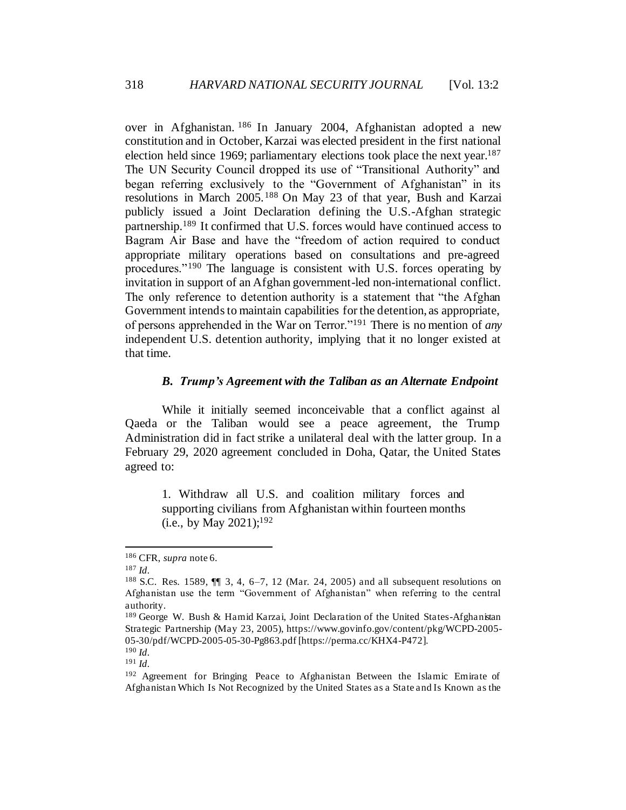over in Afghanistan. <sup>186</sup> In January 2004, Afghanistan adopted a new constitution and in October, Karzai was elected president in the first national election held since 1969; parliamentary elections took place the next year.<sup>187</sup> The UN Security Council dropped its use of "Transitional Authority" and began referring exclusively to the "Government of Afghanistan" in its resolutions in March 2005.<sup>188</sup> On May 23 of that year, Bush and Karzai publicly issued a Joint Declaration defining the U.S.-Afghan strategic partnership.<sup>189</sup> It confirmed that U.S. forces would have continued access to Bagram Air Base and have the "freedom of action required to conduct appropriate military operations based on consultations and pre-agreed procedures."<sup>190</sup> The language is consistent with U.S. forces operating by invitation in support of an Afghan government-led non-international conflict. The only reference to detention authority is a statement that "the Afghan Government intends to maintain capabilities for the detention, as appropriate, of persons apprehended in the War on Terror."<sup>191</sup> There is no mention of *any* independent U.S. detention authority, implying that it no longer existed at that time.

#### *B. Trump's Agreement with the Taliban as an Alternate Endpoint*

<span id="page-33-0"></span>While it initially seemed inconceivable that a conflict against al Qaeda or the Taliban would see a peace agreement, the Trump Administration did in fact strike a unilateral deal with the latter group. In a February 29, 2020 agreement concluded in Doha, Qatar, the United States agreed to:

1. Withdraw all U.S. and coalition military forces and supporting civilians from Afghanistan within fourteen months (i.e., by May 2021); 192

<sup>186</sup> CFR, *supra* not[e 6.](#page-3-0)

<sup>187</sup> *Id.*

<sup>&</sup>lt;sup>188</sup> S.C. Res. 1589,  $\P$  3, 4, 6–7, 12 (Mar. 24, 2005) and all subsequent resolutions on Afghanistan use the term "Government of Afghanistan" when referring to the central authority.

<sup>189</sup> George W. Bush & Hamid Karzai, Joint Declaration of the United States-Afghanistan Strategic Partnership (May 23, 2005), https://www.govinfo.gov/content/pkg/WCPD-2005- 05-30/pdf/WCPD-2005-05-30-Pg863.pdf [https://perma.cc/KHX4-P472].

<sup>190</sup> *Id.* <sup>191</sup> *Id.*

<sup>192</sup> Agreement for Bringing Peace to Afghanistan Between the Islamic Emirate of Afghanistan Which Is Not Recognized by the United States as a State and Is Known as the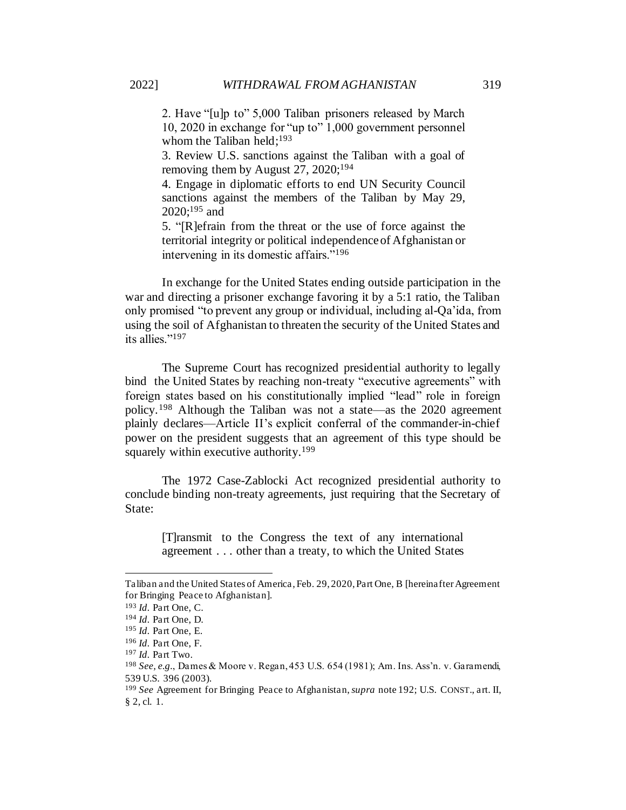2. Have "[u]p to" 5,000 Taliban prisoners released by March 10, 2020 in exchange for "up to" 1,000 government personnel whom the Taliban held; $193$ 

3. Review U.S. sanctions against the Taliban with a goal of removing them by August 27, 2020;<sup>194</sup>

4. Engage in diplomatic efforts to end UN Security Council sanctions against the members of the Taliban by May 29,  $2020$ ;<sup>195</sup> and

5. "[R]efrain from the threat or the use of force against the territorial integrity or political independence of Afghanistan or intervening in its domestic affairs."<sup>196</sup>

In exchange for the United States ending outside participation in the war and directing a prisoner exchange favoring it by a 5:1 ratio, the Taliban only promised "to prevent any group or individual, including al-Qa'ida, from using the soil of Afghanistan to threaten the security of the United States and its allies."<sup>197</sup>

The Supreme Court has recognized presidential authority to legally bind the United States by reaching non-treaty "executive agreements" with foreign states based on his constitutionally implied "lead" role in foreign policy.<sup>198</sup> Although the Taliban was not a state—as the 2020 agreement plainly declares—Article II's explicit conferral of the commander-in-chief power on the president suggests that an agreement of this type should be squarely within executive authority.<sup>199</sup>

The 1972 Case-Zablocki Act recognized presidential authority to conclude binding non-treaty agreements, just requiring that the Secretary of State:

[T]ransmit to the Congress the text of any international agreement . . . other than a treaty, to which the United States

Taliban and the United States of America, Feb. 29, 2020, Part One, B [hereinafter Agreement for Bringing Peace to Afghanistan].

<sup>193</sup> *Id.* Part One, C.

<sup>194</sup> *Id.* Part One, D.

<sup>195</sup> *Id.* Part One, E.

<sup>196</sup> *Id.* Part One, F.

<sup>197</sup> *Id.* Part Two.

<sup>198</sup> *See, e.g.*, Dames & Moore v. Regan, 453 U.S. 654 (1981); Am. Ins. Ass'n. v. Garamendi, 539 U.S. 396 (2003).

<sup>199</sup> *See* Agreement for Bringing Peace to Afghanistan, *supra* note 192; U.S. CONST., art. II, § 2, cl. 1.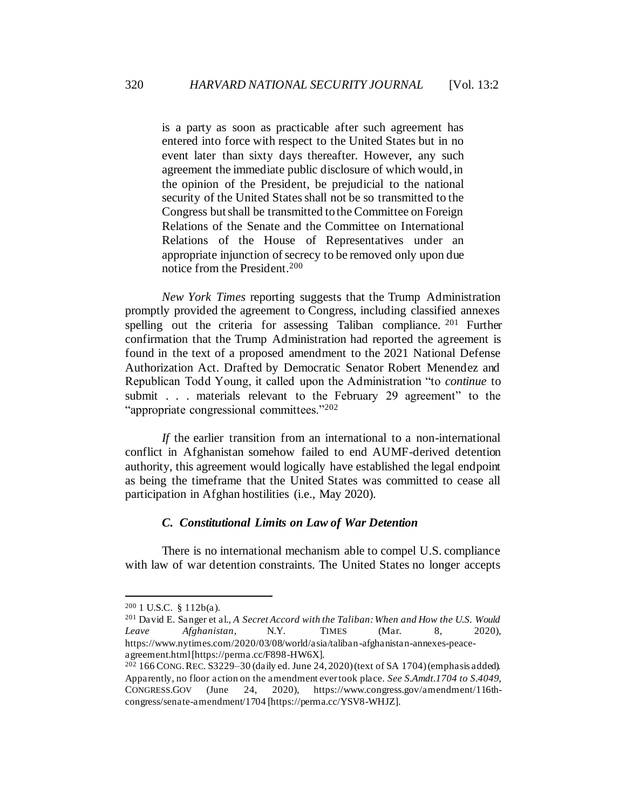is a party as soon as practicable after such agreement has entered into force with respect to the United States but in no event later than sixty days thereafter. However, any such agreement the immediate public disclosure of which would, in the opinion of the President, be prejudicial to the national security of the United States shall not be so transmitted to the Congress but shall be transmitted to the Committee on Foreign Relations of the Senate and the Committee on International Relations of the House of Representatives under an appropriate injunction of secrecy to be removed only upon due notice from the President.<sup>200</sup>

*New York Times* reporting suggests that the Trump Administration promptly provided the agreement to Congress, including classified annexes spelling out the criteria for assessing Taliban compliance. <sup>201</sup> Further confirmation that the Trump Administration had reported the agreement is found in the text of a proposed amendment to the 2021 National Defense Authorization Act. Drafted by Democratic Senator Robert Menendez and Republican Todd Young, it called upon the Administration "to *continue* to submit . . . materials relevant to the February 29 agreement" to the "appropriate congressional committees."<sup>202</sup>

*If* the earlier transition from an international to a non-international conflict in Afghanistan somehow failed to end AUMF-derived detention authority, this agreement would logically have established the legal endpoint as being the timeframe that the United States was committed to cease all participation in Afghan hostilities (i.e., May 2020).

### *C. Constitutional Limits on Law of War Detention*

<span id="page-35-0"></span>There is no international mechanism able to compel U.S. compliance with law of war detention constraints. The United States no longer accepts

 $200$  1 U.S.C. § 112b(a).

<sup>201</sup> David E. Sanger et al., *A Secret Accord with the Taliban: When and How the U.S. Would Leave Afghanistan*, N.Y. TIMES (Mar. 8, 2020), https://www.nytimes.com/2020/03/08/world/asia/taliban-afghanistan-annexes-peaceagreement.html [https://perma.cc/F898-HW6X].

 $202$  166 CONG. REC. S3229-30 (daily ed. June 24, 2020) (text of SA 1704) (emphasis added). Apparently, no floor action on the amendment ever took place. *See S.Amdt.1704 to S.4049*, CONGRESS.GOV (June 24, 2020), https://www.congress.gov/amendment/116thcongress/senate-amendment/1704 [https://perma.cc/YSV8-WHJZ].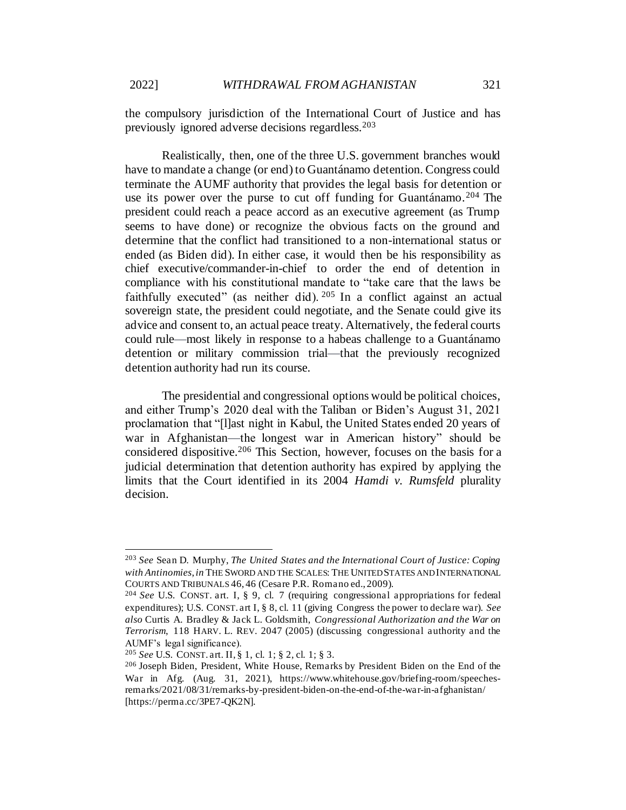the compulsory jurisdiction of the International Court of Justice and has previously ignored adverse decisions regardless.<sup>203</sup>

Realistically, then, one of the three U.S. government branches would have to mandate a change (or end) to Guantánamo detention. Congress could terminate the AUMF authority that provides the legal basis for detention or use its power over the purse to cut off funding for Guantánamo.<sup>204</sup> The president could reach a peace accord as an executive agreement (as Trump seems to have done) or recognize the obvious facts on the ground and determine that the conflict had transitioned to a non-international status or ended (as Biden did). In either case, it would then be his responsibility as chief executive/commander-in-chief to order the end of detention in compliance with his constitutional mandate to "take care that the laws be faithfully executed" (as neither did).  $205$  In a conflict against an actual sovereign state, the president could negotiate, and the Senate could give its advice and consent to, an actual peace treaty. Alternatively, the federal courts could rule—most likely in response to a habeas challenge to a Guantánamo detention or military commission trial—that the previously recognized detention authority had run its course.

The presidential and congressional options would be political choices, and either Trump's 2020 deal with the Taliban or Biden's August 31, 2021 proclamation that "[l]ast night in Kabul, the United States ended 20 years of war in Afghanistan—the longest war in American history" should be considered dispositive.<sup>206</sup> This Section, however, focuses on the basis for a judicial determination that detention authority has expired by applying the limits that the Court identified in its 2004 *Hamdi v. Rumsfeld* plurality decision.

<sup>203</sup> *See* Sean D. Murphy, *The United States and the International Court of Justice: Coping with Antinomies*, *in* THE SWORD AND THE SCALES: THE UNITED STATES AND INTERNATIONAL COURTS AND TRIBUNALS 46, 46 (Cesare P.R. Romano ed., 2009).

<sup>204</sup> *See* U.S. CONST. art. I, § 9, cl. 7 (requiring congressional appropriations for federal expenditures); U.S. CONST. art I, § 8, cl. 11 (giving Congress the power to declare war). *See also* Curtis A. Bradley & Jack L. Goldsmith, *Congressional Authorization and the War on Terrorism*, 118 HARV. L. REV. 2047 (2005) (discussing congressional authority and the AUMF's legal significance).

<sup>205</sup> *See* U.S. CONST. art. II, § 1, cl. 1; § 2, cl. 1; § 3.

<sup>206</sup> Joseph Biden, President, White House, Remarks by President Biden on the End of the War in Afg. (Aug. 31, 2021), https://www.whitehouse.gov/briefing-room/speechesremarks/2021/08/31/remarks-by-president-biden-on-the-end-of-the-war-in-afghanistan/ [https://perma.cc/3PE7-QK2N].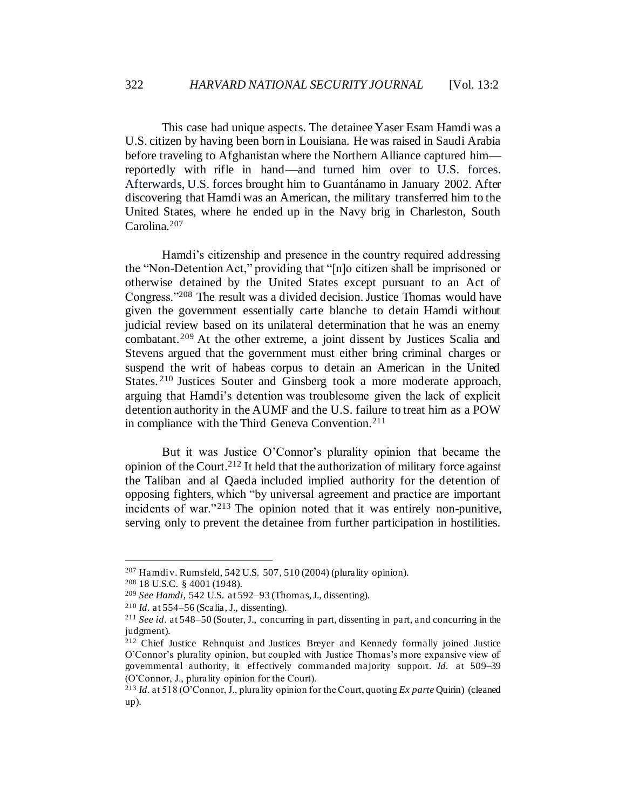This case had unique aspects. The detainee Yaser Esam Hamdi was a U.S. citizen by having been born in Louisiana. He was raised in Saudi Arabia before traveling to Afghanistan where the Northern Alliance captured him reportedly with rifle in hand—and turned him over to U.S. forces. Afterwards, U.S. forces brought him to Guantánamo in January 2002. After discovering that Hamdi was an American, the military transferred him to the United States, where he ended up in the Navy brig in Charleston, South Carolina.<sup>207</sup>

Hamdi's citizenship and presence in the country required addressing the "Non-Detention Act," providing that "[n]o citizen shall be imprisoned or otherwise detained by the United States except pursuant to an Act of Congress."<sup>208</sup> The result was a divided decision. Justice Thomas would have given the government essentially carte blanche to detain Hamdi without judicial review based on its unilateral determination that he was an enemy combatant.<sup>209</sup> At the other extreme, a joint dissent by Justices Scalia and Stevens argued that the government must either bring criminal charges or suspend the writ of habeas corpus to detain an American in the United States. <sup>210</sup> Justices Souter and Ginsberg took a more moderate approach, arguing that Hamdi's detention was troublesome given the lack of explicit detention authority in the AUMF and the U.S. failure to treat him as a POW in compliance with the Third Geneva Convention.<sup>211</sup>

But it was Justice O'Connor's plurality opinion that became the opinion of the Court.<sup>212</sup> It held that the authorization of military force against the Taliban and al Qaeda included implied authority for the detention of opposing fighters, which "by universal agreement and practice are important incidents of war."<sup>213</sup> The opinion noted that it was entirely non-punitive, serving only to prevent the detainee from further participation in hostilities.

 $207$  Hamdi v. Rumsfeld, 542 U.S. 507, 510 (2004) (plurality opinion).

<sup>208</sup> 18 U.S.C. § 4001 (1948).

<sup>209</sup> *See Hamdi*, 542 U.S. at 592–93 (Thomas, J., dissenting).

<sup>210</sup> *Id*. at 554–56 (Scalia, J., dissenting).

<sup>211</sup> *See id*. at 548–50 (Souter, J., concurring in part, dissenting in part, and concurring in the judgment).

<sup>212</sup> Chief Justice Rehnquist and Justices Breyer and Kennedy formally joined Justice O'Connor's plurality opinion, but coupled with Justice Thomas's more expansive view of governmental authority, it effectively commanded majority support. *Id.* at 509–39 (O'Connor, J., plurality opinion for the Court).

<sup>213</sup> *Id*. at 518 (O'Connor, J., plurality opinion for the Court, quoting *Ex parte* Quirin) (cleaned up).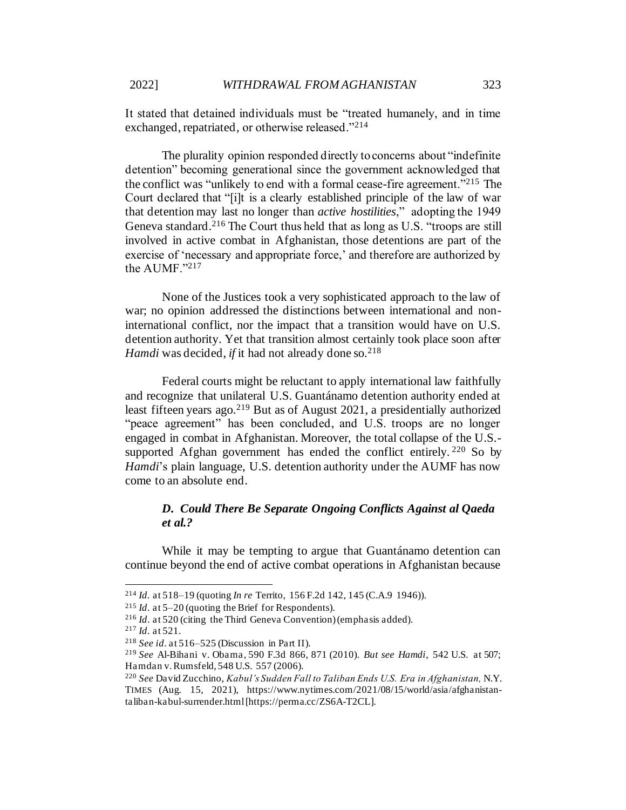It stated that detained individuals must be "treated humanely, and in time exchanged, repatriated, or otherwise released."<sup>214</sup>

The plurality opinion responded directly to concerns about "indefinite detention" becoming generational since the government acknowledged that the conflict was "unlikely to end with a formal cease-fire agreement."<sup>215</sup> The Court declared that "[i]t is a clearly established principle of the law of war that detention may last no longer than *active hostilities*," adopting the 1949 Geneva standard.<sup>216</sup> The Court thus held that as long as U.S. "troops are still involved in active combat in Afghanistan, those detentions are part of the exercise of 'necessary and appropriate force,' and therefore are authorized by the AUMF."217

None of the Justices took a very sophisticated approach to the law of war; no opinion addressed the distinctions between international and noninternational conflict, nor the impact that a transition would have on U.S. detention authority. Yet that transition almost certainly took place soon after *Hamdi* was decided, *if* it had not already done so.<sup>218</sup>

Federal courts might be reluctant to apply international law faithfully and recognize that unilateral U.S. Guantánamo detention authority ended at least fifteen years ago.<sup>219</sup> But as of August 2021, a presidentially authorized "peace agreement" has been concluded, and U.S. troops are no longer engaged in combat in Afghanistan. Moreover, the total collapse of the U.S. supported Afghan government has ended the conflict entirely.  $220$  So by *Hamdi*'s plain language, U.S. detention authority under the AUMF has now come to an absolute end.

# *D. Could There Be Separate Ongoing Conflicts Against al Qaeda et al.?*

While it may be tempting to argue that Guantánamo detention can continue beyond the end of active combat operations in Afghanistan because

<sup>214</sup> *Id.* at 518–19 (quoting *In re* Territo, 156 F.2d 142, 145 (C.A.9 1946)).

<sup>215</sup> *Id*. at 5–20 (quoting the Brief for Respondents).

<sup>216</sup> *Id*. at 520 (citing the Third Geneva Convention) (emphasis added).

<sup>217</sup> *Id*. at 521.

<sup>218</sup> *See id*. at 516–525 (Discussion in Part II).

<sup>219</sup> *See* Al-Bihani v. Obama, 590 F.3d 866, 871 (2010). *But see Hamdi*, 542 U.S. at 507; Hamdan v. Rumsfeld, 548 U.S. 557 (2006).

<sup>220</sup> *See* David Zucchino, *Kabul's Sudden Fall to Taliban Ends U.S. Era in Afghanistan,* N.Y. TIMES (Aug. 15, 2021), https://www.nytimes.com/2021/08/15/world/asia/afghanistantaliban-kabul-surrender.html [https://perma.cc/ZS6A-T2CL].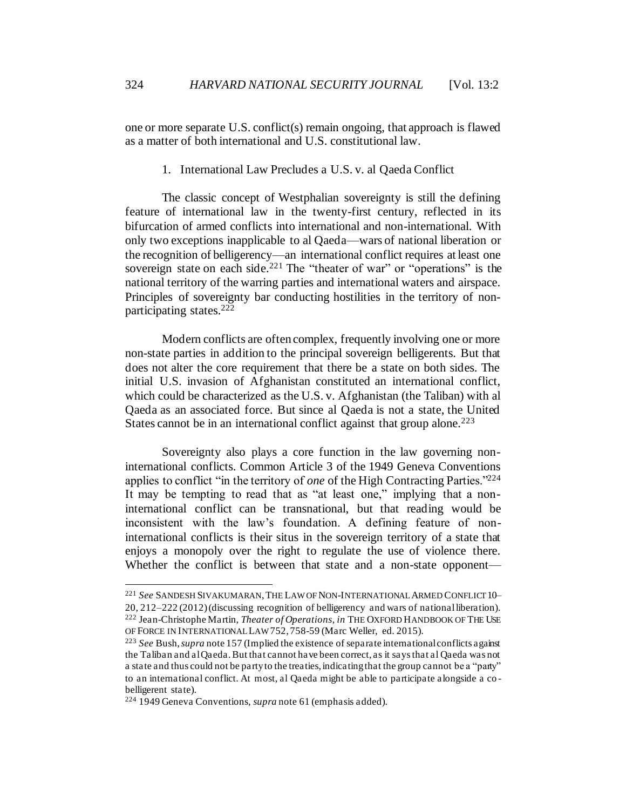one or more separate U.S. conflict(s) remain ongoing, that approach is flawed as a matter of both international and U.S. constitutional law.

1. International Law Precludes a U.S. v. al Qaeda Conflict

The classic concept of Westphalian sovereignty is still the defining feature of international law in the twenty-first century, reflected in its bifurcation of armed conflicts into international and non-international. With only two exceptions inapplicable to al Qaeda—wars of national liberation or the recognition of belligerency—an international conflict requires at least one sovereign state on each side.<sup>221</sup> The "theater of war" or "operations" is the national territory of the warring parties and international waters and airspace. Principles of sovereignty bar conducting hostilities in the territory of nonparticipating states. 222

Modern conflicts are often complex, frequently involving one or more non-state parties in addition to the principal sovereign belligerents. But that does not alter the core requirement that there be a state on both sides. The initial U.S. invasion of Afghanistan constituted an international conflict, which could be characterized as the U.S. v. Afghanistan (the Taliban) with al Qaeda as an associated force. But since al Qaeda is not a state, the United States cannot be in an international conflict against that group alone.<sup>223</sup>

Sovereignty also plays a core function in the law governing noninternational conflicts. Common Article 3 of the 1949 Geneva Conventions applies to conflict "in the territory of *one* of the High Contracting Parties."<sup>224</sup> It may be tempting to read that as "at least one," implying that a noninternational conflict can be transnational, but that reading would be inconsistent with the law's foundation. A defining feature of noninternational conflicts is their situs in the sovereign territory of a state that enjoys a monopoly over the right to regulate the use of violence there. Whether the conflict is between that state and a non-state opponent—

<sup>221</sup> *See* SANDESH SIVAKUMARAN,THE LAW OF NON-INTERNATIONAL ARMED CONFLICT10– 20, 212–222 (2012) (discussing recognition of belligerency and wars of national liberation). <sup>222</sup> Jean-Christophe Martin, *Theater of Operations*, *in* THE OXFORD HANDBOOK OF THE USE OF FORCE IN INTERNATIONAL LAW752, 758-59 (Marc Weller, ed. 2015).

<sup>223</sup> *See* Bush, *supra* note 157 (Implied the existence of separate international conflicts against the Taliban and al Qaeda. But that cannot have been correct, as it says that al Qaeda was not a state and thus could not be party to the treaties, indicating that the group cannot be a "party" to an international conflict. At most, al Qaeda might be able to participate alongside a co belligerent state).

<sup>224</sup> 1949 Geneva Conventions, *supra* not[e 61](#page-12-0) (emphasis added).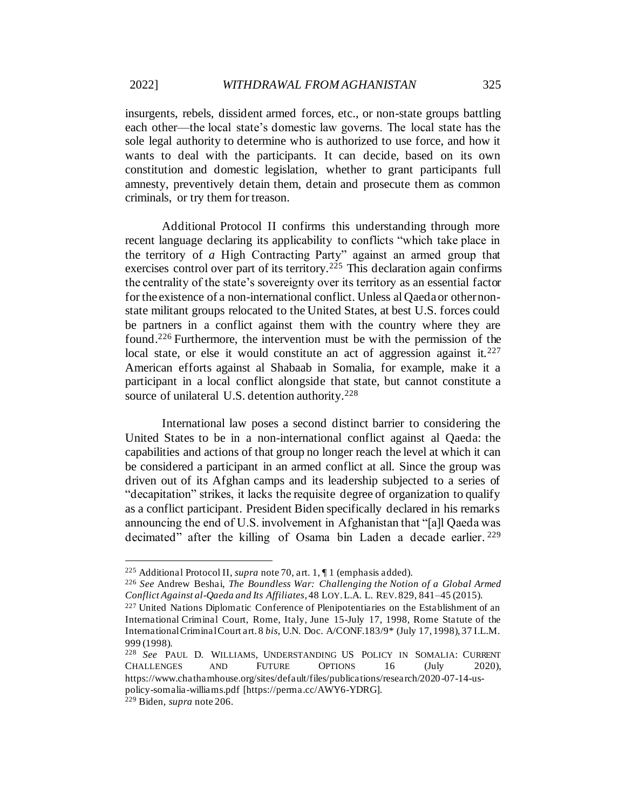insurgents, rebels, dissident armed forces, etc., or non-state groups battling each other—the local state's domestic law governs. The local state has the sole legal authority to determine who is authorized to use force, and how it wants to deal with the participants. It can decide, based on its own constitution and domestic legislation, whether to grant participants full amnesty, preventively detain them, detain and prosecute them as common criminals, or try them for treason.

Additional Protocol II confirms this understanding through more recent language declaring its applicability to conflicts "which take place in the territory of *a* High Contracting Party" against an armed group that exercises control over part of its territory.<sup>225</sup> This declaration again confirms the centrality of the state's sovereignty over its territory as an essential factor for the existence of a non-international conflict. Unless al Qaeda or other nonstate militant groups relocated to the United States, at best U.S. forces could be partners in a conflict against them with the country where they are found.<sup>226</sup> Furthermore, the intervention must be with the permission of the local state, or else it would constitute an act of aggression against it.  $227$ American efforts against al Shabaab in Somalia, for example, make it a participant in a local conflict alongside that state, but cannot constitute a source of unilateral U.S. detention authority.<sup>228</sup>

<span id="page-40-0"></span>International law poses a second distinct barrier to considering the United States to be in a non-international conflict against al Qaeda: the capabilities and actions of that group no longer reach the level at which it can be considered a participant in an armed conflict at all. Since the group was driven out of its Afghan camps and its leadership subjected to a series of "decapitation" strikes, it lacks the requisite degree of organization to qualify as a conflict participant. President Biden specifically declared in his remarks announcing the end of U.S. involvement in Afghanistan that "[a]l Qaeda was decimated" after the killing of Osama bin Laden a decade earlier. 229

<sup>225</sup> Additional Protocol II, *supra* not[e 70](#page-13-0), art. 1, ¶ 1 (emphasis added).

<sup>226</sup> *See* Andrew Beshai, *The Boundless War: Challenging the Notion of a Global Armed Conflict Against al-Qaeda and Its Affiliates*, 48 LOY.L.A. L. REV. 829, 841–45 (2015).

<sup>227</sup> United Nations Diplomatic Conference of Plenipotentiaries on the Establishment of an International Criminal Court, Rome, Italy, June 15-July 17, 1998, Rome Statute of the International Criminal Court art. 8 *bis*, U.N. Doc. A/CONF.183/9\* (July 17, 1998), 37 I.L.M. 999 (1998).

<sup>228</sup> *See* PAUL D. WILLIAMS, UNDERSTANDING US POLICY IN SOMALIA: CURRENT CHALLENGES AND FUTURE OPTIONS 16 (July 2020), https://www.chathamhouse.org/sites/default/files/publications/research/2020-07-14-uspolicy-somalia-williams.pdf [https://perma.cc/AWY6-YDRG].

<sup>229</sup> Biden, *supra* note 206.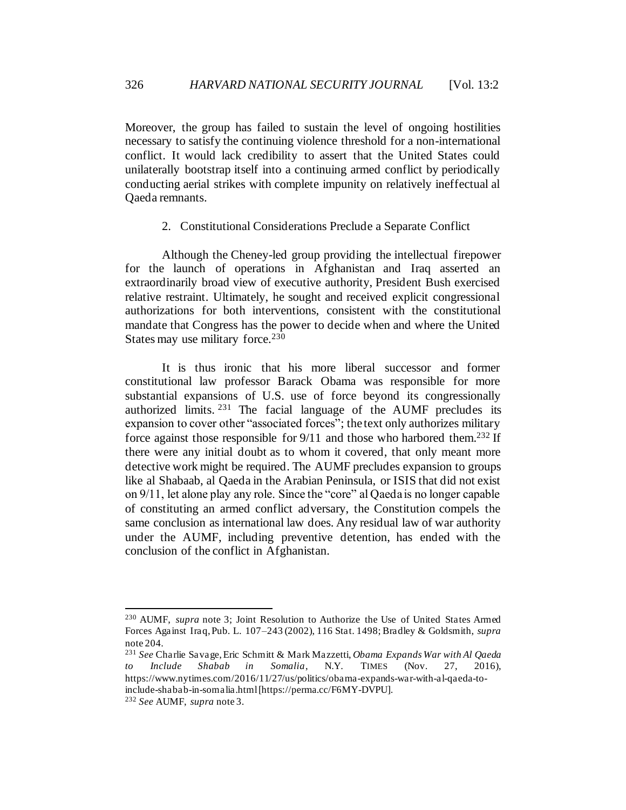Moreover, the group has failed to sustain the level of ongoing hostilities necessary to satisfy the continuing violence threshold for a non-international conflict. It would lack credibility to assert that the United States could unilaterally bootstrap itself into a continuing armed conflict by periodically conducting aerial strikes with complete impunity on relatively ineffectual al Qaeda remnants.

2. Constitutional Considerations Preclude a Separate Conflict

Although the Cheney-led group providing the intellectual firepower for the launch of operations in Afghanistan and Iraq asserted an extraordinarily broad view of executive authority, President Bush exercised relative restraint. Ultimately, he sought and received explicit congressional authorizations for both interventions, consistent with the constitutional mandate that Congress has the power to decide when and where the United States may use military force.<sup>230</sup>

It is thus ironic that his more liberal successor and former constitutional law professor Barack Obama was responsible for more substantial expansions of U.S. use of force beyond its congressionally authorized limits. <sup>231</sup> The facial language of the AUMF precludes its expansion to cover other "associated forces"; the text only authorizes military force against those responsible for  $9/11$  and those who harbored them.<sup>232</sup> If there were any initial doubt as to whom it covered, that only meant more detective work might be required. The AUMF precludes expansion to groups like al Shabaab, al Qaeda in the Arabian Peninsula, or ISIS that did not exist on 9/11, let alone play any role. Since the "core" al Qaeda is no longer capable of constituting an armed conflict adversary, the Constitution compels the same conclusion as international law does. Any residual law of war authority under the AUMF, including preventive detention, has ended with the conclusion of the conflict in Afghanistan.

<sup>230</sup> AUMF, *supra* note 3; Joint Resolution to Authorize the Use of United States Armed Forces Against Iraq, Pub. L. 107–243 (2002), 116 Stat. 1498; Bradley & Goldsmith, *supra* note 204.

<sup>231</sup> *See* Charlie Savage, Eric Schmitt & Mark Mazzetti, *Obama Expands War with Al Qaeda to Include Shabab in Somalia*, N.Y. TIMES (Nov. 27, 2016), https://www.nytimes.com/2016/11/27/us/politics/obama-expands-war-with-al-qaeda-toinclude-shabab-in-somalia.html [https://perma.cc/F6MY-DVPU].

<sup>232</sup> *See* AUMF, *supra* note 3.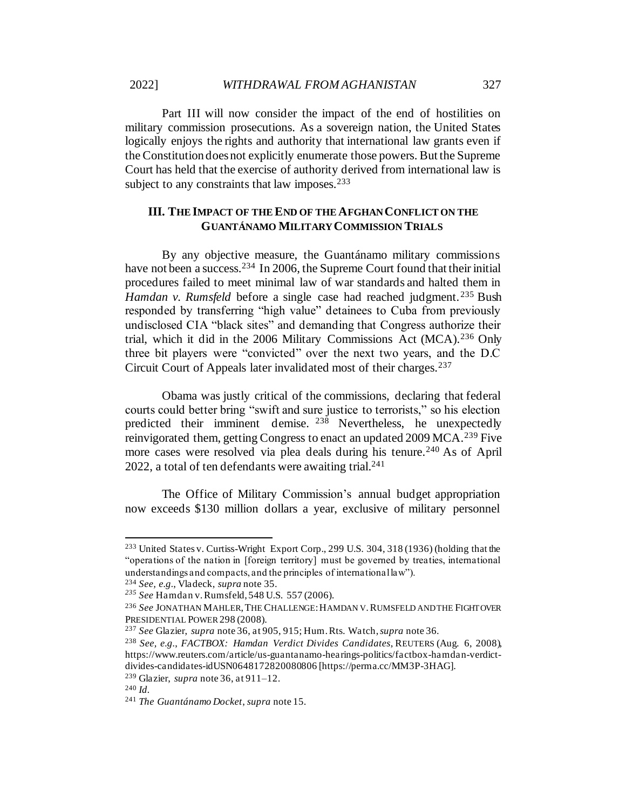Part III will now consider the impact of the end of hostilities on military commission prosecutions. As a sovereign nation, the United States logically enjoys the rights and authority that international law grants even if the Constitution does not explicitly enumerate those powers. But the Supreme Court has held that the exercise of authority derived from international law is subject to any constraints that law imposes.<sup>233</sup>

## **III. THE IMPACT OF THE END OF THE AFGHAN CONFLICT ON THE GUANTÁNAMO MILITARY COMMISSION TRIALS**

By any objective measure, the Guantánamo military commissions have not been a success.<sup>234</sup> In 2006, the Supreme Court found that their initial procedures failed to meet minimal law of war standards and halted them in *Hamdan v. Rumsfeld* before a single case had reached judgment.<sup>235</sup> Bush responded by transferring "high value" detainees to Cuba from previously undisclosed CIA "black sites" and demanding that Congress authorize their trial, which it did in the 2006 Military Commissions Act (MCA).<sup>236</sup> Only three bit players were "convicted" over the next two years, and the D.C Circuit Court of Appeals later invalidated most of their charges.<sup>237</sup>

Obama was justly critical of the commissions, declaring that federal courts could better bring "swift and sure justice to terrorists," so his election predicted their imminent demise. <sup>238</sup> Nevertheless, he unexpectedly reinvigorated them, getting Congress to enact an updated 2009 MCA.<sup>239</sup> Five more cases were resolved via plea deals during his tenure.<sup>240</sup> As of April 2022, a total of ten defendants were awaiting trial. 241

The Office of Military Commission's annual budget appropriation now exceeds \$130 million dollars a year, exclusive of military personnel

<sup>233</sup> United States v. Curtiss-Wright Export Corp., 299 U.S. 304, 318 (1936) (holding that the "operations of the nation in [foreign territory] must be governed by treaties, international understandings and compacts, and the principles of international law").

<sup>234</sup> *See, e.g.*, Vladeck, *supra* not[e 35.](#page-8-0)

*<sup>235</sup> See* Hamdan v. Rumsfeld, 548 U.S. 557 (2006).

<sup>236</sup> *See* JONATHAN MAHLER,THE CHALLENGE:HAMDAN V.RUMSFELD AND THE FIGHT OVER PRESIDENTIAL POWER 298 (2008).

<sup>237</sup> *See* Glazier, *supra* not[e 36,](#page-8-1) at 905, 915; Hum. Rts. Watch, *supra* not[e 36](#page-8-1).

<sup>238</sup> *See, e.g.*, *FACTBOX: Hamdan Verdict Divides Candidates*, REUTERS (Aug. 6, 2008), https://www.reuters.com/article/us-guantanamo-hearings-politics/factbox-hamdan-verdictdivides-candidates-idUSN0648172820080806 [https://perma.cc/MM3P-3HAG].

<sup>239</sup> Glazier, *supra* not[e 36](#page-8-1), at 911–12.

<sup>240</sup> *Id.*

<sup>241</sup> *The Guantánamo Docket*, *supra* note 15.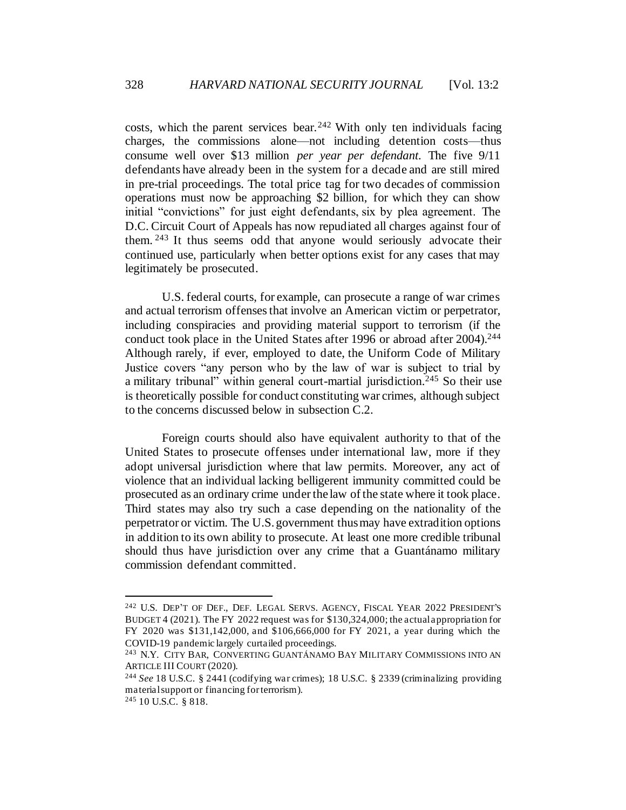costs, which the parent services bear. <sup>242</sup> With only ten individuals facing charges, the commissions alone—not including detention costs—thus consume well over \$13 million *per year per defendant*. The five 9/11 defendants have already been in the system for a decade and are still mired in pre-trial proceedings. The total price tag for two decades of commission operations must now be approaching \$2 billion, for which they can show initial "convictions" for just eight defendants, six by plea agreement. The D.C. Circuit Court of Appeals has now repudiated all charges against four of them. <sup>243</sup> It thus seems odd that anyone would seriously advocate their continued use, particularly when better options exist for any cases that may legitimately be prosecuted.

U.S. federal courts, for example, can prosecute a range of war crimes and actual terrorism offenses that involve an American victim or perpetrator, including conspiracies and providing material support to terrorism (if the conduct took place in the United States after 1996 or abroad after 2004).<sup>244</sup> Although rarely, if ever, employed to date, the Uniform Code of Military Justice covers "any person who by the law of war is subject to trial by a military tribunal" within general court-martial jurisdiction.<sup>245</sup> So their use is theoretically possible for conduct constituting war crimes, although subject to the concerns discussed below in subsection C.2.

Foreign courts should also have equivalent authority to that of the United States to prosecute offenses under international law, more if they adopt universal jurisdiction where that law permits. Moreover, any act of violence that an individual lacking belligerent immunity committed could be prosecuted as an ordinary crime under the law of the state where it took place. Third states may also try such a case depending on the nationality of the perpetrator or victim. The U.S. government thus may have extradition options in addition to its own ability to prosecute. At least one more credible tribunal should thus have jurisdiction over any crime that a Guantánamo military commission defendant committed.

<sup>242</sup> U.S. DEP'T OF DEF., DEF. LEGAL SERVS. AGENCY, FISCAL YEAR 2022 PRESIDENT'S BUDGET 4 (2021). The FY 2022 request was for \$130,324,000; the actual appropriation for FY 2020 was \$131,142,000, and \$106,666,000 for FY 2021, a year during which the COVID-19 pandemic largely curtailed proceedings.

<sup>243</sup> N.Y. CITY BAR, CONVERTING GUANTÁNAMO BAY MILITARY COMMISSIONS INTO AN ARTICLE III COURT (2020).

<sup>244</sup> *See* 18 U.S.C. § 2441 (codifying war crimes); 18 U.S.C. § 2339 (criminalizing providing material support or financing for terrorism).

<sup>245</sup> 10 U.S.C. § 818.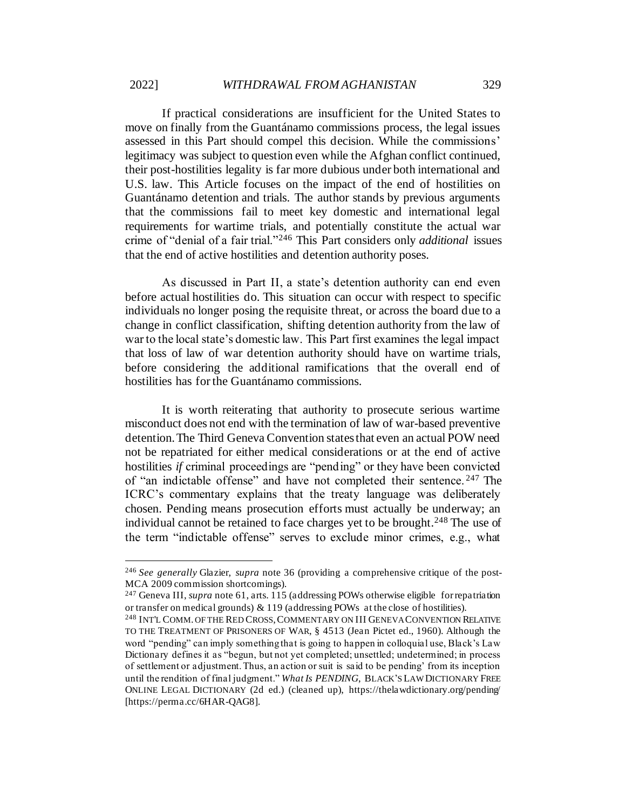If practical considerations are insufficient for the United States to move on finally from the Guantánamo commissions process, the legal issues assessed in this Part should compel this decision. While the commissions' legitimacy was subject to question even while the Afghan conflict continued, their post-hostilities legality is far more dubious under both international and U.S. law. This Article focuses on the impact of the end of hostilities on Guantánamo detention and trials. The author stands by previous arguments that the commissions fail to meet key domestic and international legal requirements for wartime trials, and potentially constitute the actual war crime of "denial of a fair trial."<sup>246</sup> This Part considers only *additional* issues that the end of active hostilities and detention authority poses.

As discussed in Part II, a state's detention authority can end even before actual hostilities do. This situation can occur with respect to specific individuals no longer posing the requisite threat, or across the board due to a change in conflict classification, shifting detention authority from the law of war to the local state's domestic law. This Part first examines the legal impact that loss of law of war detention authority should have on wartime trials, before considering the additional ramifications that the overall end of hostilities has for the Guantánamo commissions.

It is worth reiterating that authority to prosecute serious wartime misconduct does not end with the termination of law of war-based preventive detention. The Third Geneva Convention states that even an actual POW need not be repatriated for either medical considerations or at the end of active hostilities *if* criminal proceedings are "pending" or they have been convicted of "an indictable offense" and have not completed their sentence. <sup>247</sup> The ICRC's commentary explains that the treaty language was deliberately chosen. Pending means prosecution efforts must actually be underway; an individual cannot be retained to face charges yet to be brought.<sup>248</sup> The use of the term "indictable offense" serves to exclude minor crimes, e.g., what

<sup>246</sup> *See generally* Glazier, *supra* not[e 36](#page-8-1) (providing a comprehensive critique of the post-MCA 2009 commission shortcomings).

<sup>247</sup> Geneva III, *supra* not[e 61](#page-12-0), arts. 115 (addressing POWs otherwise eligible for repatriation or transfer on medical grounds) & 119 (addressing POWs at the close of hostilities).

<sup>248</sup> INT'L COMM. OF THE RED CROSS,COMMENTARY ON III GENEVA CONVENTION RELATIVE TO THE TREATMENT OF PRISONERS OF WAR, § 4513 (Jean Pictet ed., 1960). Although the word "pending" can imply something that is going to happen in colloquial use, Black's Law Dictionary defines it as "begun, but not yet completed; unsettled; undetermined; in process of settlement or adjustment. Thus, an action or suit is said to be pending' from its inception until the rendition of final judgment." *What Is PENDING*, BLACK'S LAW DICTIONARY FREE ONLINE LEGAL DICTIONARY (2d ed.) (cleaned up), https://thelawdictionary.org/pending/ [https://perma.cc/6HAR-QAG8].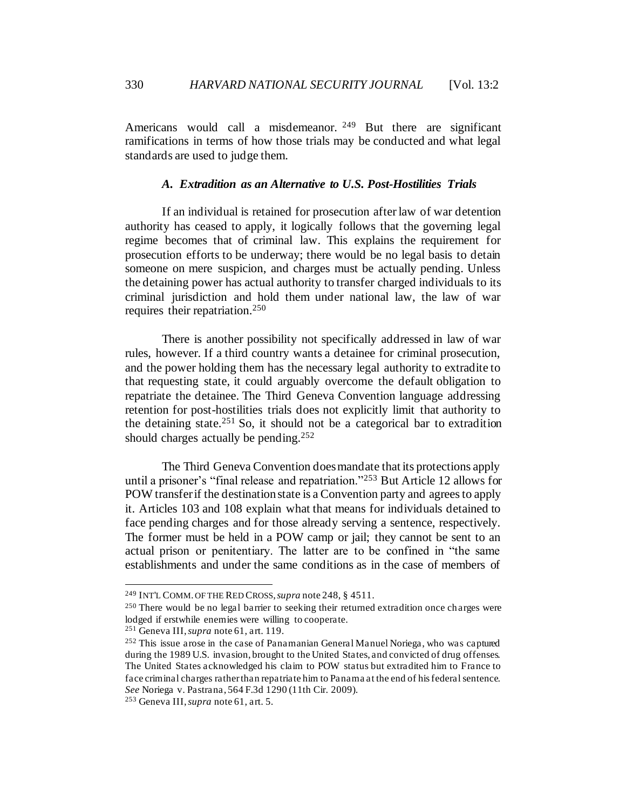Americans would call a misdemeanor. <sup>249</sup> But there are significant ramifications in terms of how those trials may be conducted and what legal standards are used to judge them.

### *A. Extradition as an Alternative to U.S. Post-Hostilities Trials*

If an individual is retained for prosecution after law of war detention authority has ceased to apply, it logically follows that the governing legal regime becomes that of criminal law. This explains the requirement for prosecution efforts to be underway; there would be no legal basis to detain someone on mere suspicion, and charges must be actually pending. Unless the detaining power has actual authority to transfer charged individuals to its criminal jurisdiction and hold them under national law, the law of war requires their repatriation.<sup>250</sup>

There is another possibility not specifically addressed in law of war rules, however. If a third country wants a detainee for criminal prosecution, and the power holding them has the necessary legal authority to extradite to that requesting state, it could arguably overcome the default obligation to repatriate the detainee. The Third Geneva Convention language addressing retention for post-hostilities trials does not explicitly limit that authority to the detaining state.<sup>251</sup> So, it should not be a categorical bar to extradition should charges actually be pending.<sup>252</sup>

The Third Geneva Convention does mandate that its protections apply until a prisoner's "final release and repatriation."<sup>253</sup> But Article 12 allows for POW transfer if the destination state is a Convention party and agrees to apply it. Articles 103 and 108 explain what that means for individuals detained to face pending charges and for those already serving a sentence, respectively. The former must be held in a POW camp or jail; they cannot be sent to an actual prison or penitentiary. The latter are to be confined in "the same establishments and under the same conditions as in the case of members of

<sup>249</sup> INT'L COMM. OF THE RED CROSS,*supra* note 248, § 4511.

<sup>250</sup> There would be no legal barrier to seeking their returned extradition once charges were lodged if erstwhile enemies were willing to cooperate.

<sup>251</sup> Geneva III, *supra* not[e 61,](#page-12-0) art. 119.

<sup>252</sup> This issue arose in the case of Panamanian General Manuel Noriega, who was captured during the 1989 U.S. invasion, brought to the United States, and convicted of drug offenses. The United States acknowledged his claim to POW status but extradited him to France to face criminal charges rather than repatriate him to Panama at the end of his federal sentence. *See* Noriega v. Pastrana, 564 F.3d 1290 (11th Cir. 2009).

<sup>253</sup> Geneva III, *supra* not[e 61,](#page-12-0) art. 5.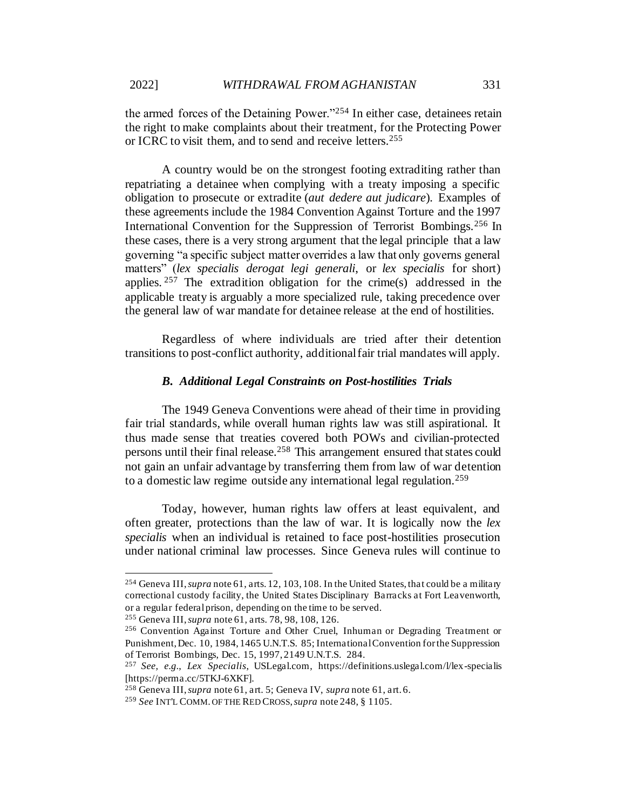the armed forces of the Detaining Power."<sup>254</sup> In either case, detainees retain the right to make complaints about their treatment, for the Protecting Power or ICRC to visit them, and to send and receive letters.<sup>255</sup>

A country would be on the strongest footing extraditing rather than repatriating a detainee when complying with a treaty imposing a specific obligation to prosecute or extradite (*aut dedere aut judicare*). Examples of these agreements include the 1984 Convention Against Torture and the 1997 International Convention for the Suppression of Terrorist Bombings.<sup>256</sup> In these cases, there is a very strong argument that the legal principle that a law governing "a specific subject matter overrides a law that only governs general matters" (*lex specialis derogat legi generali*, or *lex specialis* for short) applies.  $257$  The extradition obligation for the crime(s) addressed in the applicable treaty is arguably a more specialized rule, taking precedence over the general law of war mandate for detainee release at the end of hostilities.

Regardless of where individuals are tried after their detention transitions to post-conflict authority, additional fair trial mandates will apply.

#### *B. Additional Legal Constraints on Post-hostilities Trials*

The 1949 Geneva Conventions were ahead of their time in providing fair trial standards, while overall human rights law was still aspirational. It thus made sense that treaties covered both POWs and civilian-protected persons until their final release.<sup>258</sup> This arrangement ensured that states could not gain an unfair advantage by transferring them from law of war detention to a domestic law regime outside any international legal regulation.<sup>259</sup>

Today, however, human rights law offers at least equivalent, and often greater, protections than the law of war. It is logically now the *lex specialis* when an individual is retained to face post-hostilities prosecution under national criminal law processes. Since Geneva rules will continue to

<sup>254</sup> Geneva III, *supra* not[e 61,](#page-12-0) arts. 12, 103, 108. In the United States, that could be a military correctional custody facility, the United States Disciplinary Barracks at Fort Leavenworth, or a regular federal prison, depending on the time to be served.

<sup>255</sup> Geneva III, *supra* not[e 61,](#page-12-0) arts. 78, 98, 108, 126.

<sup>256</sup> Convention Against Torture and Other Cruel, Inhuman or Degrading Treatment or Punishment, Dec. 10, 1984, 1465 U.N.T.S. 85; International Convention for the Suppression of Terrorist Bombings, Dec. 15, 1997, 2149 U.N.T.S. 284.

<sup>257</sup> *See, e.g.*, *Lex Specialis*, USLegal.com, https://definitions.uslegal.com/l/lex-specialis [https://perma.cc/5TKJ-6XKF].

<sup>258</sup> Geneva III, *supra* not[e 61,](#page-12-0) art. 5; Geneva IV, *supra* not[e 61](#page-12-0), art. 6.

<sup>259</sup> *See* INT'L COMM. OF THE RED CROSS, *supra* note 248, § 1105.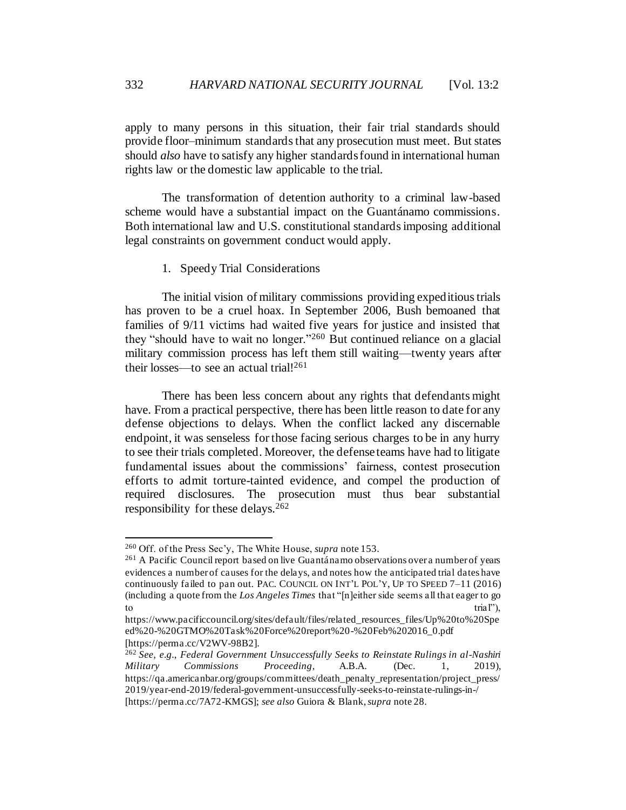apply to many persons in this situation, their fair trial standards should provide floor–minimum standards that any prosecution must meet. But states should *also* have to satisfy any higher standards found in international human rights law or the domestic law applicable to the trial.

The transformation of detention authority to a criminal law-based scheme would have a substantial impact on the Guantánamo commissions. Both international law and U.S. constitutional standards imposing additional legal constraints on government conduct would apply.

#### 1. Speedy Trial Considerations

The initial vision of military commissions providing expeditious trials has proven to be a cruel hoax. In September 2006, Bush bemoaned that families of 9/11 victims had waited five years for justice and insisted that they "should have to wait no longer."<sup>260</sup> But continued reliance on a glacial military commission process has left them still waiting—twenty years after their losses—to see an actual trial! $^{261}$ 

There has been less concern about any rights that defendants might have. From a practical perspective, there has been little reason to date for any defense objections to delays. When the conflict lacked any discernable endpoint, it was senseless for those facing serious charges to be in any hurry to see their trials completed. Moreover, the defense teams have had to litigate fundamental issues about the commissions' fairness, contest prosecution efforts to admit torture-tainted evidence, and compel the production of required disclosures. The prosecution must thus bear substantial responsibility for these delays.  $262$ 

<sup>260</sup> Off. of the Press Sec'y, The White House, *supra* not[e 153](#page-27-0).

<sup>&</sup>lt;sup>261</sup> A Pacific Council report based on live Guantánamo observations over a number of years evidences a number of causes for the delays, and notes how the anticipated trial dates have continuously failed to pan out. PAC. COUNCIL ON INT'L POL'Y, UP TO SPEED 7–11 (2016) (including a quote from the *Los Angeles Times* that "[n]either side seems all that eager to go to the trial  $\sum_{i=1}^{\infty}$  to the trial  $\sum_{i=1}^{\infty}$  to the trial  $\sum_{i=1}^{\infty}$  to the trial  $\sum_{i=1}^{\infty}$  to the trial  $\sum_{i=1}^{\infty}$  to the trial  $\sum_{i=1}^{\infty}$  to the trial  $\sum_{i=1}^{\infty}$  to the trial  $\sum_{i=1}^{\infty}$ 

https://www.pacificcouncil.org/sites/default/files/related\_resources\_files/Up%20to%20Spe ed%20-%20GTMO%20Task%20Force%20report%20-%20Feb%202016\_0.pdf [https://perma.cc/V2WV-98B2].

<sup>262</sup> *See, e.g.*, *Federal Government Unsuccessfully Seeks to Reinstate Rulings in al-Nashiri Military Commissions Proceeding*, A.B.A. (Dec. 1, 2019), https://qa.americanbar.org/groups/committees/death\_penalty\_representation/project\_press/ 2019/year-end-2019/federal-government-unsuccessfully-seeks-to-reinstate-rulings-in-/ [https://perma.cc/7A72-KMGS]; *see also* Guiora & Blank, *supra* not[e 28.](#page-6-0)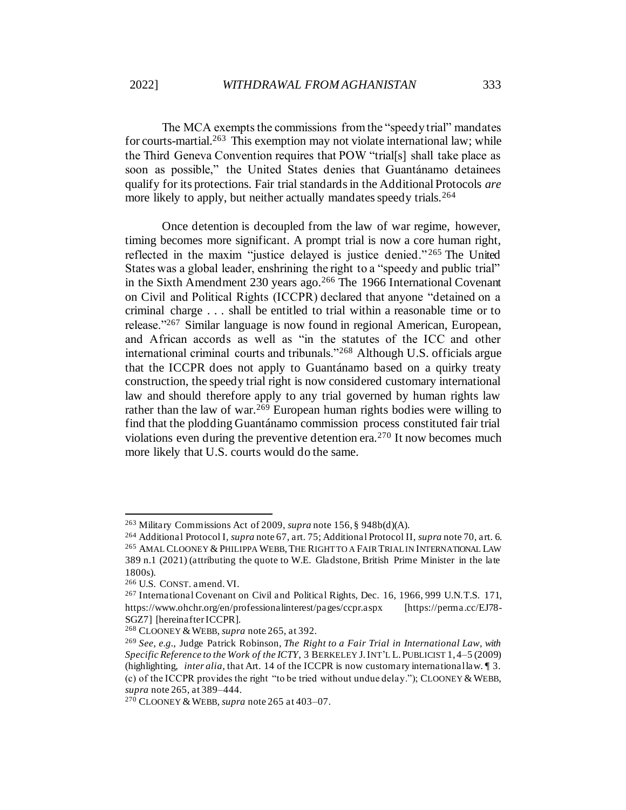The MCA exempts the commissions from the "speedy trial" mandates for courts-martial.<sup>263</sup> This exemption may not violate international law; while the Third Geneva Convention requires that POW "trial[s] shall take place as soon as possible," the United States denies that Guantánamo detainees qualify for its protections. Fair trial standards in the Additional Protocols *are* more likely to apply, but neither actually mandates speedy trials.<sup>264</sup>

Once detention is decoupled from the law of war regime, however, timing becomes more significant. A prompt trial is now a core human right, reflected in the maxim "justice delayed is justice denied." <sup>265</sup> The United States was a global leader, enshrining the right to a "speedy and public trial" in the Sixth Amendment 230 years ago.<sup>266</sup> The 1966 International Covenant on Civil and Political Rights (ICCPR) declared that anyone "detained on a criminal charge . . . shall be entitled to trial within a reasonable time or to release."<sup>267</sup> Similar language is now found in regional American, European, and African accords as well as "in the statutes of the ICC and other international criminal courts and tribunals."<sup>268</sup> Although U.S. officials argue that the ICCPR does not apply to Guantánamo based on a quirky treaty construction, the speedy trial right is now considered customary international law and should therefore apply to any trial governed by human rights law rather than the law of war.<sup>269</sup> European human rights bodies were willing to find that the plodding Guantánamo commission process constituted fair trial violations even during the preventive detention era.<sup>270</sup> It now becomes much more likely that U.S. courts would do the same.

<sup>263</sup> Military Commissions Act of 2009, *supra* not[e 156](#page-27-1), § 948b(d)(A).

<sup>264</sup> Additional Protocol I, *supra* not[e 67,](#page-13-1) art. 75; Additional Protocol II, *supra* not[e 70](#page-13-0), art. 6. <sup>265</sup> AMAL CLOONEY & PHILIPPA WEBB, THE RIGHT TO A FAIR TRIAL IN INTERNATIONAL LAW 389 n.1 (2021) (attributing the quote to W.E. Gladstone, British Prime Minister in the late 1800s).

<sup>266</sup> U.S. CONST. amend. VI.

<sup>267</sup> International Covenant on Civil and Political Rights, Dec. 16, 1966, 999 U.N.T.S. 171, https://www.ohchr.org/en/professionalinterest/pages/ccpr.aspx [https://perma.cc/EJ78- SGZ7] [hereinafter ICCPR].

<sup>&</sup>lt;sup>268</sup> CLOONEY & WEBB, *supra* note 265, at 392.

<sup>269</sup> *See, e.g.*, Judge Patrick Robinson, *The Right to a Fair Trial in International Law, with Specific Reference to the Work of the ICTY*, 3 BERKELEY J.INT'L L.PUBLICIST 1, 4–5 (2009) (highlighting, *inter alia*, that Art. 14 of the ICCPR is now customary international law. ¶ 3. (c) of the ICCPR provides the right "to be tried without undue delay."); CLOONEY & WEBB, *supra* note 265, at 389–444.

<sup>&</sup>lt;sup>270</sup> CLOONEY & WEBB, *supra* note 265 at 403–07.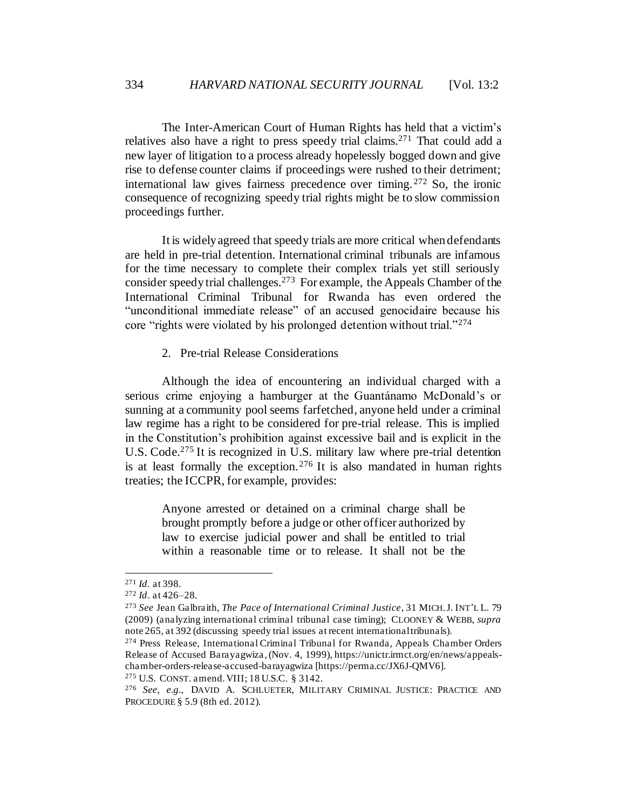The Inter-American Court of Human Rights has held that a victim's relatives also have a right to press speedy trial claims.<sup>271</sup> That could add a new layer of litigation to a process already hopelessly bogged down and give rise to defense counter claims if proceedings were rushed to their detriment; international law gives fairness precedence over timing. <sup>272</sup> So, the ironic consequence of recognizing speedy trial rights might be to slow commission proceedings further.

It is widely agreed that speedy trials are more critical when defendants are held in pre-trial detention. International criminal tribunals are infamous for the time necessary to complete their complex trials yet still seriously consider speedy trial challenges.<sup>273</sup> For example, the Appeals Chamber of the International Criminal Tribunal for Rwanda has even ordered the "unconditional immediate release" of an accused genocidaire because his core "rights were violated by his prolonged detention without trial."<sup>274</sup>

2. Pre-trial Release Considerations

Although the idea of encountering an individual charged with a serious crime enjoying a hamburger at the Guantánamo McDonald's or sunning at a community pool seems farfetched, anyone held under a criminal law regime has a right to be considered for pre-trial release. This is implied in the Constitution's prohibition against excessive bail and is explicit in the U.S. Code.<sup>275</sup> It is recognized in U.S. military law where pre-trial detention is at least formally the exception.<sup>276</sup> It is also mandated in human rights treaties; the ICCPR, for example, provides:

Anyone arrested or detained on a criminal charge shall be brought promptly before a judge or other officer authorized by law to exercise judicial power and shall be entitled to trial within a reasonable time or to release. It shall not be the

<sup>271</sup> *Id.* at 398.

<sup>272</sup> *Id*. at 426–28.

<sup>273</sup> *See* Jean Galbraith, *The Pace of International Criminal Justice*, 31 MICH.J. INT'L L. 79 (2009) (analyzing international criminal tribunal case timing); CLOONEY & WEBB, *supra* note 265, at 392 (discussing speedy trial issues at recent international tribunals).

<sup>274</sup> Press Release, International Criminal Tribunal for Rwanda, Appeals Chamber Orders Release of Accused Barayagwiza , (Nov. 4, 1999), https://unictr.irmct.org/en/news/appealschamber-orders-release-accused-barayagwiza [https://perma.cc/JX6J-QMV6].

<sup>275</sup> U.S. CONST. amend. VIII; 18 U.S.C. § 3142.

<sup>276</sup> *See, e.g.*, DAVID A. SCHLUETER, MILITARY CRIMINAL JUSTICE: PRACTICE AND PROCEDURE § 5.9 (8th ed. 2012).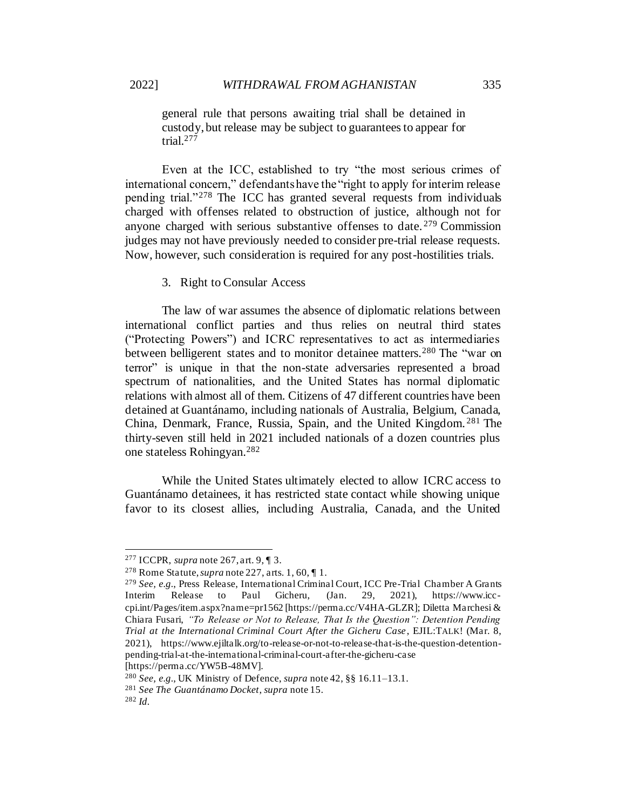general rule that persons awaiting trial shall be detained in custody, but release may be subject to guarantees to appear for trial. $277$ 

Even at the ICC, established to try "the most serious crimes of international concern," defendants have the "right to apply for interim release pending trial."<sup>278</sup> The ICC has granted several requests from individuals charged with offenses related to obstruction of justice, although not for anyone charged with serious substantive offenses to date. <sup>279</sup> Commission judges may not have previously needed to consider pre-trial release requests. Now, however, such consideration is required for any post-hostilities trials.

#### 3. Right to Consular Access

The law of war assumes the absence of diplomatic relations between international conflict parties and thus relies on neutral third states ("Protecting Powers") and ICRC representatives to act as intermediaries between belligerent states and to monitor detainee matters.<sup>280</sup> The "war on terror" is unique in that the non-state adversaries represented a broad spectrum of nationalities, and the United States has normal diplomatic relations with almost all of them. Citizens of 47 different countries have been detained at Guantánamo, including nationals of Australia, Belgium, Canada, China, Denmark, France, Russia, Spain, and the United Kingdom. <sup>281</sup> The thirty-seven still held in 2021 included nationals of a dozen countries plus one stateless Rohingyan.<sup>282</sup>

While the United States ultimately elected to allow ICRC access to Guantánamo detainees, it has restricted state contact while showing unique favor to its closest allies, including Australia, Canada, and the United

[https://perma.cc/YW5B-48MV].

<sup>277</sup> ICCPR, *supra* note 267, art. 9, ¶ 3.

<sup>278</sup> Rome Statute, *supra* not[e 227](#page-40-0), arts. 1, 60, ¶ 1.

<sup>279</sup> *See, e.g.*, Press Release, International Criminal Court, ICC Pre-Trial Chamber A Grants Interim Release to Paul Gicheru, (Jan. 29, 2021), https://www.icccpi.int/Pages/item.aspx?name=pr1562 [https://perma.cc/V4HA-GLZR]; Diletta Marchesi & Chiara Fusari, *"To Release or Not to Release, That Is the Question": Detention Pending Trial at the International Criminal Court After the Gicheru Case*, EJIL:TALK! (Mar. 8, 2021), https://www.ejiltalk.org/to-release-or-not-to-release-that-is-the-question-detentionpending-trial-at-the-international-criminal-court-after-the-gicheru-case

<sup>280</sup> *See, e.g.*, UK Ministry of Defence, *supra* not[e 42](#page-9-0), §§ 16.11–13.1.

<sup>281</sup> *See The Guantánamo Docket*, *supra* not[e 15.](#page-4-0)

<sup>282</sup> *Id.*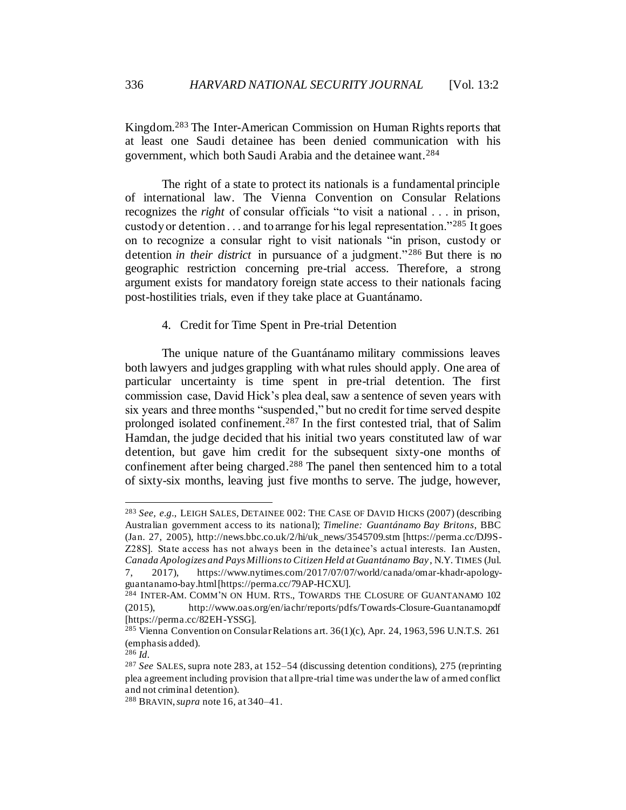Kingdom.<sup>283</sup> The Inter-American Commission on Human Rights reports that at least one Saudi detainee has been denied communication with his government, which both Saudi Arabia and the detainee want.<sup>284</sup>

The right of a state to protect its nationals is a fundamental principle of international law. The Vienna Convention on Consular Relations recognizes the *right* of consular officials "to visit a national . . . in prison, custody or detention  $\ldots$  and to arrange for his legal representation."<sup>285</sup> It goes on to recognize a consular right to visit nationals "in prison, custody or detention *in their district* in pursuance of a judgment."<sup>286</sup> But there is no geographic restriction concerning pre-trial access. Therefore, a strong argument exists for mandatory foreign state access to their nationals facing post-hostilities trials, even if they take place at Guantánamo.

### 4. Credit for Time Spent in Pre-trial Detention

The unique nature of the Guantánamo military commissions leaves both lawyers and judges grappling with what rules should apply. One area of particular uncertainty is time spent in pre-trial detention. The first commission case, David Hick's plea deal, saw a sentence of seven years with six years and three months "suspended," but no credit for time served despite prolonged isolated confinement.<sup>287</sup> In the first contested trial, that of Salim Hamdan, the judge decided that his initial two years constituted law of war detention, but gave him credit for the subsequent sixty-one months of confinement after being charged.<sup>288</sup> The panel then sentenced him to a total of sixty-six months, leaving just five months to serve. The judge, however,

<sup>283</sup> *See, e.g.*, LEIGH SALES, DETAINEE 002: THE CASE OF DAVID HICKS (2007) (describing Australian government access to its national); *Timeline: Guantánamo Bay Britons*, BBC (Jan. 27, 2005), http://news.bbc.co.uk/2/hi/uk\_news/3545709.stm [https://perma.cc/DJ9S-Z28S]. State access has not always been in the detainee's actual interests. Ian Austen, *Canada Apologizes and Pays Millions to Citizen Held at Guantánamo Bay* , N.Y. TIMES (Jul. 7, 2017), https://www.nytimes.com/2017/07/07/world/canada/omar-khadr-apology-

guantanamo-bay.html [https://perma.cc/79AP-HCXU].

<sup>&</sup>lt;sup>284</sup> INTER-AM. COMM'N ON HUM. RTS., TOWARDS THE CLOSURE OF GUANTANAMO 102 (2015), http://www.oas.org/en/iachr/reports/pdfs/Towards-Closure-Guantanamo.pdf [https://perma.cc/82EH-YSSG].

 $^{285}$  Vienna Convention on Consular Relations art. 36(1)(c), Apr. 24, 1963, 596 U.N.T.S. 261 (emphasis added).

 $^{286}$   $\hat{Id}$ .

<sup>287</sup> *See* SALES, supra note 283, at 152–54 (discussing detention conditions), 275 (reprinting plea agreement including provision that all pre-trial time was under the law of armed conflict and not criminal detention).

<sup>288</sup> BRAVIN,*supra* not[e 16](#page-5-0), at 340–41.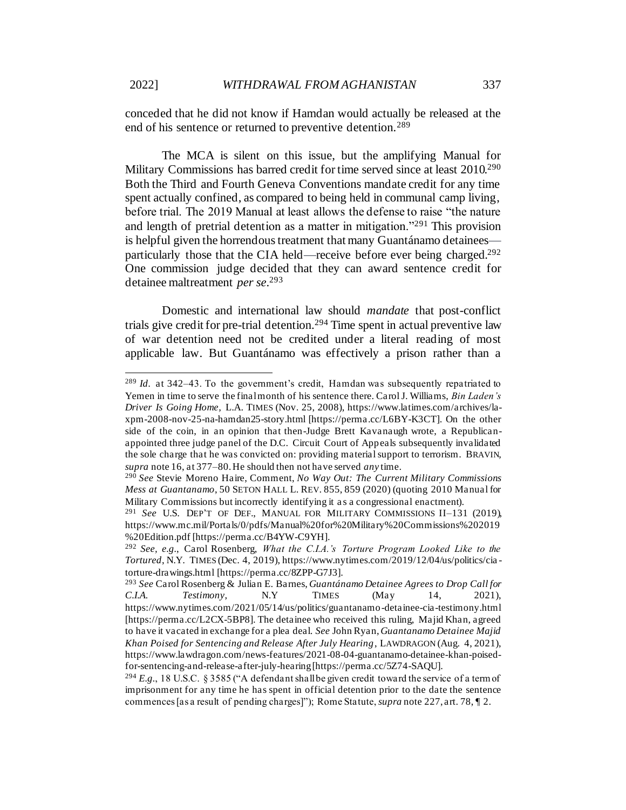conceded that he did not know if Hamdan would actually be released at the end of his sentence or returned to preventive detention.<sup>289</sup>

The MCA is silent on this issue, but the amplifying Manual for Military Commissions has barred credit for time served since at least 2010.<sup>290</sup> Both the Third and Fourth Geneva Conventions mandate credit for any time spent actually confined, as compared to being held in communal camp living, before trial. The 2019 Manual at least allows the defense to raise "the nature and length of pretrial detention as a matter in mitigation."<sup>291</sup> This provision is helpful given the horrendous treatment that many Guantánamo detainees particularly those that the CIA held—receive before ever being charged.<sup>292</sup> One commission judge decided that they can award sentence credit for detainee maltreatment *per se*. 293

Domestic and international law should *mandate* that post-conflict trials give credit for pre-trial detention.<sup>294</sup> Time spent in actual preventive law of war detention need not be credited under a literal reading of most applicable law. But Guantánamo was effectively a prison rather than a

<sup>289</sup> *Id*. at 342–43. To the government's credit, Hamdan was subsequently repatriated to Yemen in time to serve the final month of his sentence there. Carol J. Williams, *Bin Laden's Driver Is Going Home,* L.A. TIMES (Nov. 25, 2008), https://www.latimes.com/archives/laxpm-2008-nov-25-na-hamdan25-story.html [https://perma.cc/L6BY-K3CT]. On the other side of the coin, in an opinion that then-Judge Brett Kavanaugh wrote, a Republicanappointed three judge panel of the D.C. Circuit Court of Appeals subsequently invalidated the sole charge that he was convicted on: providing material support to terrorism. BRAVIN, *supra* not[e 16,](#page-5-0) at 377–80. He should then not have served *any* time.

<sup>290</sup> *See* Stevie Moreno Haire, Comment, *No Way Out: The Current Military Commissions Mess at Guantanamo*, 50 SETON HALL L. REV. 855, 859 (2020) (quoting 2010 Manual for Military Commissions but incorrectly identifying it a s a congressional enactment).

<sup>291</sup> *See* U.S. DEP'T OF DEF., MANUAL FOR MILITARY COMMISSIONS II–131 (2019), https://www.mc.mil/Portals/0/pdfs/Manual%20for%20Military%20Commissions%202019 %20Edition.pdf [https://perma.cc/B4YW-C9YH].

<sup>292</sup> *See, e.g.*, Carol Rosenberg, *What the C.I.A.'s Torture Program Looked Like to the Tortured*, N.Y. TIMES (Dec. 4, 2019), https://www.nytimes.com/2019/12/04/us/politics/cia torture-drawings.html [https://perma.cc/8ZPP-G7J3].

<sup>293</sup> *See* Carol Rosenberg & Julian E. Barnes, *Guantánamo Detainee Agrees to Drop Call for C.I.A. Testimony*, N.Y TIMES (May 14, 2021), https://www.nytimes.com/2021/05/14/us/politics/guantanamo-detainee-cia-testimony.html [https://perma.cc/L2CX-5BP8]. The detainee who received this ruling, Majid Khan, agreed to have it vacated in exchange for a plea deal. *See* John Ryan, *Guantanamo Detainee Majid Khan Poised for Sentencing and Release After July Hearing*, LAWDRAGON (Aug. 4, 2021), https://www.lawdragon.com/news-features/2021-08-04-guantanamo-detainee-khan-poisedfor-sentencing-and-release-after-july-hearing [https://perma.cc/5Z74-SAQU].

<sup>&</sup>lt;sup>294</sup> E.g., 18 U.S.C. § 3585 ("A defendant shall be given credit toward the service of a term of imprisonment for any time he has spent in official detention prior to the date the sentence commences [as a result of pending charges]"); Rome Statute, *supra* note 227, art. 78, ¶ 2.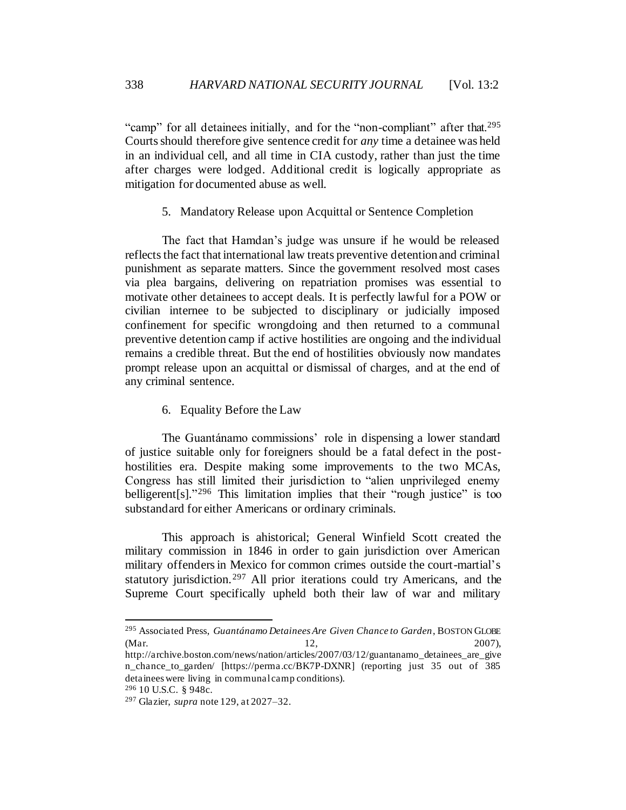"camp" for all detainees initially, and for the "non-compliant" after that.<sup>295</sup> Courts should therefore give sentence credit for *any* time a detainee was held in an individual cell, and all time in CIA custody, rather than just the time after charges were lodged. Additional credit is logically appropriate as mitigation for documented abuse as well.

5. Mandatory Release upon Acquittal or Sentence Completion

The fact that Hamdan's judge was unsure if he would be released reflects the fact that international law treats preventive detention and criminal punishment as separate matters. Since the government resolved most cases via plea bargains, delivering on repatriation promises was essential to motivate other detainees to accept deals. It is perfectly lawful for a POW or civilian internee to be subjected to disciplinary or judicially imposed confinement for specific wrongdoing and then returned to a communal preventive detention camp if active hostilities are ongoing and the individual remains a credible threat. But the end of hostilities obviously now mandates prompt release upon an acquittal or dismissal of charges, and at the end of any criminal sentence.

6. Equality Before the Law

The Guantánamo commissions' role in dispensing a lower standard of justice suitable only for foreigners should be a fatal defect in the posthostilities era. Despite making some improvements to the two MCAs, Congress has still limited their jurisdiction to "alien unprivileged enemy belligerent[s]." <sup>296</sup> This limitation implies that their "rough justice" is too substandard for either Americans or ordinary criminals.

This approach is ahistorical; General Winfield Scott created the military commission in 1846 in order to gain jurisdiction over American military offenders in Mexico for common crimes outside the court-martial's statutory jurisdiction.<sup>297</sup> All prior iterations could try Americans, and the Supreme Court specifically upheld both their law of war and military

<sup>295</sup> Associated Press, *Guantánamo Detainees Are Given Chance to Garden*, BOSTON GLOBE (Mar. 2007), 2007),

http://archive.boston.com/news/nation/articles/2007/03/12/guantanamo\_detainees\_are\_give n chance to garden/ [https://perma.cc/BK7P-DXNR] (reporting just 35 out of 385 detainees were living in communal camp conditions).

<sup>296</sup> 10 U.S.C. § 948c.

<sup>297</sup> Glazier, *supra* not[e 129](#page-23-0), at 2027–32.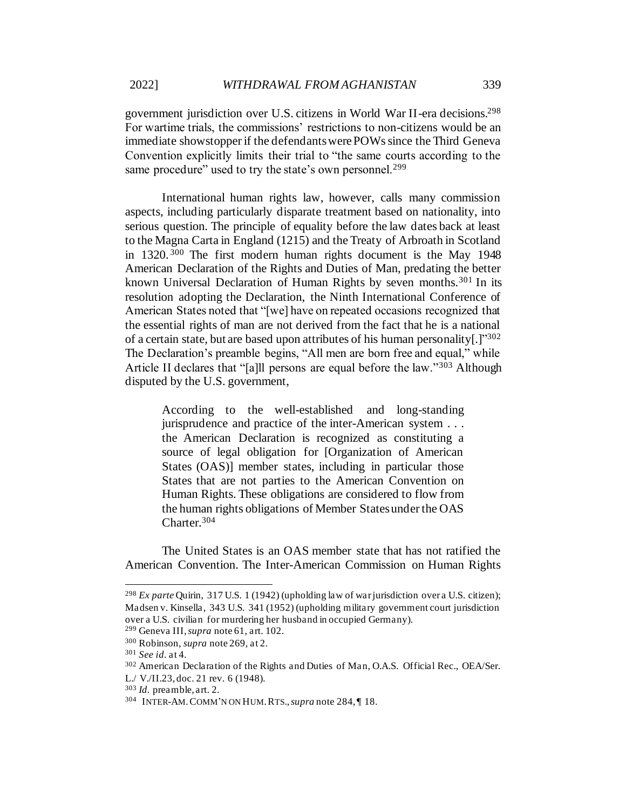government jurisdiction over U.S. citizens in World War II-era decisions.<sup>298</sup> For wartime trials, the commissions' restrictions to non-citizens would be an immediate showstopper if the defendants were POWs since the Third Geneva Convention explicitly limits their trial to "the same courts according to the same procedure" used to try the state's own personnel.<sup>299</sup>

International human rights law, however, calls many commission aspects, including particularly disparate treatment based on nationality, into serious question. The principle of equality before the law dates back at least to the Magna Carta in England (1215) and the Treaty of Arbroath in Scotland in 1320. <sup>300</sup> The first modern human rights document is the May 1948 American Declaration of the Rights and Duties of Man, predating the better known Universal Declaration of Human Rights by seven months.<sup>301</sup> In its resolution adopting the Declaration, the Ninth International Conference of American States noted that "[we] have on repeated occasions recognized that the essential rights of man are not derived from the fact that he is a national of a certain state, but are based upon attributes of his human personality[.]"302 The Declaration's preamble begins, "All men are born free and equal," while Article II declares that "[a]ll persons are equal before the law."<sup>303</sup> Although disputed by the U.S. government,

According to the well-established and long-standing jurisprudence and practice of the inter-American system . . . the American Declaration is recognized as constituting a source of legal obligation for [Organization of American States (OAS)] member states, including in particular those States that are not parties to the American Convention on Human Rights. These obligations are considered to flow from the human rights obligations of Member States under the OAS Charter.<sup>304</sup>

The United States is an OAS member state that has not ratified the American Convention. The Inter-American Commission on Human Rights

<sup>&</sup>lt;sup>298</sup> *Ex parte* Quirin, 317 U.S. 1 (1942) (upholding law of war jurisdiction over a U.S. citizen); Madsen v. Kinsella , 343 U.S. 341 (1952) (upholding military government court jurisdiction over a U.S. civilian for murdering her husband in occupied Germany).

<sup>299</sup> Geneva III, *supra* not[e 61,](#page-12-0) art. 102.

<sup>300</sup> Robinson, *supra* note 269, at 2.

<sup>301</sup> *See id.* at 4.

<sup>302</sup> American Declaration of the Rights and Duties of Man, O.A.S. Official Rec., OEA/Ser.

L./ V./II.23, doc. 21 rev. 6 (1948).

<sup>303</sup> *Id.* preamble, art. 2.

<sup>304</sup> INTER-AM.COMM'N ON HUM.RTS.,*supra* note 284, ¶ 18.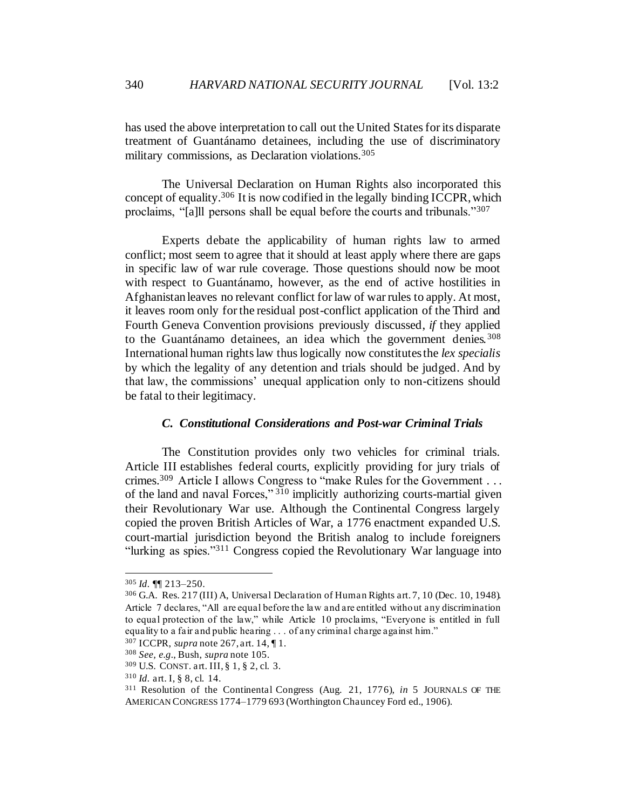has used the above interpretation to call out the United States for its disparate treatment of Guantánamo detainees, including the use of discriminatory military commissions, as Declaration violations.<sup>305</sup>

The Universal Declaration on Human Rights also incorporated this concept of equality.<sup>306</sup> It is now codified in the legally binding ICCPR, which proclaims, "[a]ll persons shall be equal before the courts and tribunals."<sup>307</sup>

Experts debate the applicability of human rights law to armed conflict; most seem to agree that it should at least apply where there are gaps in specific law of war rule coverage. Those questions should now be moot with respect to Guantánamo, however, as the end of active hostilities in Afghanistan leaves no relevant conflict for law of war rules to apply. At most, it leaves room only for the residual post-conflict application of the Third and Fourth Geneva Convention provisions previously discussed, *if* they applied to the Guantánamo detainees, an idea which the government denies. <sup>308</sup> International human rights law thus logically now constitutes the *lex specialis* by which the legality of any detention and trials should be judged. And by that law, the commissions' unequal application only to non-citizens should be fatal to their legitimacy.

### *C. Constitutional Considerations and Post-war Criminal Trials*

The Constitution provides only two vehicles for criminal trials. Article III establishes federal courts, explicitly providing for jury trials of crimes.<sup>309</sup> Article I allows Congress to "make Rules for the Government . . . of the land and naval Forces," <sup>310</sup> implicitly authorizing courts-martial given their Revolutionary War use. Although the Continental Congress largely copied the proven British Articles of War, a 1776 enactment expanded U.S. court-martial jurisdiction beyond the British analog to include foreigners "lurking as spies."<sup>311</sup> Congress copied the Revolutionary War language into

<sup>305</sup> *Id.* ¶¶ 213–250.

<sup>306</sup> G.A. Res. 217 (III) A, Universal Declaration of Human Rights art. 7, 10 (Dec. 10, 1948). Article 7 declares, "All are equal before the law and are entitled without any discrimination to equal protection of the law," while Article 10 proclaims, "Everyone is entitled in full equality to a fair and public hearing . . . of any criminal charge against him."

<sup>307</sup> ICCPR, *supra* note 267, art. 14, ¶ 1.

<sup>308</sup> *See, e.g.*, Bush, *supra* not[e 105](#page-19-0).

<sup>309</sup> U.S. CONST. art. III, § 1, § 2, cl. 3.

<sup>310</sup> *Id.* art. I, § 8, cl. 14.

<sup>311</sup> Resolution of the Continental Congress (Aug. 21, 1776), *in* 5 JOURNALS OF THE AMERICAN CONGRESS 1774–1779 693 (Worthington Chauncey Ford ed., 1906).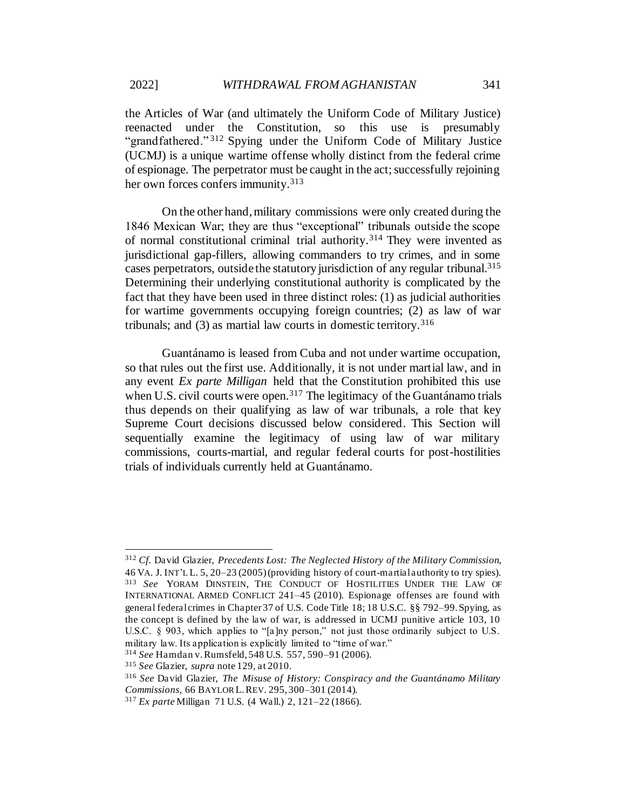the Articles of War (and ultimately the Uniform Code of Military Justice) reenacted under the Constitution, so this use is presumably "grandfathered." <sup>312</sup> Spying under the Uniform Code of Military Justice (UCMJ) is a unique wartime offense wholly distinct from the federal crime of espionage. The perpetrator must be caught in the act; successfully rejoining her own forces confers immunity.<sup>313</sup>

On the other hand, military commissions were only created during the 1846 Mexican War; they are thus "exceptional" tribunals outside the scope of normal constitutional criminal trial authority.<sup>314</sup> They were invented as jurisdictional gap-fillers, allowing commanders to try crimes, and in some cases perpetrators, outside the statutory jurisdiction of any regular tribunal.<sup>315</sup> Determining their underlying constitutional authority is complicated by the fact that they have been used in three distinct roles: (1) as judicial authorities for wartime governments occupying foreign countries; (2) as law of war tribunals; and  $(3)$  as martial law courts in domestic territory.<sup>316</sup>

Guantánamo is leased from Cuba and not under wartime occupation, so that rules out the first use. Additionally, it is not under martial law, and in any event *Ex parte Milligan* held that the Constitution prohibited this use when U.S. civil courts were open.<sup>317</sup> The legitimacy of the Guantánamo trials thus depends on their qualifying as law of war tribunals, a role that key Supreme Court decisions discussed below considered. This Section will sequentially examine the legitimacy of using law of war military commissions, courts-martial, and regular federal courts for post-hostilities trials of individuals currently held at Guantánamo.

<sup>312</sup> *Cf.* David Glazier, *Precedents Lost: The Neglected History of the Military Commission,*  46 VA. J. INT'L L. 5, 20–23 (2005) (providing history of court-martial authority to try spies). <sup>313</sup> *See* YORAM DINSTEIN, THE CONDUCT OF HOSTILITIES UNDER THE LAW OF INTERNATIONAL ARMED CONFLICT 241–45 (2010). Espionage offenses are found with general federal crimes in Chapter 37 of U.S. Code Title 18; 18 U.S.C. §§ 792–99. Spying, as the concept is defined by the law of war, is addressed in UCMJ punitive article 103, 10 U.S.C.  $\S$  903, which applies to "[a]ny person," not just those ordinarily subject to U.S. military law. Its application is explicitly limited to "time of war."

<sup>314</sup> *See* Hamdan v. Rumsfeld, 548 U.S. 557, 590–91 (2006).

<sup>315</sup> *See* Glazier, *supra* note 129, at 2010.

<sup>316</sup> *See* David Glazier, *The Misuse of History: Conspiracy and the Guantánamo Military Commissions,* 66 BAYLOR L.REV. 295, 300–301 (2014).

<sup>317</sup> *Ex parte* Milligan 71 U.S. (4 Wall.) 2, 121–22 (1866).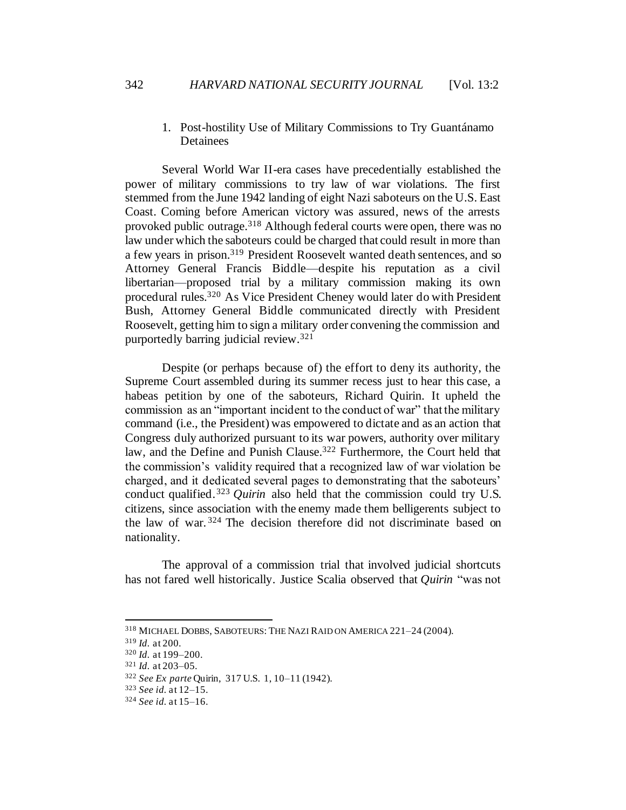## 1. Post-hostility Use of Military Commissions to Try Guantánamo Detainees

Several World War II-era cases have precedentially established the power of military commissions to try law of war violations. The first stemmed from the June 1942 landing of eight Nazi saboteurs on the U.S. East Coast. Coming before American victory was assured, news of the arrests provoked public outrage.<sup>318</sup> Although federal courts were open, there was no law under which the saboteurs could be charged that could result in more than a few years in prison.<sup>319</sup> President Roosevelt wanted death sentences, and so Attorney General Francis Biddle—despite his reputation as a civil libertarian—proposed trial by a military commission making its own procedural rules.<sup>320</sup> As Vice President Cheney would later do with President Bush, Attorney General Biddle communicated directly with President Roosevelt, getting him to sign a military order convening the commission and purportedly barring judicial review.<sup>321</sup>

Despite (or perhaps because of) the effort to deny its authority, the Supreme Court assembled during its summer recess just to hear this case, a habeas petition by one of the saboteurs, Richard Quirin. It upheld the commission as an "important incident to the conduct of war" that the military command (i.e., the President) was empowered to dictate and as an action that Congress duly authorized pursuant to its war powers, authority over military law, and the Define and Punish Clause.<sup>322</sup> Furthermore, the Court held that the commission's validity required that a recognized law of war violation be charged, and it dedicated several pages to demonstrating that the saboteurs' conduct qualified.<sup>323</sup> *Quirin* also held that the commission could try U.S. citizens, since association with the enemy made them belligerents subject to the law of war. <sup>324</sup> The decision therefore did not discriminate based on nationality.

The approval of a commission trial that involved judicial shortcuts has not fared well historically. Justice Scalia observed that *Quirin* "was not

<sup>318</sup> MICHAEL DOBBS, SABOTEURS: THE NAZI RAID ON AMERICA 221–24 (2004).

<sup>319</sup> *Id.* at 200.

<sup>320</sup> *Id.* at 199–200.

<sup>321</sup> *Id.* at 203–05.

<sup>322</sup> *See Ex parte* Quirin, 317 U.S. 1, 10–11 (1942).

<sup>323</sup> *See id.* at 12–15.

<sup>324</sup> *See id.* at 15–16.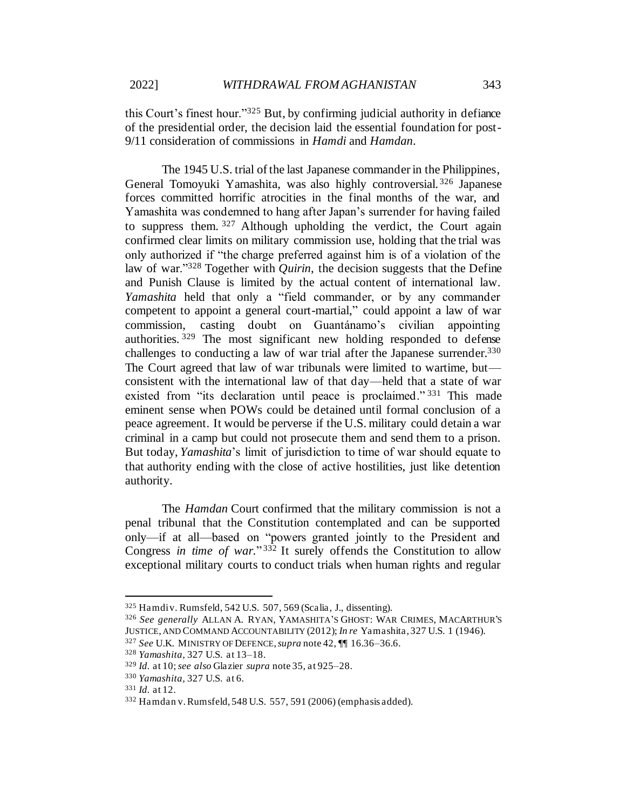this Court's finest hour."<sup>325</sup> But, by confirming judicial authority in defiance of the presidential order, the decision laid the essential foundation for post-9/11 consideration of commissions in *Hamdi* and *Hamdan*.

The 1945 U.S. trial of the last Japanese commander in the Philippines, General Tomoyuki Yamashita, was also highly controversial. <sup>326</sup> Japanese forces committed horrific atrocities in the final months of the war, and Yamashita was condemned to hang after Japan's surrender for having failed to suppress them.  $327$  Although upholding the verdict, the Court again confirmed clear limits on military commission use, holding that the trial was only authorized if "the charge preferred against him is of a violation of the law of war."<sup>328</sup> Together with *Quirin*, the decision suggests that the Define and Punish Clause is limited by the actual content of international law. *Yamashita* held that only a "field commander, or by any commander competent to appoint a general court-martial," could appoint a law of war commission, casting doubt on Guantánamo's civilian appointing authorities. <sup>329</sup> The most significant new holding responded to defense challenges to conducting a law of war trial after the Japanese surrender.<sup>330</sup> The Court agreed that law of war tribunals were limited to wartime, but consistent with the international law of that day—held that a state of war existed from "its declaration until peace is proclaimed."<sup>331</sup> This made eminent sense when POWs could be detained until formal conclusion of a peace agreement. It would be perverse if the U.S. military could detain a war criminal in a camp but could not prosecute them and send them to a prison. But today, *Yamashita*'s limit of jurisdiction to time of war should equate to that authority ending with the close of active hostilities, just like detention authority.

The *Hamdan* Court confirmed that the military commission is not a penal tribunal that the Constitution contemplated and can be supported only—if at all—based on "powers granted jointly to the President and Congress *in time of war.*" <sup>332</sup> It surely offends the Constitution to allow exceptional military courts to conduct trials when human rights and regular

<sup>325</sup> Hamdi v. Rumsfeld, 542 U.S. 507, 569 (Scalia, J., dissenting).

<sup>326</sup> *See generally* ALLAN A. RYAN, YAMASHITA'S GHOST: WAR CRIMES, MACARTHUR'S JUSTICE, AND COMMAND ACCOUNTABILITY (2012); *In re* Yamashita, 327 U.S. 1 (1946).

<sup>327</sup> *See* U.K. MINISTRY OF DEFENCE, *supra* not[e 42,](#page-9-0) ¶¶ 16.36–36.6.

<sup>328</sup> *Yamashita,* 327 U.S. at 13–18.

<sup>329</sup> *Id.* at 10; *see also* Glazier *supra* note 35, at 925–28.

<sup>330</sup> *Yamashita,* 327 U.S. at 6.

<sup>331</sup> *Id.* at 12.

<sup>332</sup> Hamdan v. Rumsfeld, 548 U.S. 557, 591 (2006) (emphasis added).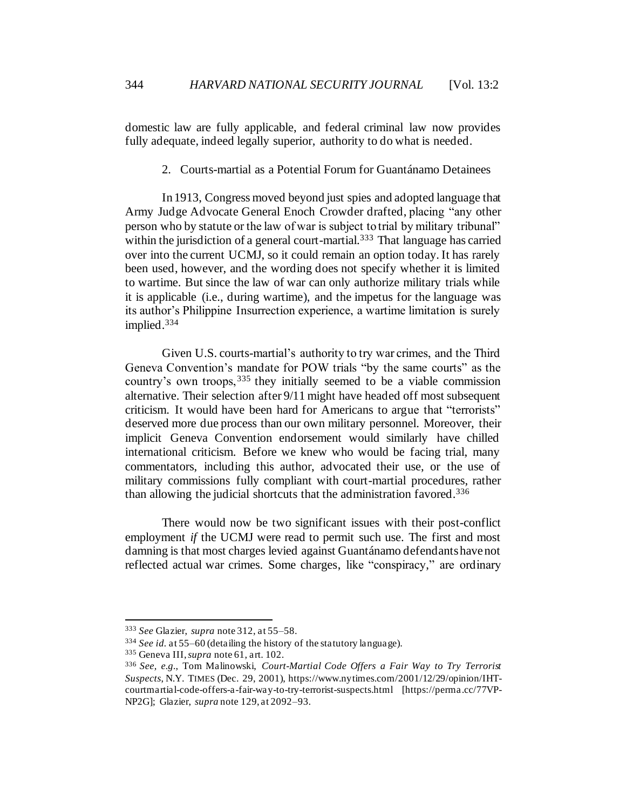domestic law are fully applicable, and federal criminal law now provides fully adequate, indeed legally superior, authority to do what is needed.

2. Courts-martial as a Potential Forum for Guantánamo Detainees

In 1913, Congress moved beyond just spies and adopted language that Army Judge Advocate General Enoch Crowder drafted, placing "any other person who by statute or the law of war is subject to trial by military tribunal" within the jurisdiction of a general court-martial.<sup>333</sup> That language has carried over into the current UCMJ, so it could remain an option today. It has rarely been used, however, and the wording does not specify whether it is limited to wartime. But since the law of war can only authorize military trials while it is applicable (i.e., during wartime), and the impetus for the language was its author's Philippine Insurrection experience, a wartime limitation is surely implied.<sup>334</sup>

Given U.S. courts-martial's authority to try war crimes, and the Third Geneva Convention's mandate for POW trials "by the same courts" as the country's own troops,<sup>335</sup> they initially seemed to be a viable commission alternative. Their selection after 9/11 might have headed off most subsequent criticism. It would have been hard for Americans to argue that "terrorists" deserved more due process than our own military personnel. Moreover, their implicit Geneva Convention endorsement would similarly have chilled international criticism. Before we knew who would be facing trial, many commentators, including this author, advocated their use, or the use of military commissions fully compliant with court-martial procedures, rather than allowing the judicial shortcuts that the administration favored.<sup>336</sup>

There would now be two significant issues with their post-conflict employment *if* the UCMJ were read to permit such use. The first and most damning is that most charges levied against Guantánamo defendants have not reflected actual war crimes. Some charges, like "conspiracy," are ordinary

<sup>333</sup> *See* Glazier, *supra* note 312, at 55–58.

<sup>334</sup> *See id.* at 55–60 (detailing the history of the statutory language).

<sup>335</sup> Geneva III, *supra* not[e 61,](#page-12-0) art. 102.

<sup>336</sup> *See, e.g.*, Tom Malinowski, *Court-Martial Code Offers a Fair Way to Try Terrorist Suspects*, N.Y. TIMES (Dec. 29, 2001), https://www.nytimes.com/2001/12/29/opinion/IHTcourtmartial-code-offers-a-fair-way-to-try-terrorist-suspects.html [https://perma.cc/77VP-NP2G]; Glazier, *supra* note 129, at 2092–93.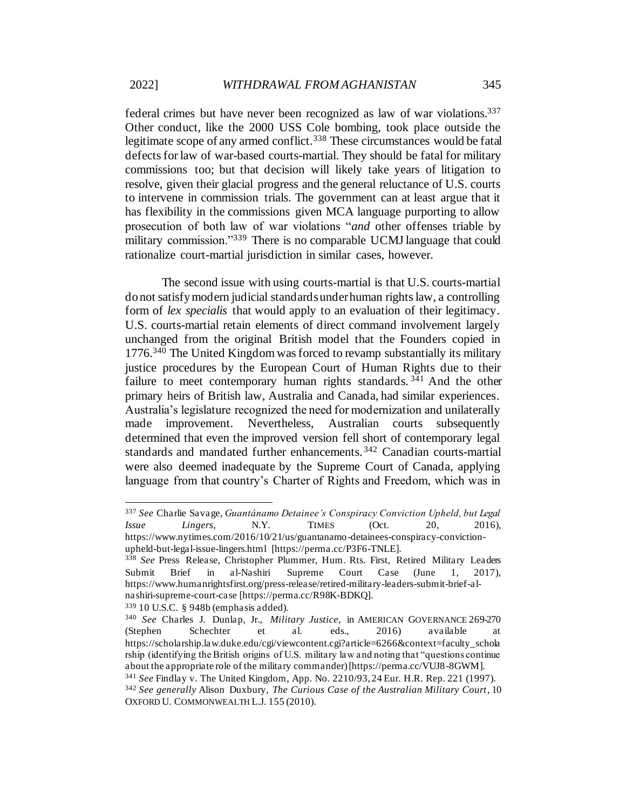federal crimes but have never been recognized as law of war violations.<sup>337</sup> Other conduct, like the 2000 USS Cole bombing, took place outside the legitimate scope of any armed conflict.<sup>338</sup> These circumstances would be fatal defects for law of war-based courts-martial. They should be fatal for military commissions too; but that decision will likely take years of litigation to resolve, given their glacial progress and the general reluctance of U.S. courts to intervene in commission trials. The government can at least argue that it has flexibility in the commissions given MCA language purporting to allow prosecution of both law of war violations "*and* other offenses triable by military commission."<sup>339</sup> There is no comparable UCMJ language that could rationalize court-martial jurisdiction in similar cases, however.

The second issue with using courts-martial is that U.S. courts-martial do not satisfy modern judicial standards under human rights law, a controlling form of *lex specialis* that would apply to an evaluation of their legitimacy. U.S. courts-martial retain elements of direct command involvement largely unchanged from the original British model that the Founders copied in 1776.<sup>340</sup> The United Kingdom was forced to revamp substantially its military justice procedures by the European Court of Human Rights due to their failure to meet contemporary human rights standards.<sup>341</sup> And the other primary heirs of British law, Australia and Canada, had similar experiences. Australia's legislature recognized the need for modernization and unilaterally made improvement. Nevertheless, Australian courts subsequently determined that even the improved version fell short of contemporary legal standards and mandated further enhancements. <sup>342</sup> Canadian courts-martial were also deemed inadequate by the Supreme Court of Canada, applying language from that country's Charter of Rights and Freedom, which was in

<sup>339</sup> 10 U.S.C. § 948b (emphasis added).

<sup>337</sup> *See* Charlie Savage, *Guantánamo Detainee's Conspiracy Conviction Upheld, but Legal Issue Lingers*, N.Y. TIMES (Oct. 20, 2016), https://www.nytimes.com/2016/10/21/us/guantanamo-detainees-conspiracy-convictionupheld-but-legal-issue-lingers.html [https://perma.cc/P3F6-TNLE].

<sup>338</sup> *See* Press Release, Christopher Plummer, Hum. Rts. First, Retired Military Leaders Submit Brief in al-Nashiri Supreme Court Case (June 1, 2017), https://www.humanrightsfirst.org/press-release/retired-military-leaders-submit-brief-alnashiri-supreme-court-case [https://perma.cc/R98K-BDKQ].

<sup>340</sup> *See* Charles J. Dunlap, Jr., *Military Justice*, in AMERICAN GOVERNANCE 269-270 (Stephen Schechter et al. eds., 2016) available at https://scholarship.law.duke.edu/cgi/viewcontent.cgi?article=6266&context=faculty\_schola rship (identifying the British origins of U.S. military law and noting that "questions continue about the appropriate role of the military commander) [https://perma.cc/VUJ8-8GWM].

<sup>341</sup> *See* Findlay v. The United Kingdom, App. No. 2210/93, 24 Eur. H.R. Rep. 221 (1997).

<sup>342</sup> *See generally* Alison Duxbury, *The Curious Case of the Australian Military Court*, 10 OXFORD U. COMMONWEALTH L.J. 155 (2010).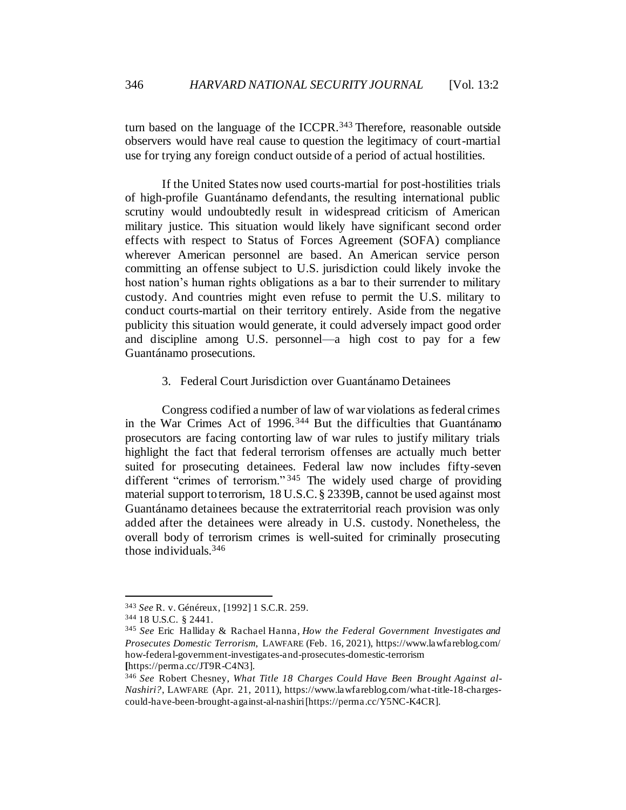turn based on the language of the ICCPR.<sup>343</sup> Therefore, reasonable outside observers would have real cause to question the legitimacy of court-martial use for trying any foreign conduct outside of a period of actual hostilities.

If the United States now used courts-martial for post-hostilities trials of high-profile Guantánamo defendants, the resulting international public scrutiny would undoubtedly result in widespread criticism of American military justice. This situation would likely have significant second order effects with respect to Status of Forces Agreement (SOFA) compliance wherever American personnel are based. An American service person committing an offense subject to U.S. jurisdiction could likely invoke the host nation's human rights obligations as a bar to their surrender to military custody. And countries might even refuse to permit the U.S. military to conduct courts-martial on their territory entirely. Aside from the negative publicity this situation would generate, it could adversely impact good order and discipline among U.S. personnel—a high cost to pay for a few Guantánamo prosecutions.

# 3. Federal Court Jurisdiction over Guantánamo Detainees

Congress codified a number of law of war violations as federal crimes in the War Crimes Act of 1996. <sup>344</sup> But the difficulties that Guantánamo prosecutors are facing contorting law of war rules to justify military trials highlight the fact that federal terrorism offenses are actually much better suited for prosecuting detainees. Federal law now includes fifty-seven different "crimes of terrorism." <sup>345</sup> The widely used charge of providing material support to terrorism, 18 U.S.C. § 2339B, cannot be used against most Guantánamo detainees because the extraterritorial reach provision was only added after the detainees were already in U.S. custody. Nonetheless, the overall body of terrorism crimes is well-suited for criminally prosecuting those individuals.<sup>346</sup>

<sup>343</sup> *See* R. v. Généreux*,* [1992] 1 S.C.R. 259.

<sup>344</sup> 18 U.S.C. § 2441.

<sup>345</sup> *See* Eric Halliday & Rachael Hanna, *How the Federal Government Investigates and Prosecutes Domestic Terrorism*, LAWFARE (Feb. 16, 2021), https://www.lawfareblog.com/ how-federal-government-investigates-and-prosecutes-domestic-terrorism **[**https://perma.cc/JT9R-C4N3].

<sup>346</sup> *See* Robert Chesney, *What Title 18 Charges Could Have Been Brought Against al-Nashiri?*, LAWFARE (Apr. 21, 2011), https://www.lawfareblog.com/what-title-18-chargescould-have-been-brought-against-al-nashiri [https://perma.cc/Y5NC-K4CR].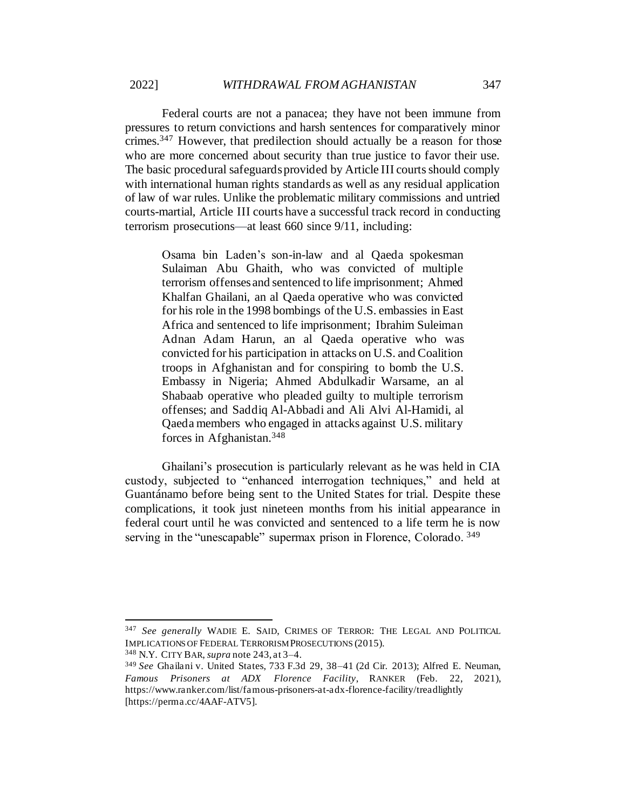Federal courts are not a panacea; they have not been immune from pressures to return convictions and harsh sentences for comparatively minor crimes.<sup>347</sup> However, that predilection should actually be a reason for those who are more concerned about security than true justice to favor their use. The basic procedural safeguards provided by Article III courts should comply with international human rights standards as well as any residual application of law of war rules. Unlike the problematic military commissions and untried courts-martial, Article III courts have a successful track record in conducting terrorism prosecutions—at least 660 since 9/11, including:

Osama bin Laden's son-in-law and al Qaeda spokesman Sulaiman Abu Ghaith, who was convicted of multiple terrorism offenses and sentenced to life imprisonment; Ahmed Khalfan Ghailani, an al Qaeda operative who was convicted for his role in the 1998 bombings of the U.S. embassies in East Africa and sentenced to life imprisonment; Ibrahim Suleiman Adnan Adam Harun, an al Qaeda operative who was convicted for his participation in attacks on U.S. and Coalition troops in Afghanistan and for conspiring to bomb the U.S. Embassy in Nigeria; Ahmed Abdulkadir Warsame, an al Shabaab operative who pleaded guilty to multiple terrorism offenses; and Saddiq Al-Abbadi and Ali Alvi Al-Hamidi, al Qaeda members who engaged in attacks against U.S. military forces in Afghanistan.<sup>348</sup>

Ghailani's prosecution is particularly relevant as he was held in CIA custody, subjected to "enhanced interrogation techniques," and held at Guantánamo before being sent to the United States for trial. Despite these complications, it took just nineteen months from his initial appearance in federal court until he was convicted and sentenced to a life term he is now serving in the "unescapable" supermax prison in Florence, Colorado. 349

<sup>348</sup> N.Y. CITY BAR, *supra* note 243, at 3–4.

<sup>347</sup> *See generally* WADIE E. SAID, CRIMES OF TERROR: THE LEGAL AND POLITICAL IMPLICATIONS OF FEDERAL TERRORISM PROSECUTIONS (2015).

<sup>349</sup> *See* Ghailani v. United States, 733 F.3d 29, 38–41 (2d Cir. 2013); Alfred E. Neuman, *Famous Prisoners at ADX Florence Facility*, RANKER (Feb. 22, 2021), https://www.ranker.com/list/famous-prisoners-at-adx-florence-facility/treadlightly [https://perma.cc/4AAF-ATV5].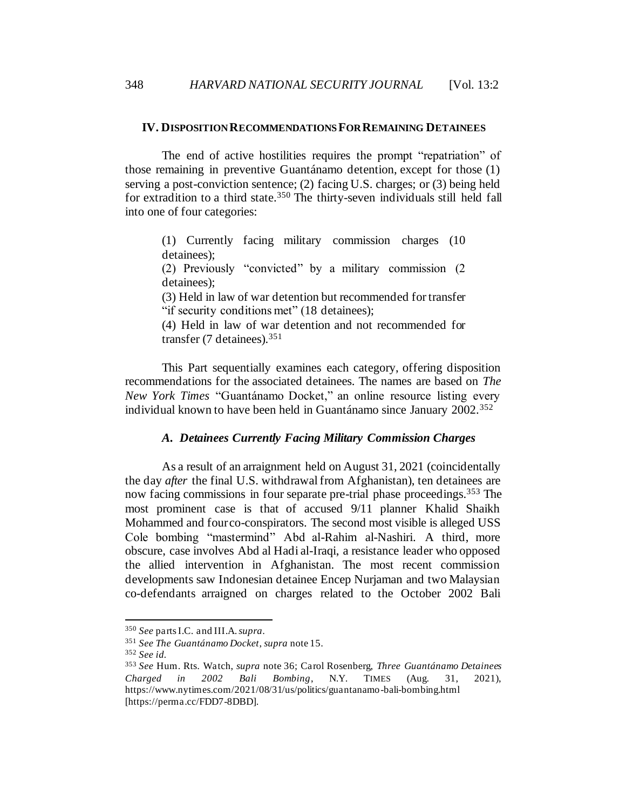#### **IV. DISPOSITION RECOMMENDATIONS FOR REMAINING DETAINEES**

The end of active hostilities requires the prompt "repatriation" of those remaining in preventive Guantánamo detention, except for those (1) serving a post-conviction sentence; (2) facing U.S. charges; or (3) being held for extradition to a third state.<sup>350</sup> The thirty-seven individuals still held fall into one of four categories:

(1) Currently facing military commission charges (10 detainees);

(2) Previously "convicted" by a military commission (2 detainees);

(3) Held in law of war detention but recommended for transfer "if security conditions met" (18 detainees);

(4) Held in law of war detention and not recommended for transfer (7 detainees).<sup>351</sup>

This Part sequentially examines each category, offering disposition recommendations for the associated detainees. The names are based on *The New York Times* "Guantánamo Docket," an online resource listing every individual known to have been held in Guantánamo since January 2002.<sup>352</sup>

### *A. Detainees Currently Facing Military Commission Charges*

As a result of an arraignment held on August 31, 2021 (coincidentally the day *after* the final U.S. withdrawal from Afghanistan), ten detainees are now facing commissions in four separate pre-trial phase proceedings.<sup>353</sup> The most prominent case is that of accused 9/11 planner Khalid Shaikh Mohammed and four co-conspirators. The second most visible is alleged USS Cole bombing "mastermind" Abd al-Rahim al-Nashiri. A third, more obscure, case involves Abd al Hadi al-Iraqi, a resistance leader who opposed the allied intervention in Afghanistan. The most recent commission developments saw Indonesian detainee Encep Nurjaman and two Malaysian co-defendants arraigned on charges related to the October 2002 Bali

<sup>350</sup> *See* parts I.C. and III.A. *supra*.

<sup>351</sup> *See The Guantánamo Docket*, *supra* note 15.

<sup>352</sup> *See id.*

<sup>353</sup> *See* Hum. Rts. Watch, *supra* not[e 36;](#page-8-1) Carol Rosenberg, *Three Guantánamo Detainees Charged in 2002 Bali Bombing*, N.Y. TIMES (Aug. 31, 2021), https://www.nytimes.com/2021/08/31/us/politics/guantanamo-bali-bombing.html [https://perma.cc/FDD7-8DBD].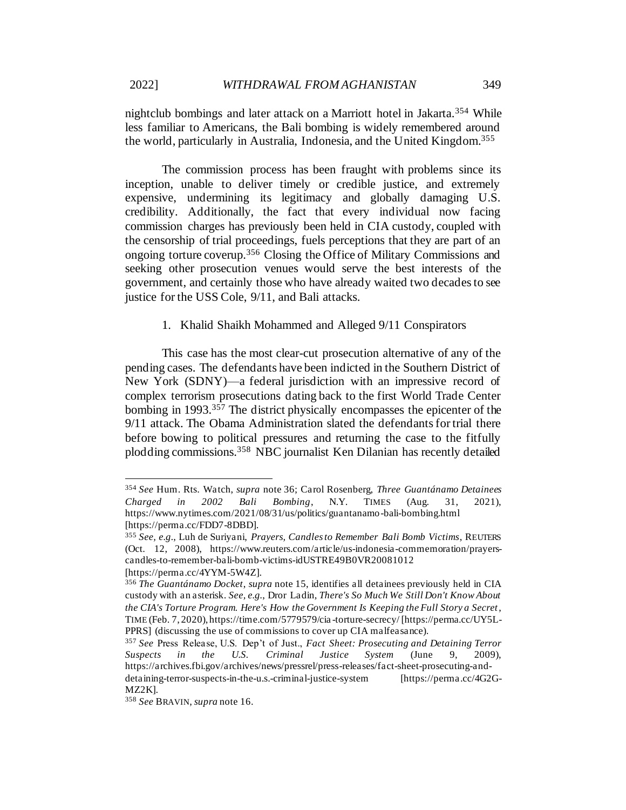nightclub bombings and later attack on a Marriott hotel in Jakarta.<sup>354</sup> While less familiar to Americans, the Bali bombing is widely remembered around the world, particularly in Australia, Indonesia, and the United Kingdom.<sup>355</sup>

The commission process has been fraught with problems since its inception, unable to deliver timely or credible justice, and extremely expensive, undermining its legitimacy and globally damaging U.S. credibility. Additionally, the fact that every individual now facing commission charges has previously been held in CIA custody, coupled with the censorship of trial proceedings, fuels perceptions that they are part of an ongoing torture coverup.<sup>356</sup> Closing the Office of Military Commissions and seeking other prosecution venues would serve the best interests of the government, and certainly those who have already waited two decades to see justice for the USS Cole, 9/11, and Bali attacks.

### 1. Khalid Shaikh Mohammed and Alleged 9/11 Conspirators

This case has the most clear-cut prosecution alternative of any of the pending cases. The defendants have been indicted in the Southern District of New York (SDNY)—a federal jurisdiction with an impressive record of complex terrorism prosecutions dating back to the first World Trade Center bombing in 1993.<sup>357</sup> The district physically encompasses the epicenter of the 9/11 attack. The Obama Administration slated the defendants for trial there before bowing to political pressures and returning the case to the fitfully plodding commissions.<sup>358</sup> NBC journalist Ken Dilanian has recently detailed

<sup>354</sup> *See* Hum. Rts. Watch, *supra* not[e 36;](#page-8-1) Carol Rosenberg, *Three Guantánamo Detainees Charged in 2002 Bali Bombing*, N.Y. TIMES (Aug. 31, 2021), https://www.nytimes.com/2021/08/31/us/politics/guantanamo-bali-bombing.html [https://perma.cc/FDD7-8DBD].

<sup>355</sup> *See, e.g.*, Luh de Suriyani, *Prayers, Candles to Remember Bali Bomb Victims*, REUTERS (Oct. 12, 2008), https://www.reuters.com/article/us-indonesia-commemoration/prayerscandles-to-remember-bali-bomb-victims-idUSTRE49B0VR20081012 [https://perma.cc/4YYM-5W4Z].

<sup>356</sup> *The Guantánamo Docket*, *supra* note 15, identifies all detainees previously held in CIA custody with an asterisk. *See, e.g.*, Dror Ladin, *There's So Much We Still Don't Know About the CIA's Torture Program. Here's How the Government Is Keeping the Full Story a Secret*, TIME (Feb. 7, 2020), https://time.com/5779579/cia -torture-secrecy/ [https://perma.cc/UY5L-PPRS] (discussing the use of commissions to cover up CIA malfeasance).

<sup>357</sup> *See* Press Release, U.S. Dep't of Just., *Fact Sheet: Prosecuting and Detaining Terror Suspects in the U.S. Criminal Justice System* (June 9, 2009), https://archives.fbi.gov/archives/news/pressrel/press-releases/fact-sheet-prosecuting-anddetaining-terror-suspects-in-the-u.s.-criminal-justice-system [https://perma.cc/4G2G-

MZ2K].

<sup>358</sup> *See* BRAVIN, *supra* not[e 16](#page-5-0).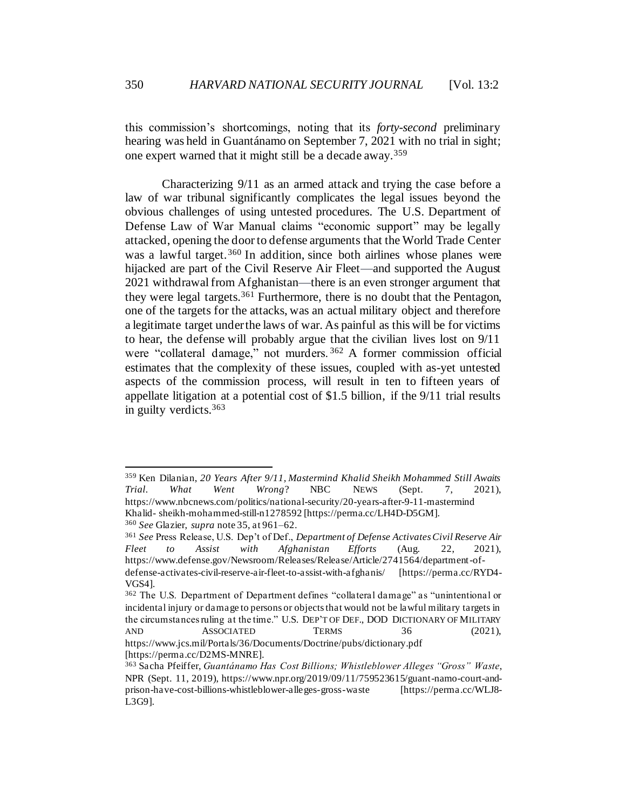this commission's shortcomings, noting that its *forty-second* preliminary hearing was held in Guantánamo on September 7, 2021 with no trial in sight; one expert warned that it might still be a decade away.<sup>359</sup>

Characterizing 9/11 as an armed attack and trying the case before a law of war tribunal significantly complicates the legal issues beyond the obvious challenges of using untested procedures. The U.S. Department of Defense Law of War Manual claims "economic support" may be legally attacked, opening the door to defense arguments that the World Trade Center was a lawful target.<sup>360</sup> In addition, since both airlines whose planes were hijacked are part of the Civil Reserve Air Fleet—and supported the August 2021 withdrawal from Afghanistan—there is an even stronger argument that they were legal targets.<sup>361</sup> Furthermore, there is no doubt that the Pentagon, one of the targets for the attacks, was an actual military object and therefore a legitimate target under the laws of war. As painful as this will be for victims to hear, the defense will probably argue that the civilian lives lost on 9/11 were "collateral damage," not murders. <sup>362</sup> A former commission official estimates that the complexity of these issues, coupled with as-yet untested aspects of the commission process, will result in ten to fifteen years of appellate litigation at a potential cost of \$1.5 billion, if the 9/11 trial results in guilty verdicts.<sup>363</sup>

<sup>360</sup> *See* Glazier, *supra* note 35, at 961–62.

<sup>359</sup> Ken Dilanian, *20 Years After 9/11, Mastermind Khalid Sheikh Mohammed Still Awaits Trial. What Went Wrong*? NBC NEWS (Sept. 7, 2021), https://www.nbcnews.com/politics/national-security/20-years-after-9-11-mastermind Khalid- sheikh-mohammed-still-n1278592 [https://perma.cc/LH4D-D5GM].

<sup>361</sup> *See* Press Release, U.S. Dep't of Def., *Department of Defense Activates Civil Reserve Air Fleet to Assist with Afghanistan Efforts* (Aug. 22, 2021), https://www.defense.gov/Newsroom/Releases/Release/Article/2741564/department-ofdefense-activates-civil-reserve-air-fleet-to-assist-with-afghanis/ [https://perma.cc/RYD4- VGS4].

<sup>&</sup>lt;sup>362</sup> The U.S. Department of Department defines "collateral damage" as "unintentional or incidental injury or damage to persons or objects that would not be lawful military targets in the circumstances ruling at the time." U.S. DEP'T OF DEF., DOD DICTIONARY OF MILITARY AND ASSOCIATED TERMS 36 (2021), https://www.jcs.mil/Portals/36/Documents/Doctrine/pubs/dictionary.pdf [https://perma.cc/D2MS-MNRE].

<sup>363</sup> Sacha Pfeiffer, *Guantánamo Has Cost Billions; Whistleblower Alleges "Gross" Waste*, NPR (Sept. 11, 2019), https://www.npr.org/2019/09/11/759523615/guant-namo-court-andprison-have-cost-billions-whistleblower-alleges-gross-waste [https://perma.cc/WLJ8- L3G9].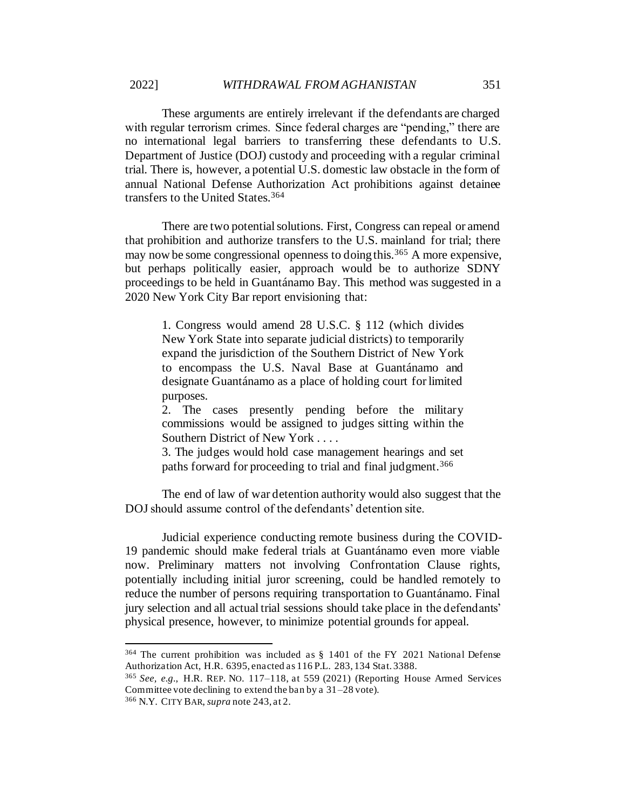These arguments are entirely irrelevant if the defendants are charged with regular terrorism crimes. Since federal charges are "pending," there are no international legal barriers to transferring these defendants to U.S. Department of Justice (DOJ) custody and proceeding with a regular criminal trial. There is, however, a potential U.S. domestic law obstacle in the form of annual National Defense Authorization Act prohibitions against detainee transfers to the United States.<sup>364</sup>

There are two potential solutions. First, Congress can repeal or amend that prohibition and authorize transfers to the U.S. mainland for trial; there may now be some congressional openness to doing this.<sup>365</sup> A more expensive, but perhaps politically easier, approach would be to authorize SDNY proceedings to be held in Guantánamo Bay. This method was suggested in a 2020 New York City Bar report envisioning that:

1. Congress would amend 28 U.S.C. § 112 (which divides New York State into separate judicial districts) to temporarily expand the jurisdiction of the Southern District of New York to encompass the U.S. Naval Base at Guantánamo and designate Guantánamo as a place of holding court for limited purposes.

2. The cases presently pending before the military commissions would be assigned to judges sitting within the Southern District of New York . . . .

3. The judges would hold case management hearings and set paths forward for proceeding to trial and final judgment.<sup>366</sup>

The end of law of war detention authority would also suggest that the DOJ should assume control of the defendants' detention site.

Judicial experience conducting remote business during the COVID-19 pandemic should make federal trials at Guantánamo even more viable now. Preliminary matters not involving Confrontation Clause rights, potentially including initial juror screening, could be handled remotely to reduce the number of persons requiring transportation to Guantánamo. Final jury selection and all actual trial sessions should take place in the defendants' physical presence, however, to minimize potential grounds for appeal.

<sup>364</sup> The current prohibition was included as § 1401 of the FY 2021 National Defense Authorization Act, H.R. 6395, enacted as 116 P.L. 283, 134 Stat. 3388.

<sup>365</sup> *See, e.g.*, H.R. REP. NO. 117–118, at 559 (2021) (Reporting House Armed Services Committee vote declining to extend the ban by a 31–28 vote).

<sup>366</sup> N.Y. CITY BAR, *supra* note 243, at 2.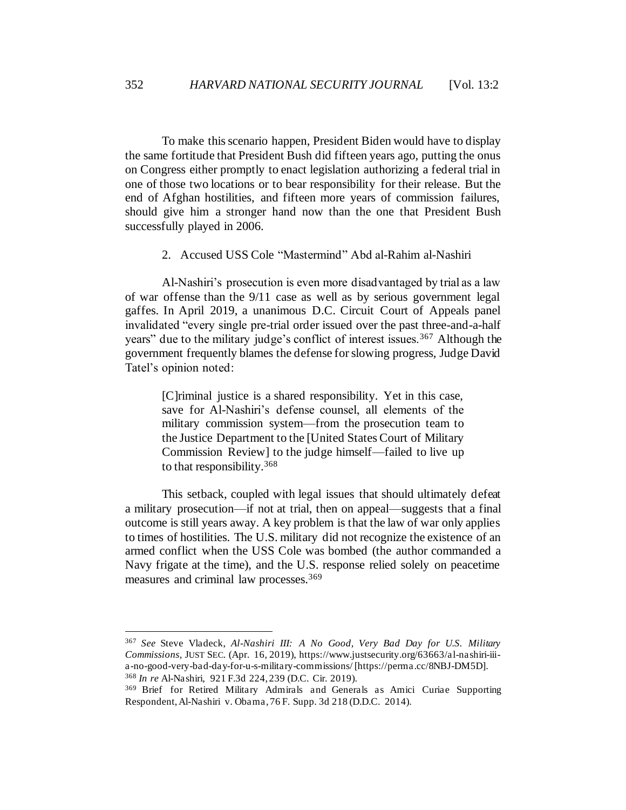To make this scenario happen, President Biden would have to display the same fortitude that President Bush did fifteen years ago, putting the onus on Congress either promptly to enact legislation authorizing a federal trial in one of those two locations or to bear responsibility for their release. But the end of Afghan hostilities, and fifteen more years of commission failures, should give him a stronger hand now than the one that President Bush successfully played in 2006.

2. Accused USS Cole "Mastermind" Abd al-Rahim al-Nashiri

Al-Nashiri's prosecution is even more disadvantaged by trial as a law of war offense than the 9/11 case as well as by serious government legal gaffes. In April 2019, a unanimous D.C. Circuit Court of Appeals panel invalidated "every single pre-trial order issued over the past three-and-a-half years" due to the military judge's conflict of interest issues.<sup>367</sup> Although the government frequently blames the defense for slowing progress, Judge David Tatel's opinion noted:

[C]riminal justice is a shared responsibility. Yet in this case, save for Al-Nashiri's defense counsel, all elements of the military commission system—from the prosecution team to the Justice Department to the [United States Court of Military Commission Review] to the judge himself—failed to live up to that responsibility.<sup>368</sup>

This setback, coupled with legal issues that should ultimately defeat a military prosecution—if not at trial, then on appeal—suggests that a final outcome is still years away. A key problem is that the law of war only applies to times of hostilities. The U.S. military did not recognize the existence of an armed conflict when the USS Cole was bombed (the author commanded a Navy frigate at the time), and the U.S. response relied solely on peacetime measures and criminal law processes.<sup>369</sup>

<sup>367</sup> *See* Steve Vladeck, *Al-Nashiri III: A No Good, Very Bad Day for U.S. Military Commissions*, JUST SEC. (Apr. 16, 2019), https://www.justsecurity.org/63663/al-nashiri-iiia-no-good-very-bad-day-for-u-s-military-commissions/ [https://perma.cc/8NBJ-DM5D]. <sup>368</sup> *In re* Al-Nashiri, 921 F.3d 224, 239 (D.C. Cir. 2019).

<sup>369</sup> Brief for Retired Military Admirals and Generals as Amici Curiae Supporting Respondent, Al-Nashiri v. Obama, 76 F. Supp. 3d 218 (D.D.C. 2014).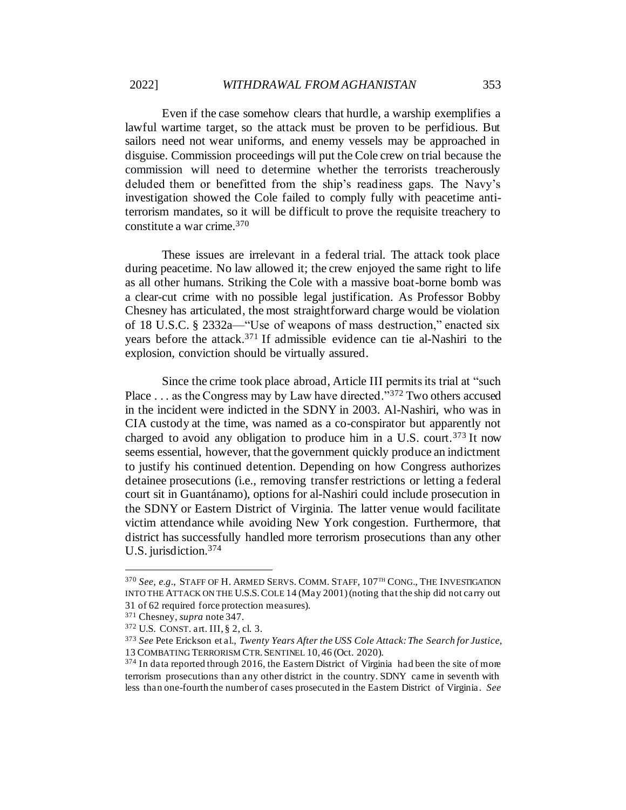Even if the case somehow clears that hurdle, a warship exemplifies a lawful wartime target, so the attack must be proven to be perfidious. But sailors need not wear uniforms, and enemy vessels may be approached in disguise. Commission proceedings will put the Cole crew on trial because the commission will need to determine whether the terrorists treacherously deluded them or benefitted from the ship's readiness gaps. The Navy's investigation showed the Cole failed to comply fully with peacetime antiterrorism mandates, so it will be difficult to prove the requisite treachery to constitute a war crime.<sup>370</sup>

These issues are irrelevant in a federal trial. The attack took place during peacetime. No law allowed it; the crew enjoyed the same right to life as all other humans. Striking the Cole with a massive boat-borne bomb was a clear-cut crime with no possible legal justification. As Professor Bobby Chesney has articulated, the most straightforward charge would be violation of 18 U.S.C. § 2332a—"Use of weapons of mass destruction," enacted six years before the attack.<sup>371</sup> If admissible evidence can tie al-Nashiri to the explosion, conviction should be virtually assured.

Since the crime took place abroad, Article III permits its trial at "such Place . . . as the Congress may by Law have directed."<sup>372</sup> Two others accused in the incident were indicted in the SDNY in 2003. Al-Nashiri, who was in CIA custody at the time, was named as a co-conspirator but apparently not charged to avoid any obligation to produce him in a U.S. court.<sup>373</sup> It now seems essential, however, that the government quickly produce an indictment to justify his continued detention. Depending on how Congress authorizes detainee prosecutions (i.e., removing transfer restrictions or letting a federal court sit in Guantánamo), options for al-Nashiri could include prosecution in the SDNY or Eastern District of Virginia. The latter venue would facilitate victim attendance while avoiding New York congestion. Furthermore, that district has successfully handled more terrorism prosecutions than any other U.S. jurisdiction.<sup>374</sup>

<sup>370</sup> *See, e.g.*, STAFF OF H. ARMED SERVS. COMM. STAFF, 107TH CONG., THE INVESTIGATION INTO THE ATTACK ON THE U.S.S.COLE 14 (May 2001) (noting that the ship did not carry out 31 of 62 required force protection measures).

<sup>371</sup> Chesney, *supra* note 347.

<sup>372</sup> U.S. CONST. art. III, § 2, cl. 3.

<sup>373</sup> *See* Pete Erickson et al., *Twenty Years After the USS Cole Attack: The Search for Justice*, 13 COMBATING TERRORISM CTR.SENTINEL 10, 46 (Oct. 2020).

<sup>&</sup>lt;sup>374</sup> In data reported through 2016, the Eastern District of Virginia had been the site of more terrorism prosecutions than any other district in the country. SDNY came in seventh with less than one-fourth the number of cases prosecuted in the Eastern District of Virginia. *See*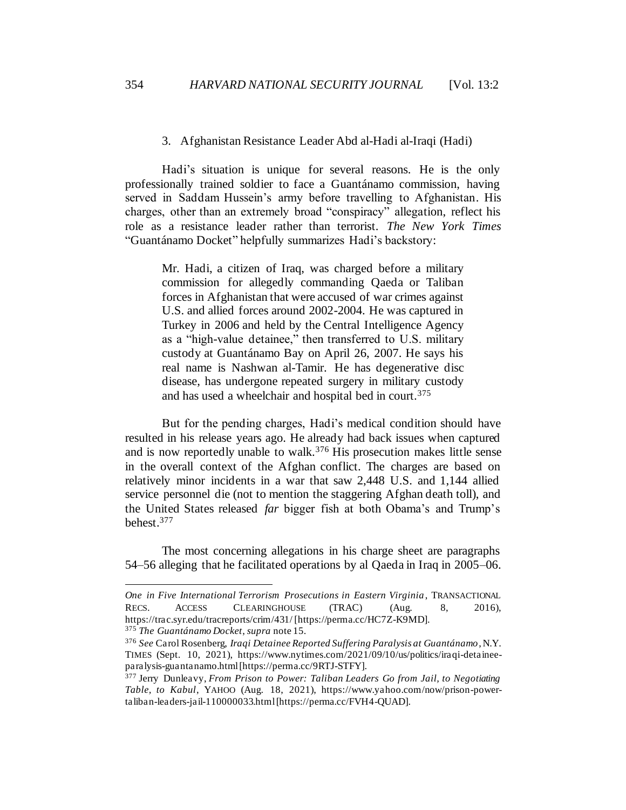### 3. Afghanistan Resistance Leader Abd al-Hadi al-Iraqi (Hadi)

Hadi's situation is unique for several reasons. He is the only professionally trained soldier to face a Guantánamo commission, having served in Saddam Hussein's army before travelling to Afghanistan. His charges, other than an extremely broad "conspiracy" allegation, reflect his role as a resistance leader rather than terrorist. *The New York Times* "Guantánamo Docket" helpfully summarizes Hadi's backstory:

Mr. Hadi, a citizen of Iraq, was charged before a military commission for allegedly commanding Qaeda or Taliban forces in Afghanistan that were accused of war crimes against U.S. and allied forces around 2002-2004. He was captured in Turkey in 2006 and held by the Central Intelligence Agency as a "high-value detainee," then transferred to U.S. military custody at Guantánamo Bay on April 26, 2007. He says his real name is Nashwan al-Tamir. He has degenerative disc disease, has undergone repeated surgery in military custody and has used a wheelchair and hospital bed in court.<sup>375</sup>

But for the pending charges, Hadi's medical condition should have resulted in his release years ago. He already had back issues when captured and is now reportedly unable to walk.<sup>376</sup> His prosecution makes little sense in the overall context of the Afghan conflict. The charges are based on relatively minor incidents in a war that saw 2,448 U.S. and 1,144 allied service personnel die (not to mention the staggering Afghan death toll), and the United States released *far* bigger fish at both Obama's and Trump's behest.<sup>377</sup>

The most concerning allegations in his charge sheet are paragraphs 54–56 alleging that he facilitated operations by al Qaeda in Iraq in 2005–06.

*One in Five International Terrorism Prosecutions in Eastern Virginia*, TRANSACTIONAL RECS. ACCESS CLEARINGHOUSE (TRAC) (Aug. 8, 2016), https://trac.syr.edu/tracreports/crim/431/ [https://perma.cc/HC7Z-K9MD]. <sup>375</sup> *The Guantánamo Docket*, *supra* note 15.

<sup>376</sup> *See* Carol Rosenberg, *Iraqi Detainee Reported Suffering Paralysis at Guantánamo*, N.Y. TIMES (Sept. 10, 2021), https://www.nytimes.com/2021/09/10/us/politics/iraqi-detaineeparalysis-guantanamo.html [https://perma.cc/9RTJ-STFY].

<sup>377</sup> Jerry Dunleavy, *From Prison to Power: Taliban Leaders Go from Jail, to Negotiating Table, to Kabul*, YAHOO (Aug. 18, 2021), https://www.yahoo.com/now/prison-powertaliban-leaders-jail-110000033.html [https://perma.cc/FVH4-QUAD].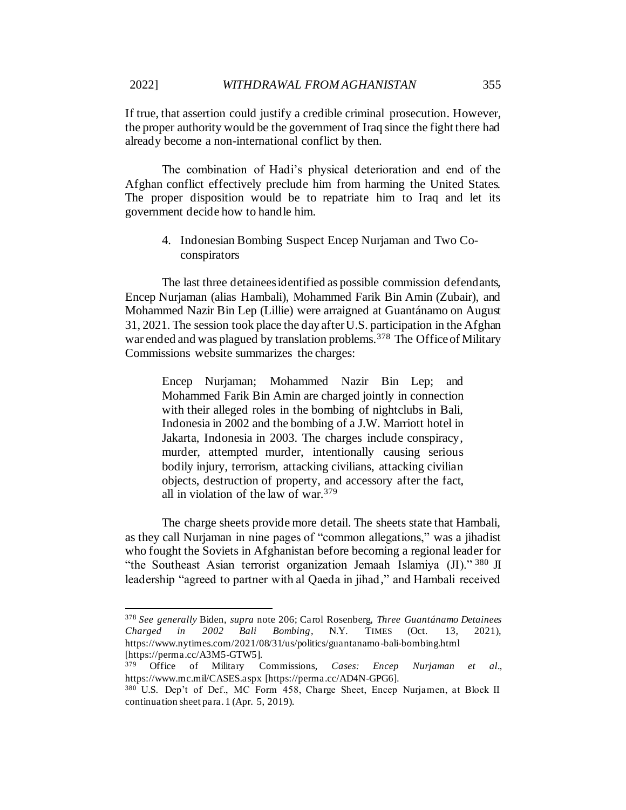If true, that assertion could justify a credible criminal prosecution. However, the proper authority would be the government of Iraq since the fight there had already become a non-international conflict by then.

The combination of Hadi's physical deterioration and end of the Afghan conflict effectively preclude him from harming the United States. The proper disposition would be to repatriate him to Iraq and let its government decide how to handle him.

4. Indonesian Bombing Suspect Encep Nurjaman and Two Coconspirators

The last three detainees identified as possible commission defendants, Encep Nurjaman (alias Hambali), Mohammed Farik Bin Amin (Zubair), and Mohammed Nazir Bin Lep (Lillie) were arraigned at Guantánamo on August 31, 2021. The session took place the day after U.S. participation in the Afghan war ended and was plagued by translation problems.<sup>378</sup> The Office of Military Commissions website summarizes the charges:

Encep Nurjaman; Mohammed Nazir Bin Lep; and Mohammed Farik Bin Amin are charged jointly in connection with their alleged roles in the bombing of nightclubs in Bali, Indonesia in 2002 and the bombing of a J.W. Marriott hotel in Jakarta, Indonesia in 2003. The charges include conspiracy, murder, attempted murder, intentionally causing serious bodily injury, terrorism, attacking civilians, attacking civilian objects, destruction of property, and accessory after the fact, all in violation of the law of war.<sup>379</sup>

The charge sheets provide more detail. The sheets state that Hambali, as they call Nurjaman in nine pages of "common allegations," was a jihadist who fought the Soviets in Afghanistan before becoming a regional leader for "the Southeast Asian terrorist organization Jemaah Islamiya  $(II)$ ." 380 JI leadership "agreed to partner with al Qaeda in jihad," and Hambali received

<sup>378</sup> *See generally* Biden, *supra* note 206; Carol Rosenberg, *Three Guantánamo Detainees Charged in 2002 Bali Bombing*, N.Y. TIMES (Oct. 13, 2021), https://www.nytimes.com/2021/08/31/us/politics/guantanamo-bali-bombing.html [https://perma.cc/A3M5-GTW5].

<sup>379</sup> Office of Military Commissions, *Cases: Encep Nurjaman et al.*, https://www.mc.mil/CASES.aspx [https://perma.cc/AD4N-GPG6].

<sup>380</sup> U.S. Dep't of Def., MC Form 458, Charge Sheet, Encep Nurjamen, at Block II continuation sheet para. 1 (Apr. 5, 2019).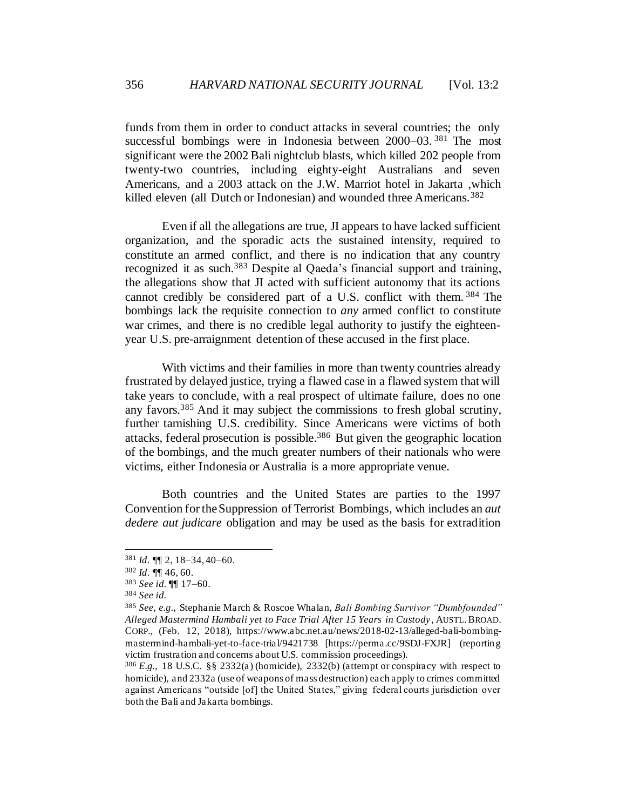funds from them in order to conduct attacks in several countries; the only successful bombings were in Indonesia between 2000–03.<sup>381</sup> The most significant were the 2002 Bali nightclub blasts, which killed 202 people from twenty-two countries, including eighty-eight Australians and seven Americans, and a 2003 attack on the J.W. Marriot hotel in Jakarta ,which killed eleven (all Dutch or Indonesian) and wounded three Americans.<sup>382</sup>

Even if all the allegations are true, JI appears to have lacked sufficient organization, and the sporadic acts the sustained intensity, required to constitute an armed conflict, and there is no indication that any country recognized it as such.<sup>383</sup> Despite al Qaeda's financial support and training, the allegations show that JI acted with sufficient autonomy that its actions cannot credibly be considered part of a U.S. conflict with them. <sup>384</sup> The bombings lack the requisite connection to *any* armed conflict to constitute war crimes, and there is no credible legal authority to justify the eighteenyear U.S. pre-arraignment detention of these accused in the first place.

With victims and their families in more than twenty countries already frustrated by delayed justice, trying a flawed case in a flawed system that will take years to conclude, with a real prospect of ultimate failure, does no one any favors.<sup>385</sup> And it may subject the commissions to fresh global scrutiny, further tarnishing U.S. credibility. Since Americans were victims of both attacks, federal prosecution is possible.<sup>386</sup> But given the geographic location of the bombings, and the much greater numbers of their nationals who were victims, either Indonesia or Australia is a more appropriate venue.

Both countries and the United States are parties to the 1997 Convention for the Suppression of Terrorist Bombings, which includes an *aut dedere aut judicare* obligation and may be used as the basis for extradition

<sup>381</sup> *Id.* ¶¶ 2, 18–34, 40–60.

<sup>382</sup> *Id.* ¶¶ 46, 60.

<sup>383</sup> *See id.* ¶¶ 17–60.

<sup>384</sup> *See id.*

<sup>385</sup> *See, e.g.*, Stephanie March & Roscoe Whalan, *Bali Bombing Survivor "Dumbfounded" Alleged Mastermind Hambali yet to Face Trial After 15 Years in Custody*, AUSTL.BROAD. CORP., (Feb. 12, 2018), https://www.abc.net.au/news/2018-02-13/alleged-bali-bombingmastermind-hambali-yet-to-face-trial/9421738 [https://perma.cc/9SDJ-FXJR] (reporting victim frustration and concerns about U.S. commission proceedings).

<sup>386</sup> *E.g.*, 18 U.S.C. §§ 2332(a) (homicide), 2332(b) (attempt or conspiracy with respect to homicide), and 2332a (use of weapons of mass destruction) each apply to crimes committed against Americans "outside [of] the United States," giving federal courts jurisdiction over both the Bali and Jakarta bombings.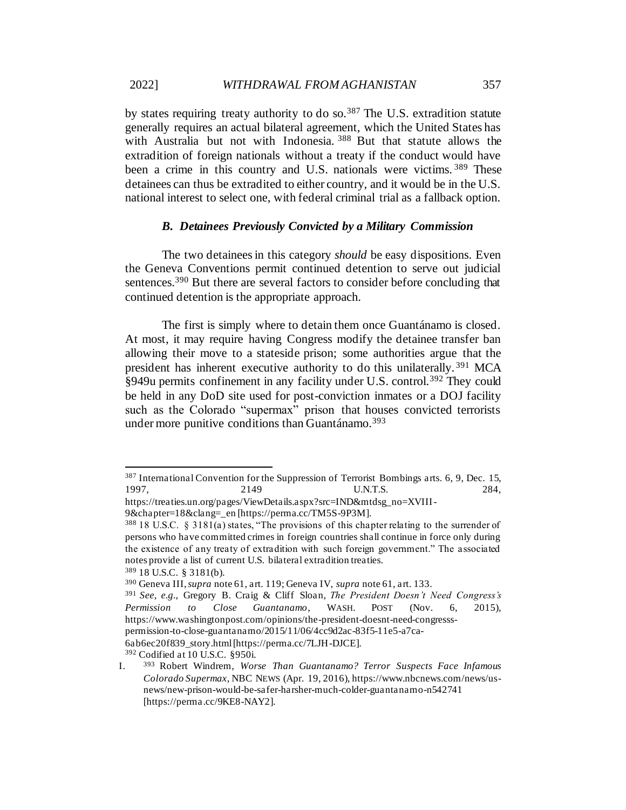by states requiring treaty authority to do so.<sup>387</sup> The U.S. extradition statute generally requires an actual bilateral agreement, which the United States has with Australia but not with Indonesia. <sup>388</sup> But that statute allows the extradition of foreign nationals without a treaty if the conduct would have been a crime in this country and U.S. nationals were victims. 389 These detainees can thus be extradited to either country, and it would be in the U.S. national interest to select one, with federal criminal trial as a fallback option.

### *B. Detainees Previously Convicted by a Military Commission*

The two detainees in this category *should* be easy dispositions. Even the Geneva Conventions permit continued detention to serve out judicial sentences.<sup>390</sup> But there are several factors to consider before concluding that continued detention is the appropriate approach.

The first is simply where to detain them once Guantánamo is closed. At most, it may require having Congress modify the detainee transfer ban allowing their move to a stateside prison; some authorities argue that the president has inherent executive authority to do this unilaterally. <sup>391</sup> MCA §949u permits confinement in any facility under U.S. control.<sup>392</sup> They could be held in any DoD site used for post-conviction inmates or a DOJ facility such as the Colorado "supermax" prison that houses convicted terrorists under more punitive conditions than Guantánamo.<sup>393</sup>

<sup>387</sup> International Convention for the Suppression of Terrorist Bombings arts. 6, 9, Dec. 15, 1997, 2149 U.N.T.S. 284,

https://treaties.un.org/pages/ViewDetails.aspx?src=IND&mtdsg\_no=XVIII-

<sup>9&</sup>amp;chapter=18&clang=\_en [https://perma.cc/TM5S-9P3M].

<sup>388</sup> 18 U.S.C. § 3181(a) states, "The provisions of this chapter relating to the surrender of persons who have committed crimes in foreign countries shall continue in force only during the existence of any treaty of extradition with such foreign government." The associated notes provide a list of current U.S. bilateral extradition treaties. <sup>389</sup> 18 U.S.C. § 3181(b).

<sup>390</sup> Geneva III, *supra* not[e 61,](#page-12-0) art. 119; Geneva IV, *supra* not[e 61](#page-12-0), art. 133.

<sup>391</sup> *See, e.g.*, Gregory B. Craig & Cliff Sloan, *The President Doesn't Need Congress's Permission to Close Guantanamo*, WASH. POST (Nov. 6, 2015), https://www.washingtonpost.com/opinions/the-president-doesnt-need-congresss-

permission-to-close-guantanamo/2015/11/06/4cc9d2ac-83f5-11e5-a7ca-6ab6ec20f839\_story.html [https://perma.cc/7LJH-DJCE].

<sup>392</sup> Codified at 10 U.S.C. §950i.

I. <sup>393</sup> Robert Windrem, *Worse Than Guantanamo? Terror Suspects Face Infamous Colorado Supermax*, NBC NEWS (Apr. 19, 2016), https://www.nbcnews.com/news/usnews/new-prison-would-be-safer-harsher-much-colder-guantanamo-n542741 [https://perma.cc/9KE8-NAY2].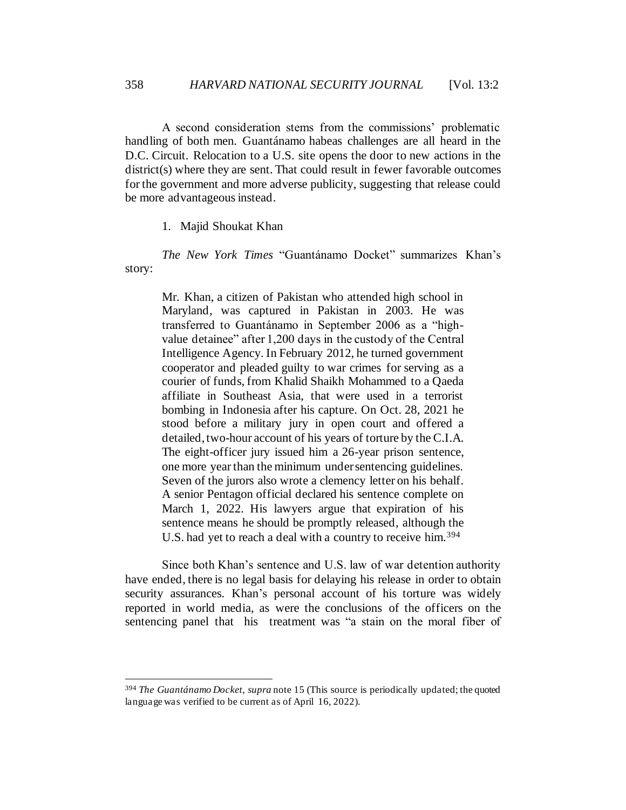A second consideration stems from the commissions' problematic handling of both men. Guantánamo habeas challenges are all heard in the D.C. Circuit. Relocation to a U.S. site opens the door to new actions in the district(s) where they are sent. That could result in fewer favorable outcomes for the government and more adverse publicity, suggesting that release could be more advantageous instead.

1. Majid Shoukat Khan

*The New York Times* "Guantánamo Docket" summarizes Khan's story:

Mr. Khan, a citizen of Pakistan who attended high school in Maryland, was captured in Pakistan in 2003. He was transferred to Guantánamo in September 2006 as a "highvalue detainee" after 1,200 days in the custody of the Central Intelligence Agency. In February 2012, he turned government cooperator and pleaded guilty to war crimes for serving as a courier of funds, from Khalid Shaikh Mohammed to a Qaeda affiliate in Southeast Asia, that were used in a terrorist bombing in Indonesia after his capture. On Oct. 28, 2021 he stood before a military jury in open court and offered a detailed, two-hour account of his years of torture by the C.I.A. The eight-officer jury issued him a 26-year prison sentence, one more year than the minimum under sentencing guidelines. Seven of the jurors also wrote a clemency letter on his behalf. A senior Pentagon official declared his sentence complete on March 1, 2022. His lawyers argue that expiration of his sentence means he should be promptly released, although the U.S. had yet to reach a deal with a country to receive him.<sup>394</sup>

Since both Khan's sentence and U.S. law of war detention authority have ended, there is no legal basis for delaying his release in order to obtain security assurances. Khan's personal account of his torture was widely reported in world media, as were the conclusions of the officers on the sentencing panel that his treatment was "a stain on the moral fiber of

<sup>394</sup> *The Guantánamo Docket*, *supra* note 15 (This source is periodically updated; the quoted language was verified to be current as of April 16, 2022).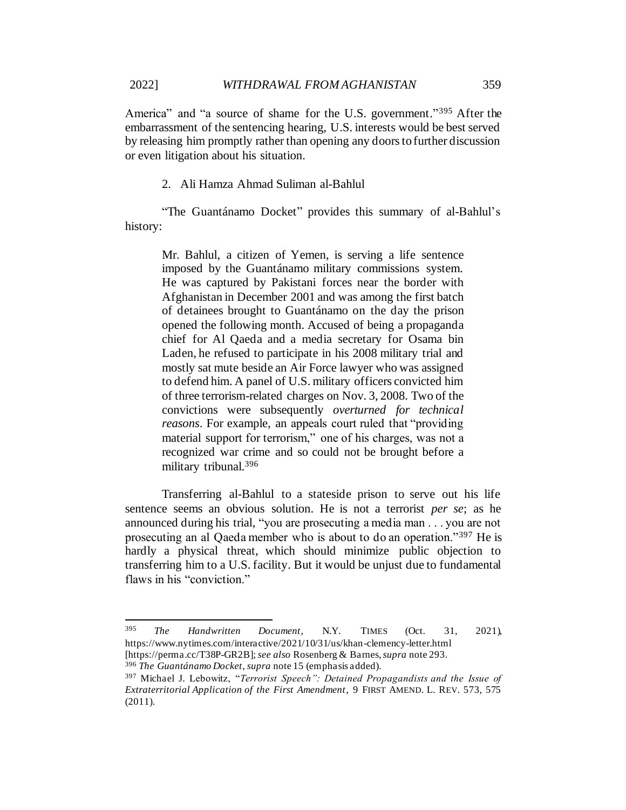America" and "a source of shame for the U.S. government."<sup>395</sup> After the embarrassment of the sentencing hearing, U.S. interests would be best served by releasing him promptly rather than opening any doors to further discussion or even litigation about his situation.

### 2. Ali Hamza Ahmad Suliman al-Bahlul

"The Guantánamo Docket" provides this summary of al-Bahlul's history:

Mr. Bahlul, a citizen of Yemen, is serving a life sentence imposed by the Guantánamo military commissions system. He was captured by Pakistani forces near the border with Afghanistan in December 2001 and was among the first batch of detainees brought to Guantánamo on the day the prison opened the following month. Accused of being a propaganda chief for Al Qaeda and a media secretary for Osama bin Laden, he refused to participate in his 2008 military trial and mostly sat mute beside an Air Force lawyer who was assigned to defend him. A panel of U.S. military officers convicted him of three terrorism-related charges on Nov. 3, 2008. Two of the convictions were subsequently *overturned for technical reasons*. For example, an appeals court ruled that "providing material support for terrorism," one of his charges, was not a recognized war crime and so could not be brought before a military tribunal.<sup>396</sup>

Transferring al-Bahlul to a stateside prison to serve out his life sentence seems an obvious solution. He is not a terrorist *per se*; as he announced during his trial, "you are prosecuting a media man . . . you are not prosecuting an al Qaeda member who is about to do an operation."<sup>397</sup> He is hardly a physical threat, which should minimize public objection to transferring him to a U.S. facility. But it would be unjust due to fundamental flaws in his "conviction."

<sup>395</sup> *The Handwritten Document*, N.Y. TIMES (Oct. 31, 2021), https://www.nytimes.com/interactive/2021/10/31/us/khan-clemency-letter.html [https://perma.cc/T38P-GR2B]; *see also* Rosenberg & Barnes, *supra* not[e 293.](#page-52-0)

<sup>396</sup> *The Guantánamo Docket*, *supra* note 15 (emphasis added).

<sup>397</sup> Michael J. Lebowitz, "*Terrorist Speech": Detained Propagandists and the Issue of Extraterritorial Application of the First Amendment*, 9 FIRST AMEND. L. REV. 573, 575 (2011).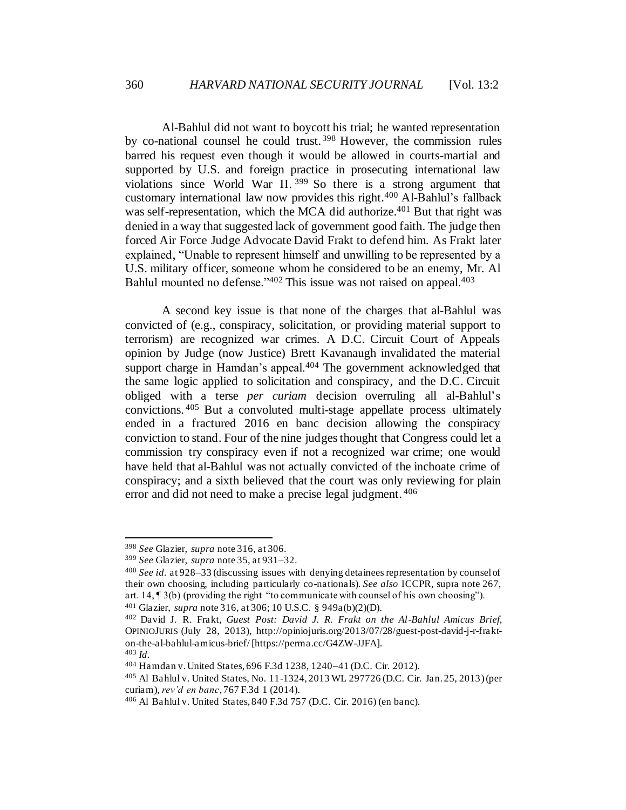Al-Bahlul did not want to boycott his trial; he wanted representation by co-national counsel he could trust. <sup>398</sup> However, the commission rules barred his request even though it would be allowed in courts-martial and supported by U.S. and foreign practice in prosecuting international law violations since World War II. <sup>399</sup> So there is a strong argument that customary international law now provides this right.<sup>400</sup> Al-Bahlul's fallback was self-representation, which the MCA did authorize.<sup>401</sup> But that right was denied in a way that suggested lack of government good faith. The judge then forced Air Force Judge Advocate David Frakt to defend him. As Frakt later explained, "Unable to represent himself and unwilling to be represented by a U.S. military officer, someone whom he considered to be an enemy, Mr. Al Bahlul mounted no defense."<sup>402</sup> This issue was not raised on appeal.<sup>403</sup>

A second key issue is that none of the charges that al-Bahlul was convicted of (e.g., conspiracy, solicitation, or providing material support to terrorism) are recognized war crimes. A D.C. Circuit Court of Appeals opinion by Judge (now Justice) Brett Kavanaugh invalidated the material support charge in Hamdan's appeal.<sup>404</sup> The government acknowledged that the same logic applied to solicitation and conspiracy, and the D.C. Circuit obliged with a terse *per curiam* decision overruling all al-Bahlul's convictions. <sup>405</sup> But a convoluted multi-stage appellate process ultimately ended in a fractured 2016 en banc decision allowing the conspiracy conviction to stand. Four of the nine judges thought that Congress could let a commission try conspiracy even if not a recognized war crime; one would have held that al-Bahlul was not actually convicted of the inchoate crime of conspiracy; and a sixth believed that the court was only reviewing for plain error and did not need to make a precise legal judgment. <sup>406</sup>

<sup>403</sup> *Id.*

<sup>398</sup> *See* Glazier, *supra* not[e 316,](#page-56-0) at 306.

<sup>399</sup> *See* Glazier, *supra* note 35, at 931–32.

<sup>400</sup> *See id.* at 928–33 (discussing issues with denying detainees representation by counsel of their own choosing, including particularly co-nationals). *See also* ICCPR, supra note 267, art. 14, ¶ 3(b) (providing the right "to communicate with counsel of his own choosing"). <sup>401</sup> Glazier, *supra* not[e 316](#page-56-0), at 306; 10 U.S.C. § 949a(b)(2)(D).

<sup>402</sup> David J. R. Frakt, *Guest Post: David J. R. Frakt on the Al-Bahlul Amicus Brief*, OPINIOJURIS (July 28, 2013), http://opiniojuris.org/2013/07/28/guest-post-david-j-r-frakton-the-al-bahlul-amicus-brief/ [https://perma.cc/G4ZW-JJFA].

<sup>404</sup> Hamdan v. United States, 696 F.3d 1238, 1240–41 (D.C. Cir. 2012).

<sup>405</sup> Al Bahlul v. United States, No. 11-1324, 2013 WL 297726 (D.C. Cir. Jan. 25, 2013) (per curiam), *rev'd en banc*, 767 F.3d 1 (2014).

<sup>406</sup> Al Bahlul v. United States, 840 F.3d 757 (D.C. Cir. 2016) (en banc).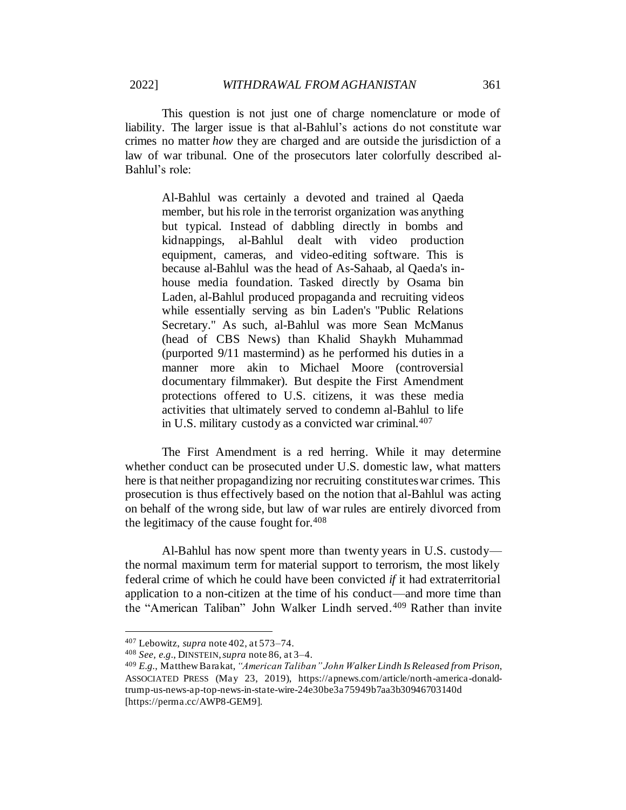This question is not just one of charge nomenclature or mode of liability. The larger issue is that al-Bahlul's actions do not constitute war crimes no matter *how* they are charged and are outside the jurisdiction of a law of war tribunal. One of the prosecutors later colorfully described al-Bahlul's role:

Al-Bahlul was certainly a devoted and trained al Qaeda member, but his role in the terrorist organization was anything but typical. Instead of dabbling directly in bombs and kidnappings, al-Bahlul dealt with video production equipment, cameras, and video-editing software. This is because al-Bahlul was the head of As-Sahaab, al Qaeda's inhouse media foundation. Tasked directly by Osama bin Laden, al-Bahlul produced propaganda and recruiting videos while essentially serving as bin Laden's "Public Relations Secretary." As such, al-Bahlul was more Sean McManus (head of CBS News) than Khalid Shaykh Muhammad (purported 9/11 mastermind) as he performed his duties in a manner more akin to Michael Moore (controversial documentary filmmaker). But despite the First Amendment protections offered to U.S. citizens, it was these media activities that ultimately served to condemn al-Bahlul to life in U.S. military custody as a convicted war criminal.<sup>407</sup>

The First Amendment is a red herring. While it may determine whether conduct can be prosecuted under U.S. domestic law, what matters here is that neither propagandizing nor recruiting constituteswar crimes. This prosecution is thus effectively based on the notion that al-Bahlul was acting on behalf of the wrong side, but law of war rules are entirely divorced from the legitimacy of the cause fought for. $408$ 

Al-Bahlul has now spent more than twenty years in U.S. custody the normal maximum term for material support to terrorism, the most likely federal crime of which he could have been convicted *if* it had extraterritorial application to a non-citizen at the time of his conduct—and more time than the "American Taliban" John Walker Lindh served.<sup>409</sup> Rather than invite

<sup>407</sup> Lebowitz, *supra* note 402, at 573–74.

<sup>408</sup> *See, e.g.*, DINSTEIN, *supra* note 86, at 3–4.

<sup>409</sup> *E.g.*, Matthew Barakat, *"American Taliban" John Walker Lindh Is Released from Prison*, ASSOCIATED PRESS (May 23, 2019), https://apnews.com/article/north-america-donaldtrump-us-news-ap-top-news-in-state-wire-24e30be3a75949b7aa3b30946703140d [https://perma.cc/AWP8-GEM9].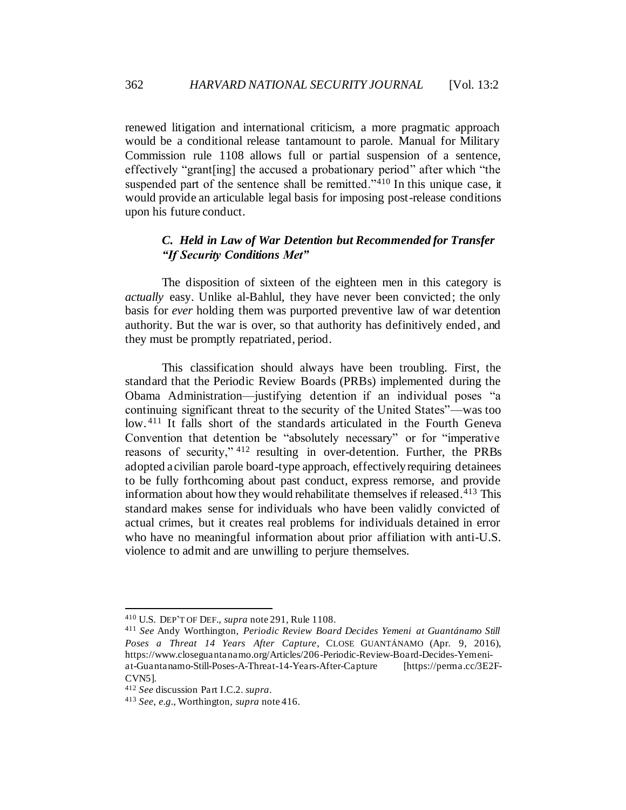renewed litigation and international criticism, a more pragmatic approach would be a conditional release tantamount to parole. Manual for Military Commission rule 1108 allows full or partial suspension of a sentence, effectively "grant[ing] the accused a probationary period" after which "the suspended part of the sentence shall be remitted."<sup>410</sup> In this unique case, it would provide an articulable legal basis for imposing post-release conditions upon his future conduct.

## *C. Held in Law of War Detention but Recommended for Transfer "If Security Conditions Met"*

The disposition of sixteen of the eighteen men in this category is *actually* easy. Unlike al-Bahlul, they have never been convicted; the only basis for *ever* holding them was purported preventive law of war detention authority. But the war is over, so that authority has definitively ended, and they must be promptly repatriated, period.

This classification should always have been troubling. First, the standard that the Periodic Review Boards (PRBs) implemented during the Obama Administration—justifying detention if an individual poses "a continuing significant threat to the security of the United States"—was too low. <sup>411</sup> It falls short of the standards articulated in the Fourth Geneva Convention that detention be "absolutely necessary" or for "imperative reasons of security," <sup>412</sup> resulting in over-detention. Further, the PRBs adopted a civilian parole board-type approach, effectively requiring detainees to be fully forthcoming about past conduct, express remorse, and provide information about how they would rehabilitate themselves if released.<sup>413</sup> This standard makes sense for individuals who have been validly convicted of actual crimes, but it creates real problems for individuals detained in error who have no meaningful information about prior affiliation with anti-U.S. violence to admit and are unwilling to perjure themselves.

<sup>410</sup> U.S. DEP'T OF DEF., *supra* note 291, Rule 1108.

<sup>411</sup> *See* Andy Worthington, *Periodic Review Board Decides Yemeni at Guantánamo Still Poses a Threat 14 Years After Capture*, CLOSE GUANTÁNAMO (Apr. 9, 2016), https://www.closeguantanamo.org/Articles/206-Periodic-Review-Board-Decides-Yemeniat-Guantanamo-Still-Poses-A-Threat-14-Years-After-Capture [https://perma.cc/3E2F-CVN5].

<sup>412</sup> *See* discussion Part I.C.2. *supra*.

<sup>413</sup> *See, e.g.*, Worthington, *supra* note 416.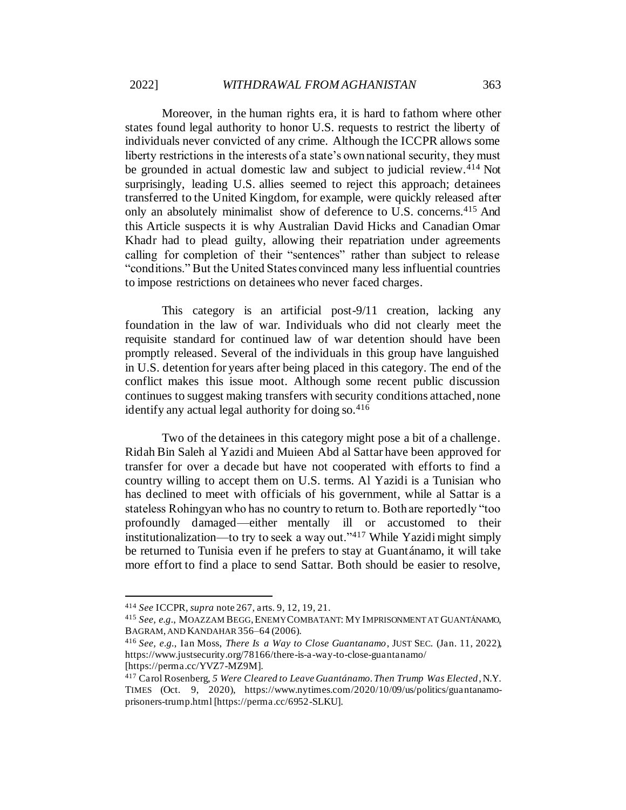Moreover, in the human rights era, it is hard to fathom where other states found legal authority to honor U.S. requests to restrict the liberty of individuals never convicted of any crime. Although the ICCPR allows some liberty restrictions in the interests of a state's own national security, they must be grounded in actual domestic law and subject to judicial review.<sup>414</sup> Not surprisingly, leading U.S. allies seemed to reject this approach; detainees transferred to the United Kingdom, for example, were quickly released after only an absolutely minimalist show of deference to U.S. concerns.<sup>415</sup> And this Article suspects it is why Australian David Hicks and Canadian Omar Khadr had to plead guilty, allowing their repatriation under agreements calling for completion of their "sentences" rather than subject to release "conditions." But the United States convinced many less influential countries to impose restrictions on detainees who never faced charges.

This category is an artificial post-9/11 creation, lacking any foundation in the law of war. Individuals who did not clearly meet the requisite standard for continued law of war detention should have been promptly released. Several of the individuals in this group have languished in U.S. detention for years after being placed in this category. The end of the conflict makes this issue moot. Although some recent public discussion continues to suggest making transfers with security conditions attached, none identify any actual legal authority for doing so.  $416$ 

Two of the detainees in this category might pose a bit of a challenge. Ridah Bin Saleh al Yazidi and Muieen Abd al Sattar have been approved for transfer for over a decade but have not cooperated with efforts to find a country willing to accept them on U.S. terms. Al Yazidi is a Tunisian who has declined to meet with officials of his government, while al Sattar is a stateless Rohingyan who has no country to return to. Both are reportedly "too profoundly damaged—either mentally ill or accustomed to their institutionalization—to try to seek a way out." $417$  While Yazidi might simply be returned to Tunisia even if he prefers to stay at Guantánamo, it will take more effort to find a place to send Sattar. Both should be easier to resolve,

<sup>414</sup> *See* ICCPR, *supra* note 267, arts. 9, 12, 19, 21.

<sup>415</sup> *See, e.g.*, MOAZZAM BEGG,ENEMY COMBATANT: MY IMPRISONMENT AT GUANTÁNAMO, BAGRAM, AND KANDAHAR356–64 (2006).

<sup>416</sup> *See, e.g.*, Ian Moss, *There Is a Way to Close Guantanamo*, JUST SEC. (Jan. 11, 2022), https://www.justsecurity.org/78166/there-is-a-way-to-close-guantanamo/ [https://perma.cc/YVZ7-MZ9M].

<sup>417</sup> Carol Rosenberg, *5 Were Cleared to Leave Guantánamo. Then Trump Was Elected*, N.Y.

TIMES (Oct. 9, 2020), https://www.nytimes.com/2020/10/09/us/politics/guantanamoprisoners-trump.html [https://perma.cc/6952-SLKU].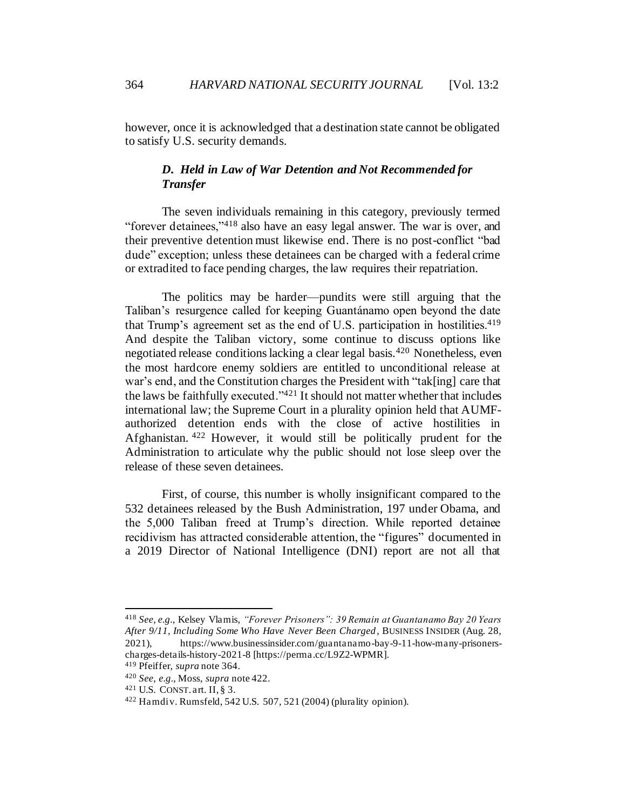however, once it is acknowledged that a destination state cannot be obligated to satisfy U.S. security demands.

# *D. Held in Law of War Detention and Not Recommended for Transfer*

The seven individuals remaining in this category, previously termed "forever detainees,"<sup>418</sup> also have an easy legal answer. The war is over, and their preventive detention must likewise end. There is no post-conflict "bad dude" exception; unless these detainees can be charged with a federal crime or extradited to face pending charges, the law requires their repatriation.

The politics may be harder—pundits were still arguing that the Taliban's resurgence called for keeping Guantánamo open beyond the date that Trump's agreement set as the end of U.S. participation in hostilities.<sup>419</sup> And despite the Taliban victory, some continue to discuss options like negotiated release conditions lacking a clear legal basis.<sup>420</sup> Nonetheless, even the most hardcore enemy soldiers are entitled to unconditional release at war's end, and the Constitution charges the President with "tak[ing] care that the laws be faithfully executed." $4^{21}$  It should not matter whether that includes international law; the Supreme Court in a plurality opinion held that AUMFauthorized detention ends with the close of active hostilities in Afghanistan. <sup>422</sup> However, it would still be politically prudent for the Administration to articulate why the public should not lose sleep over the release of these seven detainees.

First, of course, this number is wholly insignificant compared to the 532 detainees released by the Bush Administration, 197 under Obama, and the 5,000 Taliban freed at Trump's direction. While reported detainee recidivism has attracted considerable attention, the "figures" documented in a 2019 Director of National Intelligence (DNI) report are not all that

<sup>418</sup> *See, e.g.*, Kelsey Vlamis, *"Forever Prisoners": 39 Remain at Guantanamo Bay 20 Years After 9/11, Including Some Who Have Never Been Charged*, BUSINESS INSIDER (Aug. 28, 2021), https://www.businessinsider.com/guantanamo-bay-9-11-how-many-prisonerscharges-details-history-2021-8 [https://perma.cc/L9Z2-WPMR].

<sup>419</sup> Pfeiffer, *supra* note 364.

<sup>420</sup> *See, e.g.*, Moss, *supra* note 422.

 $421$  U.S. CONST. art. II, § 3.

 $422$  Hamdiv. Rumsfeld, 542 U.S. 507, 521 (2004) (plurality opinion).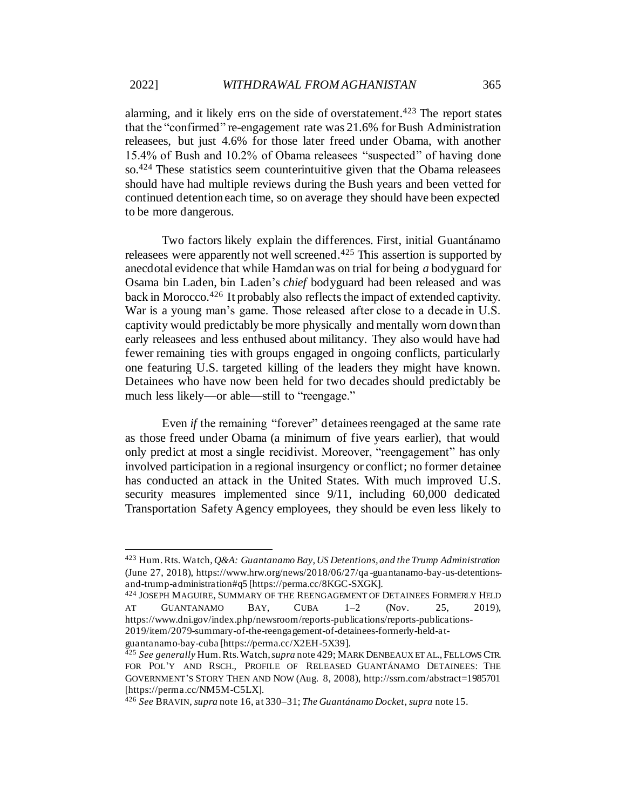alarming, and it likely errs on the side of overstatement.<sup> $423$ </sup> The report states that the "confirmed" re-engagement rate was 21.6% for Bush Administration releasees, but just 4.6% for those later freed under Obama, with another 15.4% of Bush and 10.2% of Obama releasees "suspected" of having done so.<sup>424</sup> These statistics seem counterintuitive given that the Obama releasees should have had multiple reviews during the Bush years and been vetted for continued detention each time, so on average they should have been expected to be more dangerous.

Two factors likely explain the differences. First, initial Guantánamo releasees were apparently not well screened.<sup>425</sup> This assertion is supported by anecdotal evidence that while Hamdan was on trial for being *a* bodyguard for Osama bin Laden, bin Laden's *chief* bodyguard had been released and was back in Morocco.<sup>426</sup> It probably also reflects the impact of extended captivity. War is a young man's game. Those released after close to a decade in U.S. captivity would predictably be more physically and mentally worn down than early releasees and less enthused about militancy. They also would have had fewer remaining ties with groups engaged in ongoing conflicts, particularly one featuring U.S. targeted killing of the leaders they might have known. Detainees who have now been held for two decades should predictably be much less likely—or able—still to "reengage."

Even *if* the remaining "forever" detainees reengaged at the same rate as those freed under Obama (a minimum of five years earlier), that would only predict at most a single recidivist. Moreover, "reengagement" has only involved participation in a regional insurgency or conflict; no former detainee has conducted an attack in the United States. With much improved U.S. security measures implemented since  $9/11$ , including 60,000 dedicated Transportation Safety Agency employees, they should be even less likely to

<sup>423</sup> Hum. Rts. Watch, *Q&A: Guantanamo Bay, US Detentions, and the Trump Administration* (June 27, 2018), https://www.hrw.org/news/2018/06/27/qa -guantanamo-bay-us-detentionsand-trump-administration#q5 [https://perma.cc/8KGC-SXGK].

<sup>424</sup> JOSEPH MAGUIRE, SUMMARY OF THE REENGAGEMENT OF DETAINEES FORMERLY HELD AT GUANTANAMO BAY, CUBA  $1-2$  (Nov. 25, 2019), https://www.dni.gov/index.php/newsroom/reports-publications/reports-publications-2019/item/2079-summary-of-the-reengagement-of-detainees-formerly-held-atguantanamo-bay-cuba [https://perma.cc/X2EH-5X39].

<sup>425</sup> *See generally* Hum. Rts. Watch, *supra* note 429; MARK DENBEAUX ET AL.,FELLOWS CTR. FOR POL'Y AND RSCH., PROFILE OF RELEASED GUANTÁNAMO DETAINEES: THE GOVERNMENT'S STORY THEN AND NOW (Aug. 8, 2008), http://ssrn.com/abstract=1985701 [https://perma.cc/NM5M-C5LX].

<sup>426</sup> *See* BRAVIN, *supra* note [16](#page-5-0), at 330–31; *The Guantánamo Docket*, *supra* note 15.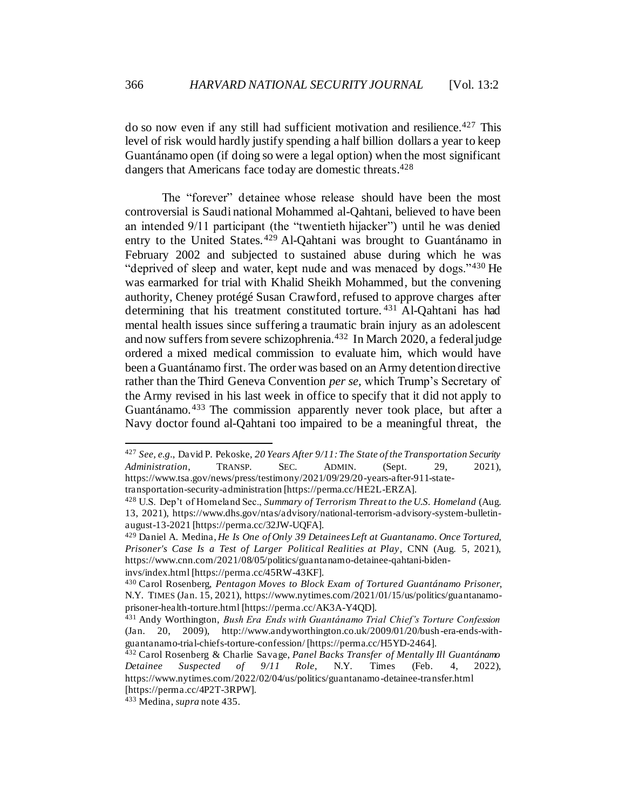do so now even if any still had sufficient motivation and resilience.<sup>427</sup> This level of risk would hardly justify spending a half billion dollars a year to keep Guantánamo open (if doing so were a legal option) when the most significant dangers that Americans face today are domestic threats.<sup>428</sup>

The "forever" detainee whose release should have been the most controversial is Saudi national Mohammed al-Qahtani, believed to have been an intended 9/11 participant (the "twentieth hijacker") until he was denied entry to the United States.<sup>429</sup> Al-Oahtani was brought to Guantánamo in February 2002 and subjected to sustained abuse during which he was "deprived of sleep and water, kept nude and was menaced by dogs."<sup>430</sup> He was earmarked for trial with Khalid Sheikh Mohammed, but the convening authority, Cheney protégé Susan Crawford, refused to approve charges after determining that his treatment constituted torture. <sup>431</sup> Al-Qahtani has had mental health issues since suffering a traumatic brain injury as an adolescent and now suffers from severe schizophrenia.<sup>432</sup> In March 2020, a federal judge ordered a mixed medical commission to evaluate him, which would have been a Guantánamo first. The order was based on an Army detention directive rather than the Third Geneva Convention *per se,* which Trump's Secretary of the Army revised in his last week in office to specify that it did not apply to Guantánamo.<sup>433</sup> The commission apparently never took place, but after a Navy doctor found al-Qahtani too impaired to be a meaningful threat, the

<sup>427</sup> *See, e.g.*, David P. Pekoske, *20 Years After 9/11: The State of the Transportation Security Administration*, TRANSP. SEC. ADMIN. (Sept. 29, 2021), https://www.tsa.gov/news/press/testimony/2021/09/29/20-years-after-911-statetransportation-security-administration [https://perma.cc/HE2L-ERZA].

<sup>428</sup> U.S. Dep't of Homeland Sec., *Summary of Terrorism Threat to the U.S. Homeland* (Aug. 13, 2021), https://www.dhs.gov/ntas/advisory/national-terrorism-advisory-system-bulletinaugust-13-2021 [https://perma.cc/32JW-UQFA].

<sup>429</sup> Daniel A. Medina, *He Is One of Only 39 Detainees Left at Guantanamo. Once Tortured, Prisoner's Case Is a Test of Larger Political Realities at Play*, CNN (Aug. 5, 2021), https://www.cnn.com/2021/08/05/politics/guantanamo-detainee-qahtani-bideninvs/index.html [https://perma.cc/45RW-43KF].

<sup>430</sup> Carol Rosenberg, *Pentagon Moves to Block Exam of Tortured Guantánamo Prisoner*, N.Y. TIMES (Jan. 15, 2021), https://www.nytimes.com/2021/01/15/us/politics/guantanamoprisoner-health-torture.html [https://perma.cc/AK3A-Y4QD].

<sup>431</sup> Andy Worthington, *Bush Era Ends with Guantánamo Trial Chief's Torture Confession* (Jan. 20, 2009), http://www.andyworthington.co.uk/2009/01/20/bush-era-ends-withguantanamo-trial-chiefs-torture-confession/ [https://perma.cc/H5YD-2464].

<sup>432</sup> Carol Rosenberg & Charlie Savage, *Panel Backs Transfer of Mentally Ill Guantánamo Detainee Suspected of 9/11 Role*, N.Y. Times (Feb. 4, 2022), https://www.nytimes.com/2022/02/04/us/politics/guantanamo-detainee-transfer.html [https://perma.cc/4P2T-3RPW].

<sup>433</sup> Medina, *supra* note 435.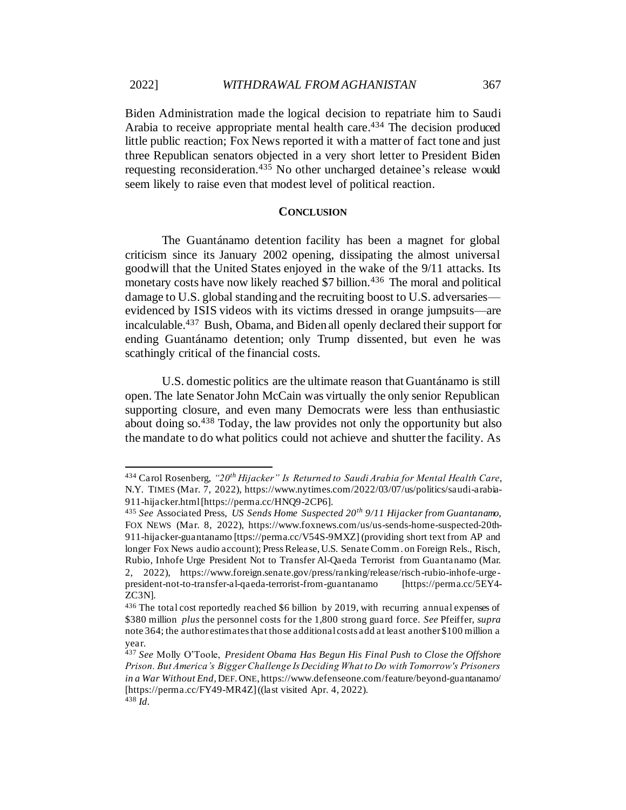Biden Administration made the logical decision to repatriate him to Saudi Arabia to receive appropriate mental health care.<sup>434</sup> The decision produced little public reaction; Fox News reported it with a matter of fact tone and just three Republican senators objected in a very short letter to President Biden requesting reconsideration.<sup>435</sup> No other uncharged detainee's release would seem likely to raise even that modest level of political reaction.

### **CONCLUSION**

The Guantánamo detention facility has been a magnet for global criticism since its January 2002 opening, dissipating the almost universal goodwill that the United States enjoyed in the wake of the 9/11 attacks. Its monetary costs have now likely reached \$7 billion.<sup>436</sup> The moral and political damage to U.S. global standing and the recruiting boost to U.S. adversaries evidenced by ISIS videos with its victims dressed in orange jumpsuits—are incalculable.<sup>437</sup> Bush, Obama, and Biden all openly declared their support for ending Guantánamo detention; only Trump dissented, but even he was scathingly critical of the financial costs.

U.S. domestic politics are the ultimate reason that Guantánamo is still open. The late Senator John McCain was virtually the only senior Republican supporting closure, and even many Democrats were less than enthusiastic about doing so.<sup>438</sup> Today, the law provides not only the opportunity but also the mandate to do what politics could not achieve and shutter the facility. As

<sup>434</sup> Carol Rosenberg, *"20th Hijacker" Is Returned to Saudi Arabia for Mental Health Care*, N.Y. TIMES (Mar. 7, 2022), https://www.nytimes.com/2022/03/07/us/politics/saudi-arabia-911-hijacker.html [https://perma.cc/HNQ9-2CP6].

<sup>435</sup> *See* Associated Press, *US Sends Home Suspected 20th 9/11 Hijacker from Guantanamo*, FOX NEWS (Mar. 8, 2022), https://www.foxnews.com/us/us-sends-home-suspected-20th-911-hijacker-guantanamo [ttps://perma.cc/V54S-9MXZ] (providing short text from AP and longer Fox News audio account); Press Release, U.S. Senate Comm. on Foreign Rels., Risch, Rubio, Inhofe Urge President Not to Transfer Al-Qaeda Terrorist from Guantanamo (Mar. 2, 2022), https://www.foreign.senate.gov/press/ranking/release/risch-rubio-inhofe-urgepresident-not-to-transfer-al-qaeda-terrorist-from-guantanamo [https://perma.cc/5EY4- ZC3N].

<sup>436</sup> The total cost reportedly reached \$6 billion by 2019, with recurring annual expenses of \$380 million *plus* the personnel costs for the 1,800 strong guard force. *See* Pfeiffer, *supra* note 364; the author estimates that those additional costs add at least another \$100 million a year.

<sup>437</sup> *See* Molly O'Toole, *President Obama Has Begun His Final Push to Close the Offshore Prison. But America's Bigger Challenge Is Deciding What to Do with Tomorrow's Prisoners in a War Without End,* DEF.ONE, https://www.defenseone.com/feature/beyond-guantanamo/ [https://perma.cc/FY49-MR4Z] ((last visited Apr. 4, 2022). <sup>438</sup> *Id.*